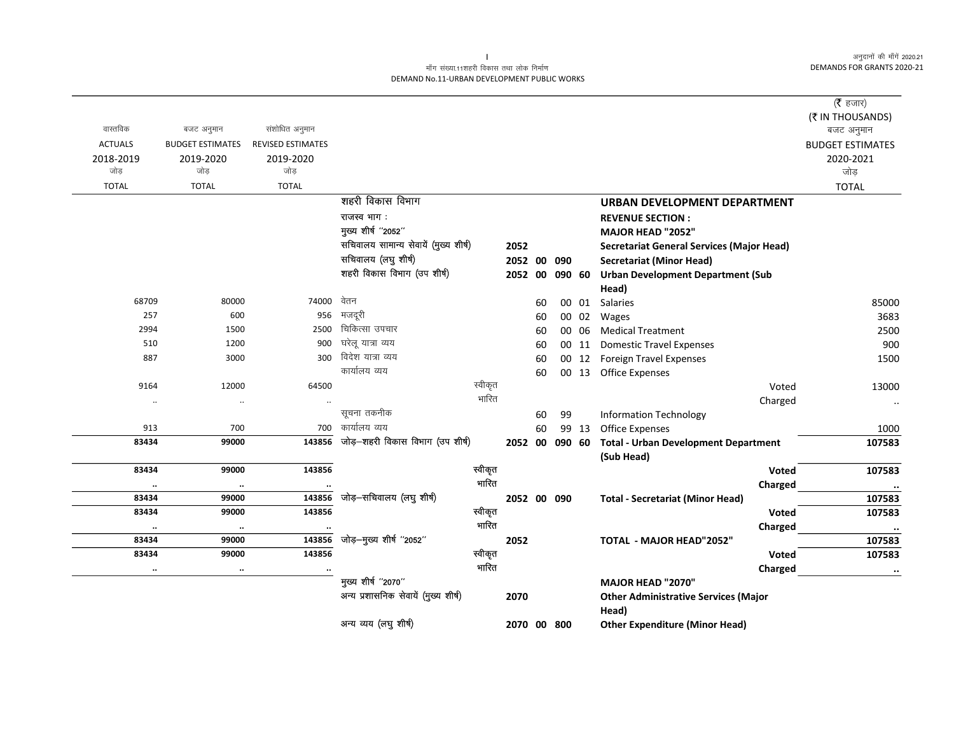#### माँग संख्या.11शहरी विकास तथा लोक निर्माण DEMAND No.11-URBAN DEVELOPMENT PUBLIC WORKS

| वास्तविक       | बजट अनुमान              | संशोधित अनुमान           |                                       |         |             |    |        |       |                                                           | ( $\bar{\tau}$ हजार)<br>(₹ IN THOUSANDS)<br>बजट अनुमान |
|----------------|-------------------------|--------------------------|---------------------------------------|---------|-------------|----|--------|-------|-----------------------------------------------------------|--------------------------------------------------------|
| <b>ACTUALS</b> | <b>BUDGET ESTIMATES</b> | <b>REVISED ESTIMATES</b> |                                       |         |             |    |        |       |                                                           | <b>BUDGET ESTIMATES</b>                                |
| 2018-2019      | 2019-2020               | 2019-2020                |                                       |         |             |    |        |       |                                                           | 2020-2021                                              |
| जोड            | जोड                     | जोड                      |                                       |         |             |    |        |       |                                                           | जोड़                                                   |
| <b>TOTAL</b>   | <b>TOTAL</b>            | <b>TOTAL</b>             |                                       |         |             |    |        |       |                                                           | <b>TOTAL</b>                                           |
|                |                         |                          | शहरी विकास विभाग                      |         |             |    |        |       | <b>URBAN DEVELOPMENT DEPARTMENT</b>                       |                                                        |
|                |                         |                          | राजस्व भाग:                           |         |             |    |        |       | <b>REVENUE SECTION:</b>                                   |                                                        |
|                |                         |                          | मुख्य शीर्ष "2052"                    |         |             |    |        |       | MAJOR HEAD "2052"                                         |                                                        |
|                |                         |                          | सचिवालय सामान्य सेवायें (मुख्य शीर्ष) |         | 2052        |    |        |       | <b>Secretariat General Services (Major Head)</b>          |                                                        |
|                |                         |                          | सचिवालय (लघु शीर्ष)                   |         | 2052 00     |    | 090    |       | <b>Secretariat (Minor Head)</b>                           |                                                        |
|                |                         |                          | शहरी विकास विभाग (उप शीर्ष)           |         | 2052 00     |    | 090 60 |       | <b>Urban Development Department (Sub</b>                  |                                                        |
|                |                         |                          |                                       |         |             |    |        |       | Head)                                                     |                                                        |
| 68709          | 80000                   | 74000                    | वेतन                                  |         |             | 60 |        |       | 00 01 Salaries                                            | 85000                                                  |
| 257            | 600                     | 956                      | मजदूरी                                |         |             | 60 |        |       | 00 02 Wages                                               | 3683                                                   |
| 2994           | 1500                    | 2500                     | चिकित्सा उपचार                        |         |             | 60 |        | 00 06 | <b>Medical Treatment</b>                                  | 2500                                                   |
| 510            | 1200                    | 900                      | घरेलू यात्रा व्यय                     |         |             | 60 |        | 00 11 | <b>Domestic Travel Expenses</b>                           | 900                                                    |
| 887            | 3000                    | 300                      | विदेश यात्रा व्यय                     |         |             | 60 |        |       | 00 12 Foreign Travel Expenses                             | 1500                                                   |
|                |                         |                          | कार्यालय व्यय                         |         |             | 60 |        |       | 00 13 Office Expenses                                     |                                                        |
| 9164           | 12000                   | 64500                    |                                       | स्वीकृत |             |    |        |       | Voted                                                     | 13000                                                  |
| $\ldots$       | $\ddotsc$               |                          |                                       | भारित   |             |    |        |       | Charged                                                   | $\ldots$                                               |
|                |                         |                          | सूचना तकनीक                           |         |             | 60 | 99     |       | <b>Information Technology</b>                             |                                                        |
| 913            | 700                     | 700                      | कार्यालय व्यय                         |         |             | 60 |        | 99 13 | <b>Office Expenses</b>                                    | 1000                                                   |
| 83434          | 99000                   | 143856                   | जोड़-शहरी विकास विभाग (उप शीर्ष)      |         | 2052 00     |    | 090 60 |       | <b>Total - Urban Development Department</b><br>(Sub Head) | 107583                                                 |
| 83434          | 99000                   | 143856                   |                                       | स्वीकृत |             |    |        |       | <b>Voted</b>                                              | 107583                                                 |
| $\cdots$       | $\cdot\cdot$            | $\ddotsc$                |                                       | भारित   |             |    |        |       | Charged                                                   |                                                        |
| 83434          | 99000                   | 143856                   | जोड़-सचिवालय (लघु शीर्ष)              |         | 2052 00 090 |    |        |       | <b>Total - Secretariat (Minor Head)</b>                   | 107583                                                 |
| 83434          | 99000                   | 143856                   |                                       | स्वीकृत |             |    |        |       | Voted                                                     | 107583                                                 |
| $\ddotsc$      | $\cdot\cdot$            | $\cdot\cdot$             |                                       | भारित   |             |    |        |       | Charged                                                   | $\cdots$                                               |
| 83434          | 99000                   | 143856                   | जोड़-मुख्य शीर्ष "2052"               |         | 2052        |    |        |       | TOTAL - MAJOR HEAD"2052"                                  | 107583                                                 |
| 83434          | 99000                   | 143856                   |                                       | स्वीकृत |             |    |        |       | <b>Voted</b>                                              | 107583                                                 |
| $\ddotsc$      | $\cdot\cdot$            |                          |                                       | भारित   |             |    |        |       | Charged                                                   | $\ddotsc$                                              |
|                |                         |                          | मुख्य शीर्ष "2070"                    |         |             |    |        |       | MAJOR HEAD "2070"                                         |                                                        |
|                |                         |                          | अन्य प्रशासनिक सेवायें (मुख्य शीर्ष)  |         | 2070        |    |        |       | <b>Other Administrative Services (Major</b><br>Head)      |                                                        |
|                |                         |                          | अन्य व्यय (लघु शीर्ष)                 |         | 2070 00 800 |    |        |       | <b>Other Expenditure (Minor Head)</b>                     |                                                        |

 $\mathbf{L}$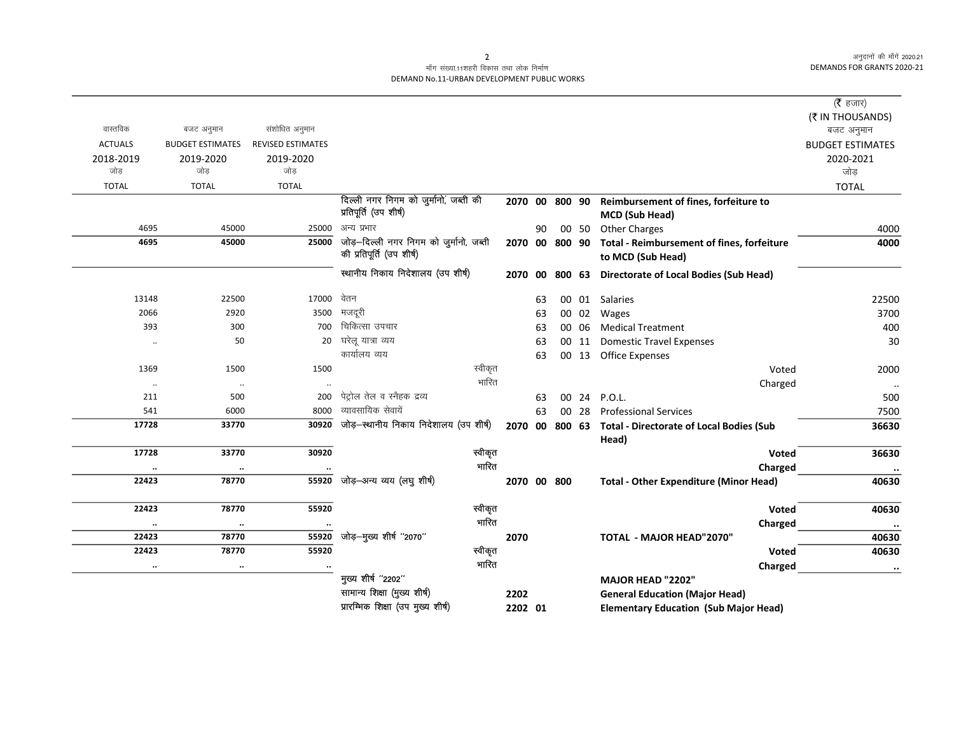|                   |                      |                         |                          |                                         |      |         |    |                |       |                                                 | ( $\bar{\tau}$ हजार)    |
|-------------------|----------------------|-------------------------|--------------------------|-----------------------------------------|------|---------|----|----------------|-------|-------------------------------------------------|-------------------------|
|                   |                      |                         |                          |                                         |      |         |    |                |       |                                                 | (₹ IN THOUSANDS)        |
| वास्तविक          |                      | बजट अनुमान              | संशोधित अनुमान           |                                         |      |         |    |                |       |                                                 | बजट अनुमान              |
| <b>ACTUALS</b>    |                      | <b>BUDGET ESTIMATES</b> | <b>REVISED ESTIMATES</b> |                                         |      |         |    |                |       |                                                 | <b>BUDGET ESTIMATES</b> |
| 2018-2019<br>जोड़ |                      | 2019-2020<br>जोड        | 2019-2020<br>जोड़        |                                         |      |         |    |                |       |                                                 | 2020-2021<br>जोड़       |
| <b>TOTAL</b>      |                      | <b>TOTAL</b>            | <b>TOTAL</b>             |                                         |      |         |    |                |       |                                                 | <b>TOTAL</b>            |
|                   |                      |                         |                          | दिल्ली नगर निगम को जुर्मानों, जब्ती की  |      |         |    | 2070 00 800 90 |       | Reimbursement of fines, forfeiture to           |                         |
|                   |                      |                         |                          | प्रतिपूर्ति (उप शीर्ष)                  |      |         |    |                |       | MCD (Sub Head)                                  |                         |
|                   | 4695                 | 45000                   | 25000                    | अन्य प्रभार                             |      |         | 90 |                | 00 50 | <b>Other Charges</b>                            | 4000                    |
|                   | 4695                 | 45000                   | 25000                    | जोड़-दिल्ली नगर निगम को जुर्मानो, जब्ती |      |         |    | 2070 00 800 90 |       | Total - Reimbursement of fines, forfeiture      | 4000                    |
|                   |                      |                         |                          | की प्रतिपूर्ति (उप शीर्ष)               |      |         |    |                |       | to MCD (Sub Head)                               |                         |
|                   |                      |                         |                          | स्थानीय निकाय निदेशालय (उप शीर्ष)       |      | 2070 00 |    |                |       | 800 63 Directorate of Local Bodies (Sub Head)   |                         |
|                   |                      |                         |                          |                                         |      |         |    |                |       |                                                 |                         |
|                   | 13148                | 22500                   | 17000                    | वेतन                                    |      |         | 63 |                |       | 00 01 Salaries                                  | 22500                   |
|                   | 2066                 | 2920                    | 3500                     | मजदूरी                                  |      |         | 63 |                |       | 00 02 Wages                                     | 3700                    |
|                   | 393                  | 300                     | 700                      | चिकित्सा उपचार                          |      |         | 63 |                | 00 06 | <b>Medical Treatment</b>                        | 400                     |
|                   | $\ddotsc$            | 50                      | 20                       | घरेलू यात्रा व्यय                       |      |         | 63 |                | 00 11 | <b>Domestic Travel Expenses</b>                 | 30                      |
|                   |                      |                         |                          | कार्यालय व्यय                           |      |         | 63 |                |       | 00 13 Office Expenses                           |                         |
|                   | 1369                 | 1500                    | 1500                     | स्वीकृत                                 |      |         |    |                |       | Voted                                           | 2000                    |
|                   | $\cdot\cdot$         | $\ldots$                |                          | भारित                                   |      |         |    |                |       | Charged                                         | ٠.                      |
|                   | 211                  | 500                     | 200                      | पेट्रोल तेल व स्नैहक द्रव्य             |      |         | 63 |                | 00 24 | P.O.L.                                          | 500                     |
|                   | 541                  | 6000                    | 8000                     | व्यावसायिक सेवायें                      |      |         | 63 | 00 28          |       | <b>Professional Services</b>                    | 7500                    |
|                   | 17728                | 33770                   | 30920                    | जोड़-स्थानीय निकाय निदेशालय (उप शीर्ष)  |      | 2070 00 |    | 800 63         |       | <b>Total - Directorate of Local Bodies (Sub</b> | 36630                   |
|                   |                      |                         |                          |                                         |      |         |    |                |       | Head)                                           |                         |
|                   | 17728                | 33770                   | 30920                    | स्वीकृत<br>भारित                        |      |         |    |                |       | Voted                                           | 36630                   |
|                   | $\ddot{\phantom{0}}$ | $\cdot\cdot$<br>78770   | 55920                    |                                         |      |         |    |                |       | Charged                                         | $\cdot\cdot$            |
|                   | 22423                |                         |                          | जोड़—अन्य व्यय (लघु शीर्ष)              |      |         |    | 2070 00 800    |       | <b>Total - Other Expenditure (Minor Head)</b>   | 40630                   |
|                   | 22423                | 78770                   | 55920                    | स्वीकृत                                 |      |         |    |                |       | Voted                                           | 40630                   |
|                   | $\cdot\cdot$         | $\ddotsc$               |                          | भारित                                   |      |         |    |                |       | Charged                                         | $\cdot\cdot$            |
|                   | 22423                | 78770                   | 55920                    | जोड़-मुख्य शीर्ष "2070"                 | 2070 |         |    |                |       | TOTAL - MAJOR HEAD"2070"                        | 40630                   |
|                   | 22423                | 78770                   | 55920                    | स्वीकृत                                 |      |         |    |                |       | Voted                                           | 40630                   |
|                   | $\ddotsc$            | $\cdot\cdot$            |                          | भारित                                   |      |         |    |                |       | Charged                                         | $\ddot{\phantom{a}}$    |
|                   |                      |                         |                          | मुख्य शीर्ष "2202"                      |      |         |    |                |       | MAJOR HEAD "2202"                               |                         |
|                   |                      |                         |                          | सामान्य शिक्षा (मुख्य शीर्ष)            | 2202 |         |    |                |       | <b>General Education (Major Head)</b>           |                         |
|                   |                      |                         |                          | प्रारम्भिक शिक्षा (उप मुख्य शीर्ष)      |      | 2202 01 |    |                |       | <b>Elementary Education (Sub Major Head)</b>    |                         |
|                   |                      |                         |                          |                                         |      |         |    |                |       |                                                 |                         |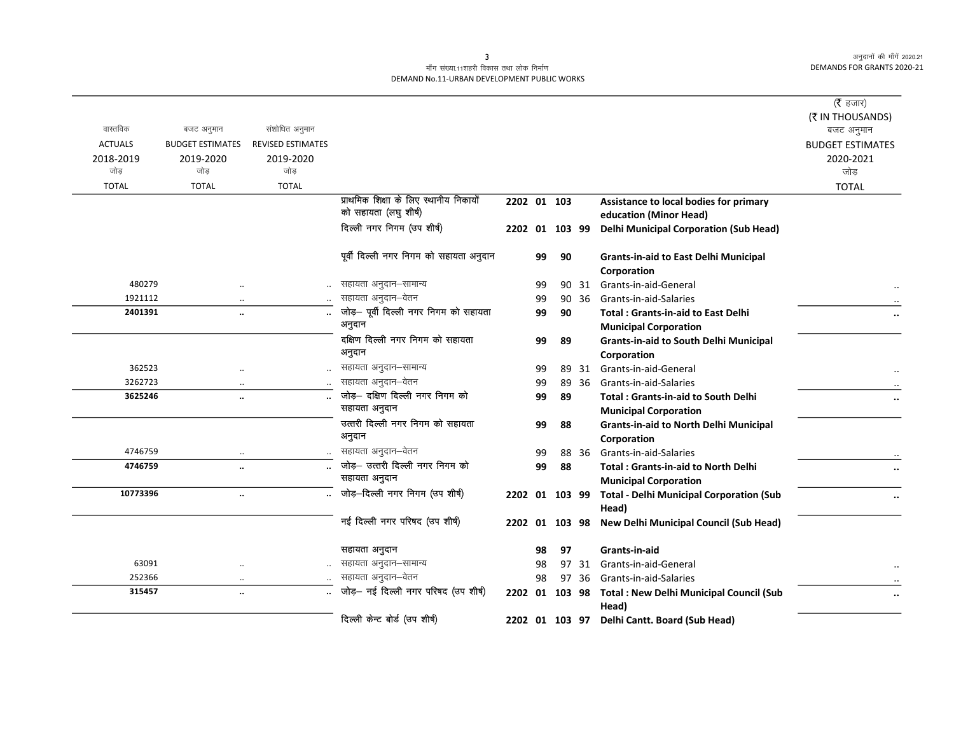$\overline{\phantom{0}}$ 

## माँग संख्या.11शहरी विकास तथा लोक निर्माण DEMAND No.11-URBAN DEVELOPMENT PUBLIC WORKS

|                  |                         |                          |                                            |                |    |                |       |                                                              | ( $\bar{\tau}$ हजार)           |
|------------------|-------------------------|--------------------------|--------------------------------------------|----------------|----|----------------|-------|--------------------------------------------------------------|--------------------------------|
| वास्तविक         | बजट अनुमान              | संशोधित अनुमान           |                                            |                |    |                |       |                                                              | (₹ IN THOUSANDS)<br>बजट अनुमान |
| <b>ACTUALS</b>   | <b>BUDGET ESTIMATES</b> | <b>REVISED ESTIMATES</b> |                                            |                |    |                |       |                                                              | <b>BUDGET ESTIMATES</b>        |
| 2018-2019<br>जोड | 2019-2020<br>जोड        | 2019-2020<br>जोड         |                                            |                |    |                |       |                                                              | 2020-2021<br>जोड़              |
| <b>TOTAL</b>     | <b>TOTAL</b>            | <b>TOTAL</b>             |                                            |                |    |                |       |                                                              | <b>TOTAL</b>                   |
|                  |                         |                          | प्राथमिक शिक्षा के लिए स्थानीय निकायों     | 2202 01 103    |    |                |       | Assistance to local bodies for primary                       |                                |
|                  |                         |                          | को सहायता (लघु शीर्ष)                      |                |    |                |       | education (Minor Head)                                       |                                |
|                  |                         |                          | दिल्ली नगर निगम (उप शीर्ष)                 | 2202 01 103 99 |    |                |       | <b>Delhi Municipal Corporation (Sub Head)</b>                |                                |
|                  |                         |                          | पूर्वी दिल्ली नगर निगम को सहायता अनुदान    |                | 99 | 90             |       | <b>Grants-in-aid to East Delhi Municipal</b>                 |                                |
|                  |                         |                          |                                            |                |    |                |       | Corporation                                                  |                                |
| 480279           | $\ddotsc$               |                          | सहायता अनुदान–सामान्य                      |                | 99 |                | 90 31 | Grants-in-aid-General                                        |                                |
| 1921112          | $\ddotsc$               |                          | सहायता अनुदान–वेतन                         |                | 99 |                | 90 36 | Grants-in-aid-Salaries                                       |                                |
| 2401391          | $\ddot{\phantom{a}}$    |                          | जोड़- पूर्वी दिल्ली नगर निगम को सहायता     |                | 99 | 90             |       | <b>Total: Grants-in-aid to East Delhi</b>                    | $\ddotsc$                      |
|                  |                         |                          | अनुदान                                     |                |    |                |       | <b>Municipal Corporation</b>                                 |                                |
|                  |                         |                          | दक्षिण दिल्ली नगर निगम को सहायता<br>अनुदान |                | 99 | 89             |       | <b>Grants-in-aid to South Delhi Municipal</b><br>Corporation |                                |
| 362523           |                         |                          | सहायता अनुदान–सामान्य                      |                | 99 |                | 89 31 | Grants-in-aid-General                                        |                                |
| 3262723          | $\cdot\cdot$            |                          | सहायता अनुदान-वेतन                         |                | 99 |                | 89 36 | Grants-in-aid-Salaries                                       |                                |
| 3625246          | $\ddotsc$               |                          | जोड़- दक्षिण दिल्ली नगर निगम को            |                | 99 | 89             |       | <b>Total: Grants-in-aid to South Delhi</b>                   | $\ddotsc$                      |
|                  |                         |                          | सहायता अनुदान                              |                |    |                |       | <b>Municipal Corporation</b>                                 |                                |
|                  |                         |                          | उत्तरी दिल्ली नगर निगम को सहायता           |                | 99 | 88             |       | <b>Grants-in-aid to North Delhi Municipal</b>                |                                |
|                  |                         |                          | अनुदान                                     |                |    |                |       | Corporation                                                  |                                |
| 4746759          | $\ldots$                |                          | सहायता अनुदान–वेतन                         |                | 99 |                | 88 36 | Grants-in-aid-Salaries                                       |                                |
| 4746759          | $\ddot{\phantom{a}}$    |                          | जोड़- उत्तरी दिल्ली नगर निगम को            |                | 99 | 88             |       | <b>Total: Grants-in-aid to North Delhi</b>                   | $\ddot{\phantom{a}}$           |
|                  |                         |                          | सहायता अनुदान                              |                |    |                |       | <b>Municipal Corporation</b>                                 |                                |
| 10773396         | $\ddotsc$               |                          | जोड़-दिल्ली नगर निगम (उप शीर्ष)            |                |    | 2202 01 103 99 |       | <b>Total - Delhi Municipal Corporation (Sub</b>              | $\cdots$                       |
|                  |                         |                          |                                            |                |    |                |       | Head)                                                        |                                |
|                  |                         |                          | नई दिल्ली नगर परिषद (उप शीर्ष)             | 2202           |    |                |       | 01 103 98 New Delhi Municipal Council (Sub Head)             |                                |
|                  |                         |                          | सहायता अनुदान                              |                | 98 | 97             |       | Grants-in-aid                                                |                                |
| 63091            |                         |                          | सहायता अनुदान–सामान्य                      |                | 98 |                | 97 31 | Grants-in-aid-General                                        |                                |
| 252366           |                         |                          | सहायता अनुदान–वेतन                         |                | 98 |                | 97 36 | Grants-in-aid-Salaries                                       |                                |
| 315457           | $\ddotsc$               |                          | जोड़- नई दिल्ली नगर परिषद (उप शीर्ष)       | 2202 01 103 98 |    |                |       | <b>Total: New Delhi Municipal Council (Sub</b><br>Head)      | $\ddotsc$                      |
|                  |                         |                          | दिल्ली केन्ट बोर्ड (उप शीर्ष)              |                |    |                |       | 2202 01 103 97 Delhi Cantt. Board (Sub Head)                 |                                |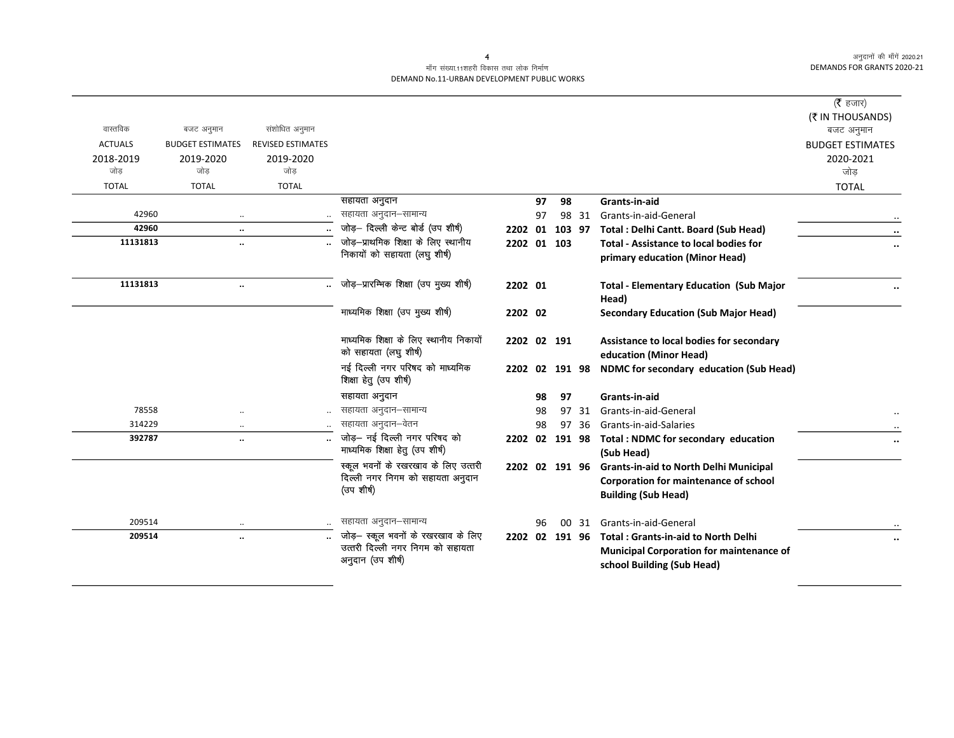|                |                         |                          |                                                                                             |                |    |        |       |                                                                                                                             | ( $\bar{\tau}$ हजार)<br>(₹ IN THOUSANDS) |
|----------------|-------------------------|--------------------------|---------------------------------------------------------------------------------------------|----------------|----|--------|-------|-----------------------------------------------------------------------------------------------------------------------------|------------------------------------------|
| वास्तविक       | बजट अनुमान              | संशोधित अनुमान           |                                                                                             |                |    |        |       |                                                                                                                             | बजट अनुमान                               |
| <b>ACTUALS</b> | <b>BUDGET ESTIMATES</b> | <b>REVISED ESTIMATES</b> |                                                                                             |                |    |        |       |                                                                                                                             | <b>BUDGET ESTIMATES</b>                  |
| 2018-2019      | 2019-2020               | 2019-2020                |                                                                                             |                |    |        |       |                                                                                                                             | 2020-2021                                |
| जोड            | जोड                     | जोड                      |                                                                                             |                |    |        |       |                                                                                                                             | जोड                                      |
| <b>TOTAL</b>   | <b>TOTAL</b>            | <b>TOTAL</b>             |                                                                                             |                |    |        |       |                                                                                                                             | <b>TOTAL</b>                             |
|                |                         |                          | सहायता अनुदान                                                                               |                | 97 | 98     |       | Grants-in-aid                                                                                                               |                                          |
| 42960          | $\ddotsc$               |                          | सहायता अनुदान–सामान्य                                                                       |                | 97 |        | 98 31 | Grants-in-aid-General                                                                                                       |                                          |
| 42960          | $\ddotsc$               |                          | जोड़- दिल्ली केन्ट बोर्ड (उप शीर्ष)                                                         | 2202 01        |    | 103 97 |       | Total: Delhi Cantt. Board (Sub Head)                                                                                        | $\ddot{\phantom{0}}$                     |
| 11131813       | $\ddotsc$               |                          | जोड़-प्राथमिक शिक्षा के लिए स्थानीय                                                         | 2202 01 103    |    |        |       | <b>Total - Assistance to local bodies for</b>                                                                               |                                          |
|                |                         |                          | निकायों को सहायता (लघु शीर्ष)                                                               |                |    |        |       | primary education (Minor Head)                                                                                              |                                          |
| 11131813       | $\ddotsc$               |                          | जोड़-प्रारम्भिक शिक्षा (उप मुख्य शीर्ष)                                                     | 2202 01        |    |        |       | <b>Total - Elementary Education (Sub Major</b><br>Head)                                                                     |                                          |
|                |                         |                          | माध्यमिक शिक्षा (उप मुख्य शीर्ष)                                                            | 2202 02        |    |        |       | <b>Secondary Education (Sub Major Head)</b>                                                                                 |                                          |
|                |                         |                          | माध्यमिक शिक्षा के लिए स्थानीय निकायों<br>को सहायता (लघु शीर्ष)                             | 2202 02 191    |    |        |       | Assistance to local bodies for secondary<br>education (Minor Head)                                                          |                                          |
|                |                         |                          | नई दिल्ली नगर परिषद को माध्यमिक<br>शिक्षा हेतु (उप शीर्ष)                                   | 2202 02 191 98 |    |        |       | NDMC for secondary education (Sub Head)                                                                                     |                                          |
|                |                         |                          | सहायता अनुदान                                                                               |                | 98 | 97     |       | Grants-in-aid                                                                                                               |                                          |
| 78558          |                         |                          | सहायता अनुदान–सामान्य                                                                       |                | 98 |        | 97 31 | Grants-in-aid-General                                                                                                       |                                          |
| 314229         | $\ddotsc$               |                          | सहायता अनुदान–वेतन                                                                          |                | 98 |        | 97 36 | Grants-in-aid-Salaries                                                                                                      |                                          |
| 392787         | $\ddotsc$               |                          | जोड़- नई दिल्ली नगर परिषद को<br>माध्यमिक शिक्षा हेतु (उप शीर्ष)                             | 2202 02        |    | 191 98 |       | <b>Total: NDMC for secondary education</b><br>(Sub Head)                                                                    |                                          |
|                |                         |                          | स्कूल भवनों के रखरखाव के लिए उत्तरी<br>दिल्ली नगर निगम को सहायता अनुदान<br>(उप शीर्ष)       | 2202 02 191 96 |    |        |       | <b>Grants-in-aid to North Delhi Municipal</b><br>Corporation for maintenance of school<br><b>Building (Sub Head)</b>        |                                          |
| 209514         |                         |                          | सहायता अनुदान–सामान्य                                                                       |                | 96 |        | 00 31 | Grants-in-aid-General                                                                                                       |                                          |
| 209514         | $\ddot{\phantom{0}}$    |                          | जोड़- स्कूल भवनों के रखरखाव के लिए<br>उत्तरी दिल्ली नगर निगम को सहायता<br>अनुदान (उप शीर्ष) | 2202 02 191 96 |    |        |       | <b>Total: Grants-in-aid to North Delhi</b><br><b>Municipal Corporation for maintenance of</b><br>school Building (Sub Head) |                                          |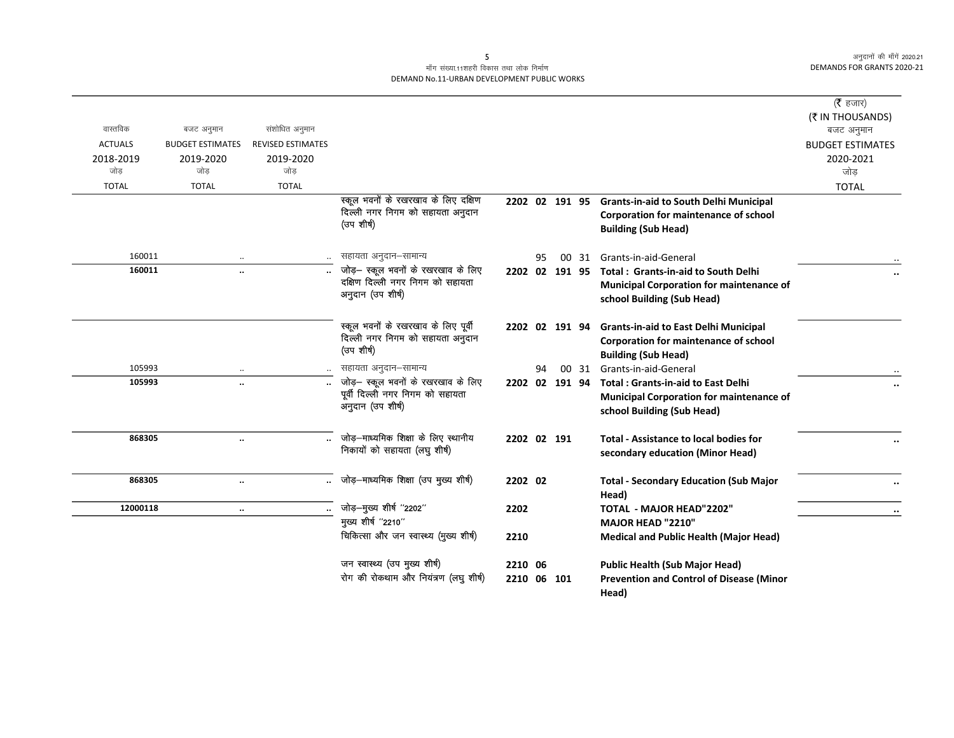## माँग संख्या.11शहरी विकास तथा लोक निर्माण DEMAND No.11-URBAN DEVELOPMENT PUBLIC WORKS

|                |                         |                          |                                                       |                |    |       |                                                       | (रै हजार)                      |
|----------------|-------------------------|--------------------------|-------------------------------------------------------|----------------|----|-------|-------------------------------------------------------|--------------------------------|
| वास्तविक       | बजट अनुमान              | संशोधित अनुमान           |                                                       |                |    |       |                                                       | (₹ IN THOUSANDS)<br>बजट अनुमान |
| <b>ACTUALS</b> | <b>BUDGET ESTIMATES</b> | <b>REVISED ESTIMATES</b> |                                                       |                |    |       |                                                       | <b>BUDGET ESTIMATES</b>        |
| 2018-2019      | 2019-2020               | 2019-2020                |                                                       |                |    |       |                                                       | 2020-2021                      |
| जोड            | जोड                     | जोड                      |                                                       |                |    |       |                                                       | जोड                            |
| <b>TOTAL</b>   | <b>TOTAL</b>            | <b>TOTAL</b>             |                                                       |                |    |       |                                                       | <b>TOTAL</b>                   |
|                |                         |                          | स्कूल भवनों के रखरखाव के लिए दक्षिण                   |                |    |       | 2202 02 191 95 Grants-in-aid to South Delhi Municipal |                                |
|                |                         |                          | दिल्ली नगर निगम को सहायता अनुदान<br>(उप शीर्ष)        |                |    |       | Corporation for maintenance of school                 |                                |
|                |                         |                          |                                                       |                |    |       | <b>Building (Sub Head)</b>                            |                                |
| 160011         | $\ddotsc$               |                          | सहायता अनुदान–सामान्य                                 |                | 95 | 00 31 | Grants-in-aid-General                                 |                                |
| 160011         | $\ddotsc$               |                          | जोड़— स्कूल भवनों के रखरखाव के लिए                    | 2202 02 191 95 |    |       | <b>Total: Grants-in-aid to South Delhi</b>            | $\ddot{\phantom{0}}$           |
|                |                         |                          | दक्षिण दिल्ली नगर निगम को सहायता<br>अनुदान (उप शीर्ष) |                |    |       | <b>Municipal Corporation for maintenance of</b>       |                                |
|                |                         |                          |                                                       |                |    |       | school Building (Sub Head)                            |                                |
|                |                         |                          | स्कूल भवनों के रखरखाव के लिए पूर्वी                   | 2202 02 191 94 |    |       | <b>Grants-in-aid to East Delhi Municipal</b>          |                                |
|                |                         |                          | दिल्ली नगर निगम को सहायता अनुदान                      |                |    |       | Corporation for maintenance of school                 |                                |
|                |                         |                          | (उप शीर्ष)                                            |                |    |       | <b>Building (Sub Head)</b>                            |                                |
| 105993         |                         |                          | सहायता अनुदान-सामान्य                                 |                | 94 | 00 31 | Grants-in-aid-General                                 |                                |
| 105993         | $\ddot{\phantom{a}}$    |                          | जोड़- स्कूल भवनों के रखरखाव के लिए                    |                |    |       | 2202 02 191 94 Total: Grants-in-aid to East Delhi     |                                |
|                |                         |                          | पूर्वी दिल्ली नगर निगम को सहायता<br>अनुदान (उप शीर्ष) |                |    |       | <b>Municipal Corporation for maintenance of</b>       |                                |
|                |                         |                          |                                                       |                |    |       | school Building (Sub Head)                            |                                |
| 868305         | $\ddot{\phantom{a}}$    |                          | जोड़-माध्यमिक शिक्षा के लिए स्थानीय                   | 2202 02 191    |    |       | <b>Total - Assistance to local bodies for</b>         |                                |
|                |                         |                          | निकायों को सहायता (लघु शीर्ष)                         |                |    |       | secondary education (Minor Head)                      |                                |
|                |                         |                          |                                                       |                |    |       |                                                       |                                |
| 868305         | $\ddotsc$               |                          | जोड़—माध्यमिक शिक्षा (उप मुख्य शीर्ष)                 | 2202 02        |    |       | <b>Total - Secondary Education (Sub Major</b>         |                                |
| 12000118       |                         |                          | जोड़-मुख्य शीर्ष "2202"                               | 2202           |    |       | Head)<br><b>TOTAL - MAJOR HEAD"2202"</b>              |                                |
|                | $\ddotsc$               |                          | मुख्य शीर्ष "2210"                                    |                |    |       | MAJOR HEAD "2210"                                     | $\ddot{\phantom{0}}$           |
|                |                         |                          | चिकित्सा और जन स्वास्थ्य (मुख्य शीर्ष)                | 2210           |    |       | <b>Medical and Public Health (Major Head)</b>         |                                |
|                |                         |                          |                                                       |                |    |       |                                                       |                                |
|                |                         |                          | जन स्वास्थ्य (उप मुख्य शीर्ष)                         | 2210 06        |    |       | <b>Public Health (Sub Major Head)</b>                 |                                |
|                |                         |                          | रोग की रोकथाम और नियंत्रण (लघु शीर्ष)                 | 2210 06 101    |    |       | <b>Prevention and Control of Disease (Minor</b>       |                                |
|                |                         |                          |                                                       |                |    |       | Head)                                                 |                                |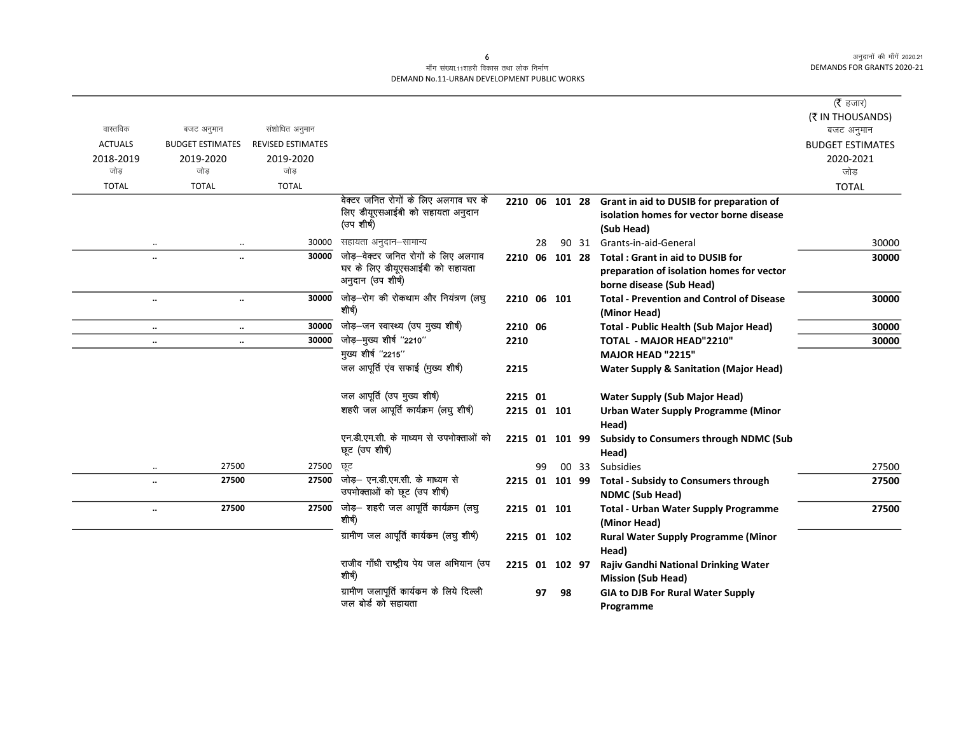$\overline{\phantom{0}}$ 

## माँग संख्या.11शहरी विकास तथा लोक निर्माण DEMAND No.11-URBAN DEVELOPMENT PUBLIC WORKS

|                                                                       |                                                                          |                |        |                                                                       | ( $\bar{\tau}$ हजार)    |
|-----------------------------------------------------------------------|--------------------------------------------------------------------------|----------------|--------|-----------------------------------------------------------------------|-------------------------|
| वास्तविक<br>संशोधित अनुमान                                            |                                                                          |                |        |                                                                       | (₹ IN THOUSANDS)        |
| बजट अनुमान                                                            |                                                                          |                |        |                                                                       | बजट अनुमान              |
| <b>ACTUALS</b><br><b>BUDGET ESTIMATES</b><br><b>REVISED ESTIMATES</b> |                                                                          |                |        |                                                                       | <b>BUDGET ESTIMATES</b> |
| 2018-2019<br>2019-2020<br>2019-2020<br>जोड<br>जोड<br>जोड              |                                                                          |                |        |                                                                       | 2020-2021<br>जोड        |
|                                                                       |                                                                          |                |        |                                                                       |                         |
| <b>TOTAL</b><br><b>TOTAL</b><br><b>TOTAL</b>                          | वेक्टर जनित रोगों के लिए अलगाव घर के                                     |                |        |                                                                       | <b>TOTAL</b>            |
|                                                                       | लिए डीयूएसआईबी को सहायता अनुदान                                          |                |        | 2210 06 101 28 Grant in aid to DUSIB for preparation of               |                         |
|                                                                       | (उप शीर्ष)                                                               |                |        | isolation homes for vector borne disease                              |                         |
|                                                                       |                                                                          |                |        | (Sub Head)                                                            |                         |
| $\ldots$                                                              | 30000<br>सहायता अनुदान–सामान्य<br>जोड़-वेक्टर जनित रोगों के लिए अलगाव    | 28             | 90 31  | Grants-in-aid-General                                                 | 30000                   |
| $\ddotsc$<br>$\ddot{\phantom{a}}$                                     | 30000<br>घर के लिए डीयूएसआईबी को सहायता                                  | 2210 06        | 101 28 | <b>Total: Grant in aid to DUSIB for</b>                               | 30000                   |
|                                                                       | अनुदान (उप शीर्ष)                                                        |                |        | preparation of isolation homes for vector                             |                         |
|                                                                       |                                                                          |                |        | borne disease (Sub Head)                                              |                         |
| $\ddotsc$<br>$\ldots$                                                 | जोड़-रोग की रोकथाम और नियंत्रण (लघु<br>30000<br>शीर्ष)                   | 2210 06 101    |        | <b>Total - Prevention and Control of Disease</b><br>(Minor Head)      | 30000                   |
| $\ddotsc$<br>$\ldots$                                                 | जोड़-जन स्वास्थ्य (उप मुख्य शीर्ष)<br>30000                              | 2210 06        |        | Total - Public Health (Sub Major Head)                                | 30000                   |
| $\ddotsc$<br>$\ddotsc$                                                | जोड़-मुख्य शीर्ष "2210"<br>30000                                         | 2210           |        | <b>TOTAL - MAJOR HEAD"2210"</b>                                       | 30000                   |
|                                                                       | मुख्य शीर्ष "2215"                                                       |                |        | MAJOR HEAD "2215"                                                     |                         |
|                                                                       | जल आपूर्ति एव सफाई (मुख्य शीर्ष)                                         | 2215           |        | <b>Water Supply &amp; Sanitation (Major Head)</b>                     |                         |
|                                                                       | जल आपूर्ति (उप मुख्य शीर्ष)                                              | 2215 01        |        | <b>Water Supply (Sub Major Head)</b>                                  |                         |
|                                                                       | शहरी जल आपूर्ति कार्यक्रम (लघु शीर्ष)                                    | 2215 01 101    |        | <b>Urban Water Supply Programme (Minor</b><br>Head)                   |                         |
|                                                                       | एन.डी.एम.सी. के माध्यम से उपभोक्ताओं को<br>छूट (उप शीर्ष)                | 2215 01 101 99 |        | <b>Subsidy to Consumers through NDMC (Sub</b>                         |                         |
|                                                                       |                                                                          |                |        | Head)                                                                 |                         |
| 27500<br>$\cdot\cdot$                                                 | 27500<br>ਲ੍ਰੂਟ                                                           | 99             | 00 33  | Subsidies                                                             | 27500                   |
| 27500<br>$\ddotsc$                                                    | जोड़— एन.डी.एम.सी. के माध्यम से<br>27500<br>उपभोक्ताओं को छूट (उप शीर्ष) | 2215 01 101 99 |        | <b>Total - Subsidy to Consumers through</b><br><b>NDMC (Sub Head)</b> | 27500                   |
| 27500<br>$\ldots$                                                     | $\overline{27500}$ जोड़- शहरी जल आपूर्ति कार्यक्रम (लघु<br>शीर्ष)        | 2215 01 101    |        | <b>Total - Urban Water Supply Programme</b>                           | 27500                   |
|                                                                       |                                                                          |                |        | (Minor Head)                                                          |                         |
|                                                                       | ग्रामीण जल आपूर्ति कार्यकम (लघु शीर्ष)                                   | 2215 01 102    |        | <b>Rural Water Supply Programme (Minor</b><br>Head)                   |                         |
|                                                                       | राजीव गाँधी राष्ट्रीय पेय जल अभियान (उप<br>शीर्ष)                        | 2215 01 102 97 |        | Rajiv Gandhi National Drinking Water<br><b>Mission (Sub Head)</b>     |                         |
|                                                                       | ग्रामीण जलापूर्ति कार्यक्रम के लिये दिल्ली<br>जल बोर्ड को सहायता         | 97             | 98     | <b>GIA to DJB For Rural Water Supply</b><br>Programme                 |                         |

 $\epsilon$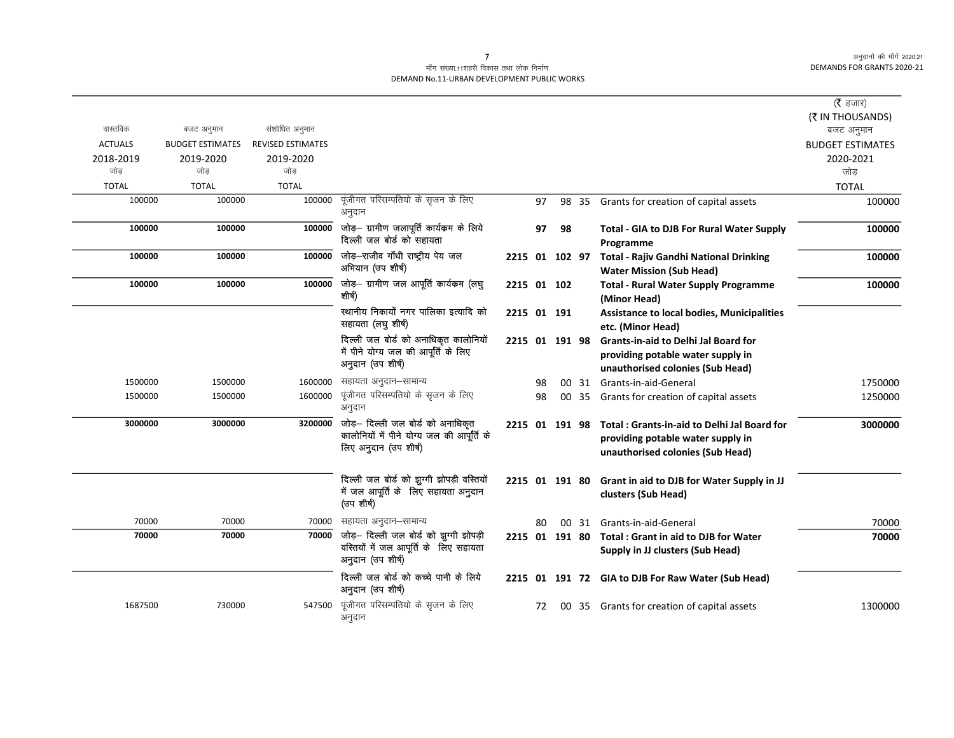#### माँग संख्या.11शहरी विकास तथा लोक निर्माण DEMAND No.11-URBAN DEVELOPMENT PUBLIC WORKS

| वास्तविक<br><b>ACTUALS</b><br>2018-2019<br>जोड<br><b>TOTAL</b><br>100000 | बजट अनुमान<br><b>BUDGET ESTIMATES</b><br>2019-2020<br>जोड<br><b>TOTAL</b><br>100000 | संशोधित अनुमान<br><b>REVISED ESTIMATES</b><br>2019-2020<br>जोड<br><b>TOTAL</b><br>100000 | पूंजीगत परिसम्पतियो के सृजन के लिए<br>अनुदान                                                                            |                | 97 |                | 98 35 | Grants for creation of capital assets                                                                                | (रै हजार)<br>(₹ IN THOUSANDS)<br>बजट अनुमान<br><b>BUDGET ESTIMATES</b><br>2020-2021<br>जोड<br><b>TOTAL</b><br>100000 |
|--------------------------------------------------------------------------|-------------------------------------------------------------------------------------|------------------------------------------------------------------------------------------|-------------------------------------------------------------------------------------------------------------------------|----------------|----|----------------|-------|----------------------------------------------------------------------------------------------------------------------|----------------------------------------------------------------------------------------------------------------------|
| 100000                                                                   | 100000                                                                              | 100000                                                                                   | जोड़— ग्रामीण जलापूर्ति कार्यकम के लिये<br>दिल्ली जल बोर्ड को सहायता                                                    |                | 97 | 98             |       | <b>Total - GIA to DJB For Rural Water Supply</b><br>Programme                                                        | 100000                                                                                                               |
| 100000                                                                   | 100000                                                                              | 100000                                                                                   | जोड़–राजीव गाँधी राष्ट्रीय पेय जल<br>अभियान (उप शीर्ष)                                                                  |                |    | 2215 01 102 97 |       | <b>Total - Rajiv Gandhi National Drinking</b><br><b>Water Mission (Sub Head)</b>                                     | 100000                                                                                                               |
| 100000                                                                   | 100000                                                                              | 100000                                                                                   | जोड़— ग्रामीण जल आपूर्ति कार्यकम (लघु<br>शीर्ष)                                                                         | 2215 01 102    |    |                |       | <b>Total - Rural Water Supply Programme</b><br>(Minor Head)                                                          | 100000                                                                                                               |
|                                                                          |                                                                                     |                                                                                          | स्थानीय निकायों नगर पालिका इत्यादि को<br>सहायता (लघु शीर्ष)                                                             | 2215 01 191    |    |                |       | <b>Assistance to local bodies, Municipalities</b><br>etc. (Minor Head)                                               |                                                                                                                      |
|                                                                          |                                                                                     |                                                                                          | दिल्ली जल बोर्ड को अनाधिकृत कालोनियों<br>में पीने योग्य जल की आपूर्ति के लिए<br>अनुदान (उप शीर्ष)                       | 2215 01 191 98 |    |                |       | <b>Grants-in-aid to Delhi Jal Board for</b><br>providing potable water supply in<br>unauthorised colonies (Sub Head) |                                                                                                                      |
| 1500000                                                                  | 1500000                                                                             | 1600000                                                                                  | सहायता अनुदान–सामान्य                                                                                                   |                | 98 |                |       | 00 31 Grants-in-aid-General                                                                                          | 1750000                                                                                                              |
| 1500000                                                                  | 1500000                                                                             | 1600000                                                                                  | पूंजीगत परिसम्पतियो के सृजन के लिए<br>अनुदान                                                                            |                | 98 |                |       | 00 35 Grants for creation of capital assets                                                                          | 1250000                                                                                                              |
| 3000000                                                                  | 3000000                                                                             | 3200000                                                                                  | जोड़— दिल्ली जल बोर्ड को अनाधिकृत<br>कालोनियों में पीने योग्य जल की आपूर्ति के<br>लिए अनुदान (उप शीर्ष)                 | 2215 01 191 98 |    |                |       | Total: Grants-in-aid to Delhi Jal Board for<br>providing potable water supply in<br>unauthorised colonies (Sub Head) | 3000000                                                                                                              |
|                                                                          |                                                                                     |                                                                                          | दिल्ली जल बोर्ड को झुग्गी झोपड़ी वस्तियों<br>में जल आपूर्ति के लिए सहायता अनुदान<br>(उप शीर्ष)                          | 2215 01 191 80 |    |                |       | Grant in aid to DJB for Water Supply in JJ<br>clusters (Sub Head)                                                    |                                                                                                                      |
| 70000                                                                    | 70000                                                                               | 70000                                                                                    | सहायता अनुदान–सामान्य                                                                                                   |                | 80 |                | 00 31 | Grants-in-aid-General                                                                                                | 70000                                                                                                                |
| 70000                                                                    | 70000                                                                               |                                                                                          | $\overline{70000}$ जोड़- दिल्ली जल बोर्ड को झुग्गी झोपड़ी<br>वस्तियों में जल आपूर्ति के लिए सहायता<br>अनुदान (उप शीर्ष) |                |    | 2215 01 191 80 |       | Total: Grant in aid to DJB for Water<br>Supply in JJ clusters (Sub Head)                                             | 70000                                                                                                                |
|                                                                          |                                                                                     |                                                                                          | दिल्ली जल बोर्ड को कच्चे पानी के लिये<br>अनुदान (उप शीर्ष)                                                              |                |    |                |       | 2215 01 191 72 GIA to DJB For Raw Water (Sub Head)                                                                   |                                                                                                                      |
| 1687500                                                                  | 730000                                                                              | 547500                                                                                   | पूंजीगत परिसम्पतियो के सृजन के लिए<br>अनुदान                                                                            |                | 72 |                |       | 00 35 Grants for creation of capital assets                                                                          | 1300000                                                                                                              |

 $\overline{7}$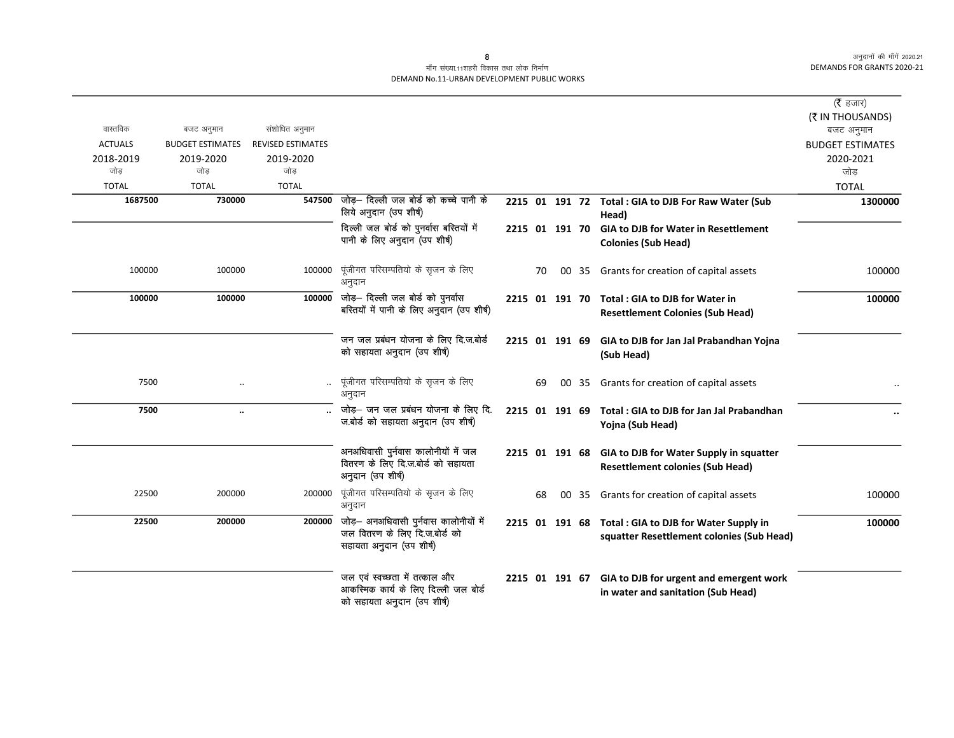|                  |                         |                          |                                                                                                                         |    |    |       |                                                                                                    | ( $\bar{\tau}$ हजार)<br>(₹ IN THOUSANDS) |
|------------------|-------------------------|--------------------------|-------------------------------------------------------------------------------------------------------------------------|----|----|-------|----------------------------------------------------------------------------------------------------|------------------------------------------|
| वास्तविक         | बजट अनुमान              | संशोधित अनुमान           |                                                                                                                         |    |    |       |                                                                                                    | बजट अनुमान                               |
| <b>ACTUALS</b>   | <b>BUDGET ESTIMATES</b> | <b>REVISED ESTIMATES</b> |                                                                                                                         |    |    |       |                                                                                                    | <b>BUDGET ESTIMATES</b>                  |
| 2018-2019<br>जोड | 2019-2020<br>जोड        | 2019-2020<br>जोड         |                                                                                                                         |    |    |       |                                                                                                    | 2020-2021<br>जोड                         |
| <b>TOTAL</b>     | <b>TOTAL</b>            | <b>TOTAL</b>             |                                                                                                                         |    |    |       |                                                                                                    | <b>TOTAL</b>                             |
| 1687500          | 730000                  | 547500                   | जोड़— दिल्ली जल बोर्ड को कच्चे पानी के<br>लिये अनुदान (उप शीर्ष)                                                        |    |    |       | 2215 01 191 72 Total : GIA to DJB For Raw Water (Sub<br>Head)                                      | 1300000                                  |
|                  |                         |                          | दिल्ली जल बोर्ड को पुनर्वास बस्तियों में<br>पानी के लिए अनुदान (उप शीर्ष)                                               |    |    |       | 2215 01 191 70 GIA to DJB for Water in Resettlement<br><b>Colonies (Sub Head)</b>                  |                                          |
| 100000           | 100000                  | 100000                   | पूंजीगत परिसम्पतियो के सृजन के लिए<br>अनुदान                                                                            | 70 |    |       | 00 35 Grants for creation of capital assets                                                        | 100000                                   |
| 100000           | 100000                  |                          | 100000 जोड़- दिल्ली जल बोर्ड को पुनर्वास<br>बस्तियों में पानी के लिए अनुदान (उप शीर्ष)                                  |    |    |       | 2215 01 191 70 Total: GIA to DJB for Water in<br><b>Resettlement Colonies (Sub Head)</b>           | 100000                                   |
|                  |                         |                          | जन जल प्रबंधन योजना के लिए दि.ज.बोर्ड<br>को सहायता अनुदान (उप शीर्ष)                                                    |    |    |       | 2215 01 191 69 GIA to DJB for Jan Jal Prabandhan Yojna<br>(Sub Head)                               |                                          |
| 7500             |                         |                          | पूंजीगत परिसम्पतियो के सृजन के लिए<br>अनुदान                                                                            | 69 | 00 | 35    | Grants for creation of capital assets                                                              |                                          |
| 7500             | $\ddot{\phantom{a}}$    |                          | जोड़- जन जल प्रबंधन योजना के लिए दि.<br>ज.बोर्ड को सहायता अनुदान (उप शीर्ष)                                             |    |    |       | 2215 01 191 69 Total: GIA to DJB for Jan Jal Prabandhan<br>Yojna (Sub Head)                        |                                          |
|                  |                         |                          | अनअधिवासी पुर्नवास कालोनीयों में जल<br>वितरण के लिए दि.ज.बोर्ड को सहायता<br>अनुदान (उप शीर्ष)                           |    |    |       | 2215 01 191 68 GIA to DJB for Water Supply in squatter<br><b>Resettlement colonies (Sub Head)</b>  |                                          |
| 22500            | 200000                  | 200000                   | पूंजीगत परिसम्पतियो के सृजन के लिए<br>अनुदान                                                                            | 68 |    | 00 35 | Grants for creation of capital assets                                                              | 100000                                   |
| 22500            | 200000                  |                          | $\overline{200000}$ जोड़- अनअधिवासी पुर्नवास कालोनीयों में<br>जल वितरण के लिए दि.ज.बोर्ड को<br>सहायता अनुदान (उप शीर्ष) |    |    |       | 2215 01 191 68 Total : GIA to DJB for Water Supply in<br>squatter Resettlement colonies (Sub Head) | 100000                                   |
|                  |                         |                          | जल एवं स्वच्छता में तत्काल और<br>आकस्मिक कार्य के लिए दिल्ली जल बोर्ड<br>को सहायता अनुदान (उप शीर्ष)                    |    |    |       | 2215 01 191 67 GIA to DJB for urgent and emergent work<br>in water and sanitation (Sub Head)       |                                          |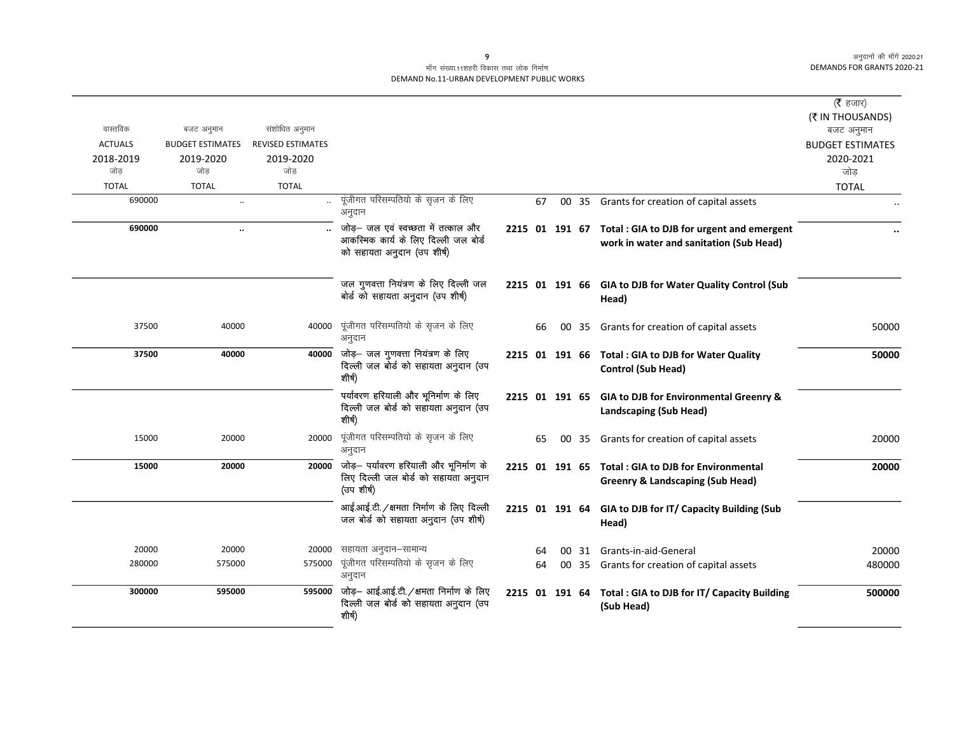#### माँग संख्या.11शहरी विकास तथा लोक निर्माण DEMAND No.11-URBAN DEVELOPMENT PUBLIC WORKS

|                  |                         |                          |                                                                                          |                |    |       |                                                                                  | (रै हजार)               |
|------------------|-------------------------|--------------------------|------------------------------------------------------------------------------------------|----------------|----|-------|----------------------------------------------------------------------------------|-------------------------|
| वास्तविक         | बजट अनुमान              | संशोधित अनुमान           |                                                                                          |                |    |       |                                                                                  | (₹ IN THOUSANDS)        |
| <b>ACTUALS</b>   | <b>BUDGET ESTIMATES</b> | <b>REVISED ESTIMATES</b> |                                                                                          |                |    |       |                                                                                  | बजट अनुमान              |
|                  |                         |                          |                                                                                          |                |    |       |                                                                                  | <b>BUDGET ESTIMATES</b> |
| 2018-2019<br>जोड | 2019-2020<br>जोड        | 2019-2020<br>जोड         |                                                                                          |                |    |       |                                                                                  | 2020-2021<br>जोड        |
| <b>TOTAL</b>     | <b>TOTAL</b>            | <b>TOTAL</b>             |                                                                                          |                |    |       |                                                                                  |                         |
|                  |                         |                          | पूंजीगत परिसम्पतियो के सृजन के लिए                                                       |                |    |       |                                                                                  | <b>TOTAL</b>            |
| 690000           | $\ddots$                | $\ddotsc$                | अनुदान                                                                                   |                | 67 |       | 00 35 Grants for creation of capital assets                                      |                         |
| 690000           | $\ddot{\phantom{a}}$    |                          | जोड़– जल एवं स्वच्छता में तत्काल और                                                      |                |    |       | 2215 01 191 67 Total : GIA to DJB for urgent and emergent                        |                         |
|                  |                         |                          | आकस्मिक कार्य के लिए दिल्ली जल बोर्ड<br>को सहायता अनुदान (उप शीर्ष)                      |                |    |       | work in water and sanitation (Sub Head)                                          |                         |
|                  |                         |                          | जल गुणवत्ता नियंत्रण के लिए दिल्ली जल<br>बोर्ड को सहायता अनुदान (उप शीर्ष)               |                |    |       | 2215 01 191 66 GIA to DJB for Water Quality Control (Sub<br>Head)                |                         |
| 37500            | 40000                   | 40000                    | पूंजीगत परिसम्पतियो के सृजन के लिए<br>अनुदान                                             |                | 66 | 00 35 | Grants for creation of capital assets                                            | 50000                   |
| 37500            | 40000                   | 40000                    | जोड़— जल गुणवत्ता नियंत्रण के लिए<br>दिल्ली जल बोर्ड को सहायता अनुदान (उप<br>शीर्ष)      |                |    |       | 2215 01 191 66 Total : GIA to DJB for Water Quality<br><b>Control (Sub Head)</b> | 50000                   |
|                  |                         |                          | पर्यावरण हरियाली और भूनिर्माण के लिए<br>दिल्ली जल बोर्ड को सहायता अनुदान (उप<br>शीर्ष)   |                |    |       | 2215 01 191 65 GIA to DJB for Environmental Greenry &<br>Landscaping (Sub Head)  |                         |
| 15000            | 20000                   | 20000                    | पूंजीगत परिसम्पतियो के सृजन के लिए<br>अनुदान                                             |                | 65 | 00 35 | Grants for creation of capital assets                                            | 20000                   |
| 15000            | 20000                   | 20000                    | जोड़— पर्यावरण हरियाली और भूनिर्माण के                                                   | 2215 01 191 65 |    |       | <b>Total: GIA to DJB for Environmental</b>                                       | 20000                   |
|                  |                         |                          | लिए दिल्ली जल बोर्ड को सहायता अनुदान<br>(उप शीर्ष)                                       |                |    |       | <b>Greenry &amp; Landscaping (Sub Head)</b>                                      |                         |
|                  |                         |                          | आई.आई.टी. / क्षमता निर्माण के लिए दिल्ली<br>जल बोर्ड को सहायता अनुदान (उप शीर्ष)         |                |    |       | 2215 01 191 64 GIA to DJB for IT/ Capacity Building (Sub<br>Head)                |                         |
| 20000            | 20000                   | 20000                    | सहायता अनुदान–सामान्य                                                                    |                | 64 | 00 31 | Grants-in-aid-General                                                            | 20000                   |
| 280000           | 575000                  | 575000                   | पूंजीगत परिसम्पतियो के सृजन के लिए<br>अनुदान                                             |                | 64 |       | 00 35 Grants for creation of capital assets                                      | 480000                  |
| 300000           | 595000                  | 595000                   | जोड़- आई.आई.टी. /क्षमता निर्माण के लिए<br>दिल्ली जल बोर्ड को सहायता अनुदान (उप<br>शीर्ष) |                |    |       | 2215 01 191 64 Total : GIA to DJB for IT/ Capacity Building<br>(Sub Head)        | 500000                  |

 $\overline{9}$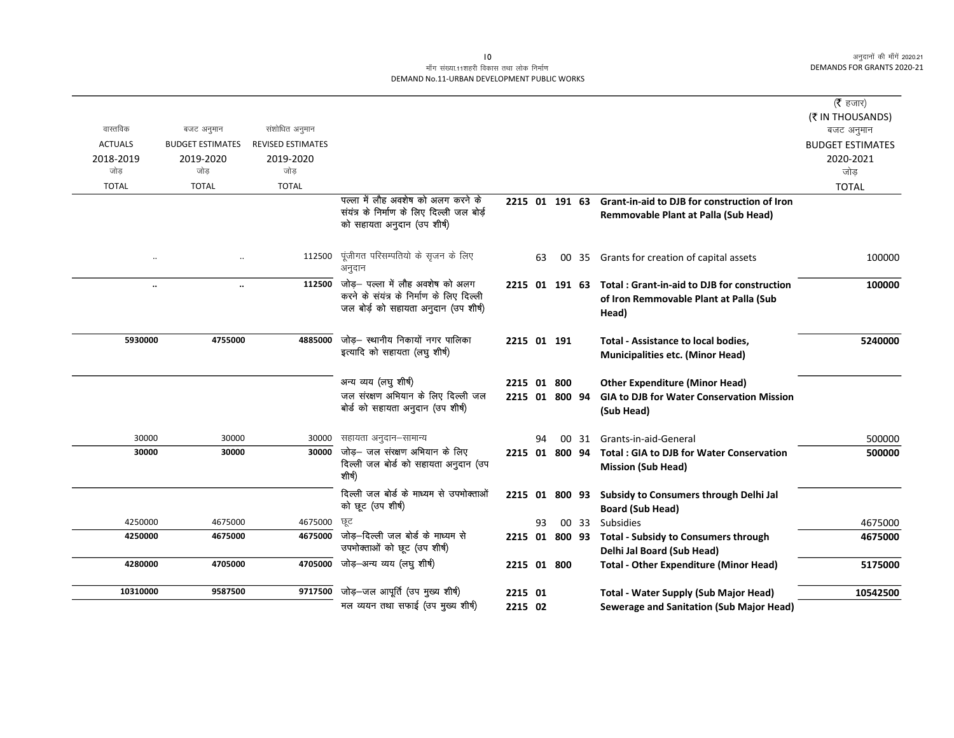|                |                         |                          |                                                                                   |             |    |                |       |                                                                                   | ( $\bar{\tau}$ हजार)    |
|----------------|-------------------------|--------------------------|-----------------------------------------------------------------------------------|-------------|----|----------------|-------|-----------------------------------------------------------------------------------|-------------------------|
|                |                         |                          |                                                                                   |             |    |                |       |                                                                                   | (₹ IN THOUSANDS)        |
| वास्तविक       | बजट अनुमान              | संशोधित अनुमान           |                                                                                   |             |    |                |       |                                                                                   | बजट अनुमान              |
| <b>ACTUALS</b> | <b>BUDGET ESTIMATES</b> | <b>REVISED ESTIMATES</b> |                                                                                   |             |    |                |       |                                                                                   | <b>BUDGET ESTIMATES</b> |
| 2018-2019      | 2019-2020               | 2019-2020                |                                                                                   |             |    |                |       |                                                                                   | 2020-2021               |
| जोड            | जोड                     | जोड                      |                                                                                   |             |    |                |       |                                                                                   | जोड                     |
| <b>TOTAL</b>   | <b>TOTAL</b>            | <b>TOTAL</b>             |                                                                                   |             |    |                |       |                                                                                   | <b>TOTAL</b>            |
|                |                         |                          | पल्ला में लौह अवशेष को अलग करने के                                                |             |    | 2215 01 191 63 |       | <b>Grant-in-aid to DJB for construction of Iron</b>                               |                         |
|                |                         |                          | संयंत्र के निर्माण के लिए दिल्ली जल बोर्ड़<br>को सहायता अनुदान (उप शीर्ष)         |             |    |                |       | Remmovable Plant at Palla (Sub Head)                                              |                         |
|                |                         |                          |                                                                                   |             |    |                |       |                                                                                   |                         |
| $\ddotsc$      |                         | 112500                   | पूंजीगत परिसम्पतियो के सृजन के लिए<br>अनुदान                                      |             | 63 |                |       | 00 35 Grants for creation of capital assets                                       | 100000                  |
| $\ddotsc$      | $\ddot{\phantom{a}}$    | 112500                   | जोड़– पल्ला में लौह अवशेष को अलग                                                  |             |    | 2215 01 191 63 |       | Total: Grant-in-aid to DJB for construction                                       | 100000                  |
|                |                         |                          | करने के संयंत्र के निर्माण के लिए दिल्ली<br>जल बोर्ड़ को सहायता अनुदान (उप शीर्ष) |             |    |                |       | of Iron Remmovable Plant at Palla (Sub<br>Head)                                   |                         |
| 5930000        | 4755000                 | 4885000                  | जोड़– स्थानीय निकायों नगर पालिका                                                  |             |    | 2215 01 191    |       | <b>Total - Assistance to local bodies,</b>                                        | 5240000                 |
|                |                         |                          | इत्यादि को सहायता (लघु शीर्ष)                                                     |             |    |                |       | <b>Municipalities etc. (Minor Head)</b>                                           |                         |
|                |                         |                          | अन्य व्यय (लघु शीर्ष)                                                             | 2215 01 800 |    |                |       | <b>Other Expenditure (Minor Head)</b>                                             |                         |
|                |                         |                          | जल संरक्षण अभियान के लिए दिल्ली जल<br>बोर्ड को सहायता अनुदान (उप शीर्ष)           |             |    | 2215 01 800 94 |       | <b>GIA to DJB for Water Conservation Mission</b><br>(Sub Head)                    |                         |
| 30000          | 30000                   | 30000                    | सहायता अनुदान–सामान्य                                                             |             | 94 |                | 00 31 | Grants-in-aid-General                                                             | 500000                  |
| 30000          | 30000                   | 30000                    | जोड़- जल संरक्षण अभियान के लिए<br>दिल्ली जल बोर्ड को सहायता अनुदान (उप<br>शीर्ष)  |             |    | 2215 01 800 94 |       | <b>Total: GIA to DJB for Water Conservation</b><br><b>Mission (Sub Head)</b>      | 500000                  |
|                |                         |                          | दिल्ली जल बोर्ड के माध्यम से उपभोक्ताओं<br>को छूट (उप शीर्ष)                      |             |    |                |       | 2215 01 800 93 Subsidy to Consumers through Delhi Jal<br><b>Board (Sub Head)</b>  |                         |
| 4250000        | 4675000                 | 4675000                  | छट                                                                                |             | 93 |                | 00 33 | Subsidies                                                                         | 4675000                 |
| 4250000        | 4675000                 | 4675000                  | जोड—दिल्ली जल बोर्ड के माध्यम से<br>उपमोक्ताओं को छूट (उप शीर्ष)                  |             |    |                |       | 2215 01 800 93 Total - Subsidy to Consumers through<br>Delhi Jal Board (Sub Head) | 4675000                 |
| 4280000        | 4705000                 | 4705000                  | जोड़–अन्य व्यय (लघु शीर्ष)                                                        | 2215 01 800 |    |                |       | <b>Total - Other Expenditure (Minor Head)</b>                                     | 5175000                 |
| 10310000       | 9587500                 | 9717500                  | जोड़-जल आपूर्ति (उप मुख्य शीर्ष)                                                  | 2215 01     |    |                |       | <b>Total - Water Supply (Sub Major Head)</b>                                      | 10542500                |
|                |                         |                          | मल व्ययन तथा सफाई (उप मुख्य शीर्ष)                                                | 2215 02     |    |                |       | <b>Sewerage and Sanitation (Sub Major Head)</b>                                   |                         |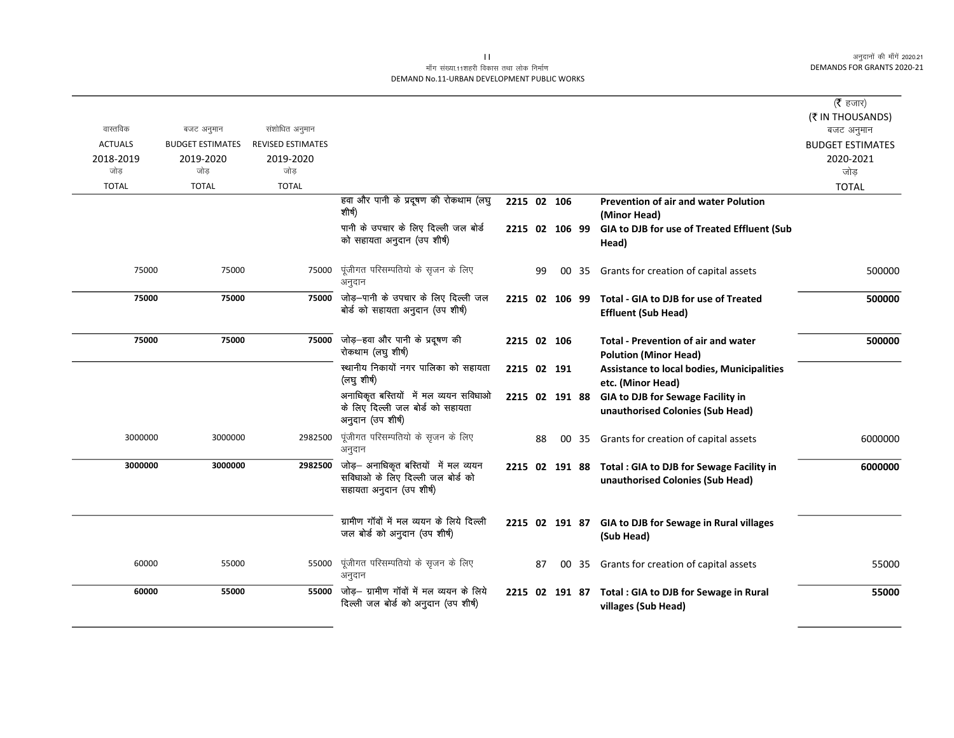## माँग संख्या.11शहरी विकास तथा लोक निर्माण DEMAND No.11-URBAN DEVELOPMENT PUBLIC WORKS

|                |                         |                          |                                                                                                       |                |    |       |                                                                               | ( $\bar{\tau}$ हजार)           |
|----------------|-------------------------|--------------------------|-------------------------------------------------------------------------------------------------------|----------------|----|-------|-------------------------------------------------------------------------------|--------------------------------|
| वास्तविक       | बजट अनुमान              | संशोधित अनुमान           |                                                                                                       |                |    |       |                                                                               | (₹ IN THOUSANDS)<br>बजट अनुमान |
| <b>ACTUALS</b> | <b>BUDGET ESTIMATES</b> | <b>REVISED ESTIMATES</b> |                                                                                                       |                |    |       |                                                                               | <b>BUDGET ESTIMATES</b>        |
| 2018-2019      | 2019-2020               | 2019-2020                |                                                                                                       |                |    |       |                                                                               | 2020-2021                      |
| जोड            | जोड                     | जोड                      |                                                                                                       |                |    |       |                                                                               | जोड                            |
| <b>TOTAL</b>   | <b>TOTAL</b>            | <b>TOTAL</b>             |                                                                                                       |                |    |       |                                                                               | <b>TOTAL</b>                   |
|                |                         |                          | हवा और पानी के प्रदूषण की रोकथाम (लघु                                                                 | 2215 02 106    |    |       | <b>Prevention of air and water Polution</b>                                   |                                |
|                |                         |                          | शीर्ष)                                                                                                |                |    |       | (Minor Head)                                                                  |                                |
|                |                         |                          | पानी के उपचार के लिए दिल्ली जल बोर्ड<br>को सहायता अनुदान (उप शीर्ष)                                   | 2215 02 106 99 |    |       | GIA to DJB for use of Treated Effluent (Sub<br>Head)                          |                                |
| 75000          | 75000                   | 75000                    | पूंजीगत परिसम्पतियो के सृजन के लिए<br>अनुदान                                                          |                | 99 | 00 35 | Grants for creation of capital assets                                         | 500000                         |
| 75000          | 75000                   | 75000                    | जोड़—पानी के उपचार के लिए दिल्ली जल<br>बोर्ड को सहायता अनुदान (उप शीर्ष)                              | 2215 02 106 99 |    |       | <b>Total - GIA to DJB for use of Treated</b><br><b>Effluent (Sub Head)</b>    | 500000                         |
| 75000          | 75000                   | 75000                    | जोड़—हवा और पानी के प्रदूषण की<br>रोकथाम (लघु शीर्ष)                                                  | 2215 02 106    |    |       | <b>Total - Prevention of air and water</b><br><b>Polution (Minor Head)</b>    | 500000                         |
|                |                         |                          | स्थानीय निकायों नगर पालिका को सहायता<br>(लघु शीर्ष)                                                   | 2215 02 191    |    |       | <b>Assistance to local bodies, Municipalities</b><br>etc. (Minor Head)        |                                |
|                |                         |                          | अनाधिकृत बस्तियों में मल व्ययन सविधाओ<br>के लिए दिल्ली जल बोर्ड को सहायता<br>अनुदान (उप शीर्ष)        | 2215 02 191 88 |    |       | GIA to DJB for Sewage Facility in<br>unauthorised Colonies (Sub Head)         |                                |
| 3000000        | 3000000                 | 2982500                  | पूंजीगत परिसम्पतियो के सृजन के लिए<br>अनुदान                                                          |                | 88 |       | 00 35 Grants for creation of capital assets                                   | 6000000                        |
| 3000000        | 3000000                 | 2982500                  | जोड़- अनाधिकृत बस्तियों में मल व्ययन<br>सविधाओं के लिए दिल्ली जल बोर्ड को<br>सहायता अनुदान (उप शीर्ष) | 2215 02 191 88 |    |       | Total : GIA to DJB for Sewage Facility in<br>unauthorised Colonies (Sub Head) | 6000000                        |
|                |                         |                          | ग्रामीण गॉवों में मल व्ययन के लिये दिल्ली<br>जल बोर्ड को अनुदान (उप शीर्ष)                            | 2215 02 191 87 |    |       | <b>GIA to DJB for Sewage in Rural villages</b><br>(Sub Head)                  |                                |
| 60000          | 55000                   | 55000                    | पूंजीगत परिसम्पतियो के सृजन के लिए<br>अनुदान                                                          |                | 87 | 00 35 | Grants for creation of capital assets                                         | 55000                          |
| 60000          | 55000                   | 55000                    | जोड़— ग्रामीण गॉवों में मल व्ययन के लिये<br>दिल्ली जल बोर्ड को अनुदान (उप शीर्ष)                      | 2215 02 191 87 |    |       | Total : GIA to DJB for Sewage in Rural<br>villages (Sub Head)                 | 55000                          |

 $\overline{\mathbf{H}}$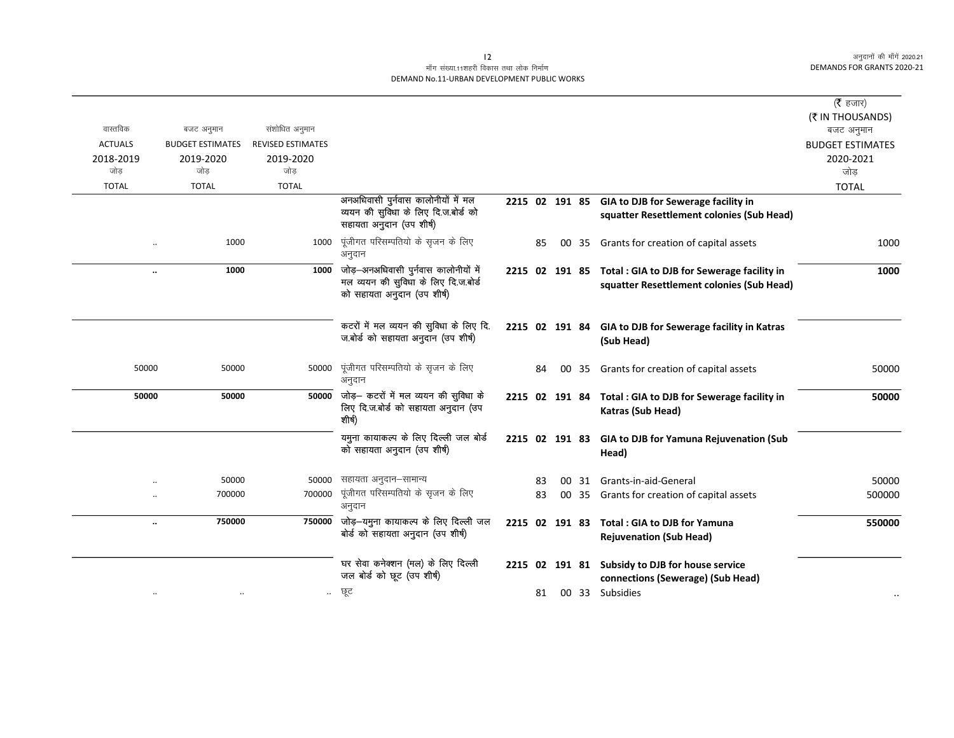|                            |                                       |                                            |                                                                                                           |                |    |    |       |                                                                         | ( $\bar{\tau}$ हजार)                 |
|----------------------------|---------------------------------------|--------------------------------------------|-----------------------------------------------------------------------------------------------------------|----------------|----|----|-------|-------------------------------------------------------------------------|--------------------------------------|
|                            |                                       |                                            |                                                                                                           |                |    |    |       |                                                                         | (₹ IN THOUSANDS)                     |
| वास्तविक<br><b>ACTUALS</b> | बजट अनुमान<br><b>BUDGET ESTIMATES</b> | संशोधित अनुमान<br><b>REVISED ESTIMATES</b> |                                                                                                           |                |    |    |       |                                                                         | बजट अनुमान                           |
| 2018-2019                  | 2019-2020                             | 2019-2020                                  |                                                                                                           |                |    |    |       |                                                                         | <b>BUDGET ESTIMATES</b><br>2020-2021 |
| जोड                        | जोड                                   | जोड                                        |                                                                                                           |                |    |    |       |                                                                         | जोड                                  |
| <b>TOTAL</b>               | <b>TOTAL</b>                          | <b>TOTAL</b>                               |                                                                                                           |                |    |    |       |                                                                         | <b>TOTAL</b>                         |
|                            |                                       |                                            | अनअधिवासी पुर्नवास कालोनीयों में मल                                                                       |                |    |    |       | 2215 02 191 85 GIA to DJB for Sewerage facility in                      |                                      |
|                            |                                       |                                            | व्ययन की सुविधा के लिए दि.ज.बोर्ड को<br>सहायता अनुदान (उप शीर्ष)                                          |                |    |    |       | squatter Resettlement colonies (Sub Head)                               |                                      |
|                            | 1000                                  | 1000                                       | पूंजीगत परिसम्पतियो के सृजन के लिए<br>अनुदान                                                              |                | 85 |    |       | 00 35 Grants for creation of capital assets                             | 1000                                 |
| $\ldots$                   | 1000                                  | 1000                                       | जोड़—अनअधिवासी पुर्नवास कालोनीयों में<br>मल व्ययन की सुविधा के लिए दि.ज.बोर्ड                             | 2215 02 191 85 |    |    |       | Total: GIA to DJB for Sewerage facility in                              | 1000                                 |
|                            |                                       |                                            | को सहायता अनुदान (उप शीर्ष)                                                                               |                |    |    |       | squatter Resettlement colonies (Sub Head)                               |                                      |
|                            |                                       |                                            | कटरों में मल व्ययन की सुविधा के लिए दि.<br>ज.बोर्ड को सहायता अनुदान (उप शीर्ष)                            |                |    |    |       | 2215 02 191 84 GIA to DJB for Sewerage facility in Katras<br>(Sub Head) |                                      |
| 50000                      | 50000                                 | 50000                                      | पूंजीगत परिसम्पतियो के सृजन के लिए<br>अनुदान                                                              |                | 84 | 00 | -35   | Grants for creation of capital assets                                   | 50000                                |
| 50000                      | 50000                                 |                                            | $\overline{50000}$ जोड़- कटरों में मल व्ययन की सुविधा के<br>लिए दि.ज.बोर्ड को सहायता अनुदान (उप<br>शीर्ष) | 2215 02 191 84 |    |    |       | Total : GIA to DJB for Sewerage facility in<br>Katras (Sub Head)        | 50000                                |
|                            |                                       |                                            | यमुना कायाकल्प के लिए दिल्ली जल बोर्ड<br>को सहायता अनुदान (उप शीर्ष)                                      |                |    |    |       | 2215 02 191 83 GIA to DJB for Yamuna Rejuvenation (Sub<br>Head)         |                                      |
|                            | 50000                                 | 50000                                      | सहायता अनुदान–सामान्य                                                                                     |                | 83 | 00 | 31    | Grants-in-aid-General                                                   | 50000                                |
|                            | 700000                                | 700000                                     | पूंजीगत परिसम्पतियो के सृजन के लिए                                                                        |                | 83 |    | 00 35 | Grants for creation of capital assets                                   | 500000                               |
|                            |                                       |                                            | अनुदान                                                                                                    |                |    |    |       |                                                                         |                                      |
| $\ddot{\phantom{0}}$       | 750000                                |                                            | 750000 जोड़-यमुना कायाकल्प के लिए दिल्ली जल<br>बोर्ड को सहायता अनुदान (उप शीर्ष)                          | 2215 02 191 83 |    |    |       | Total: GIA to DJB for Yamuna<br><b>Rejuvenation (Sub Head)</b>          | 550000                               |
|                            |                                       |                                            | घर सेवा कनेक्शन (मल) के लिए दिल्ली<br>जल बोर्ड को छूट (उप शीर्ष)                                          | 2215 02 191 81 |    |    |       | Subsidy to DJB for house service<br>connections (Sewerage) (Sub Head)   |                                      |
| $\ddotsc$                  |                                       | $\ddotsc$                                  | छूट                                                                                                       |                | 81 |    |       | 00 33 Subsidies                                                         | $\bullet$ .                          |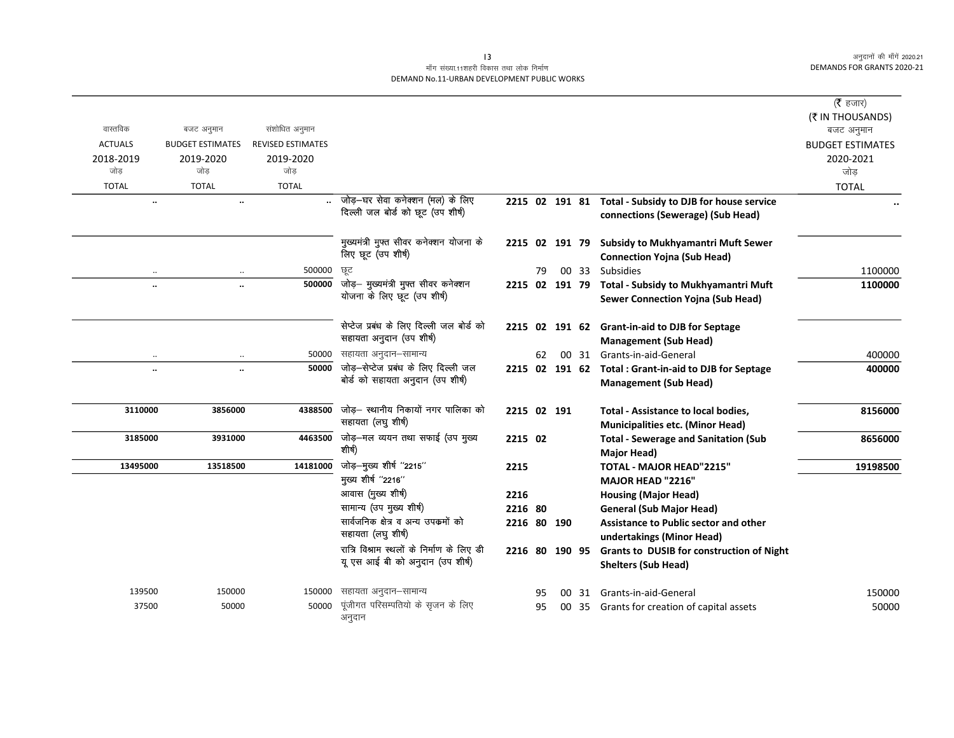## माँग संख्या.11शहरी विकास तथा लोक निर्माण DEMAND No.11-URBAN DEVELOPMENT PUBLIC WORKS

| वास्तविक<br><b>ACTUALS</b><br>2018-2019<br>जोड<br><b>TOTAL</b> | बजट अनुमान<br><b>BUDGET ESTIMATES</b><br>2019-2020<br>जोड<br><b>TOTAL</b> | संशोधित अनुमान<br><b>REVISED ESTIMATES</b><br>2019-2020<br>जोड<br><b>TOTAL</b> |                                                                                                                                                                                                                                                 |                                                          |          |       |                                                                                                                                                                                                                                                                                       | ( <b>रै</b> हजार)<br>(₹ IN THOUSANDS)<br>बजट अनुमान<br><b>BUDGET ESTIMATES</b><br>2020-2021<br>जोड<br><b>TOTAL</b> |
|----------------------------------------------------------------|---------------------------------------------------------------------------|--------------------------------------------------------------------------------|-------------------------------------------------------------------------------------------------------------------------------------------------------------------------------------------------------------------------------------------------|----------------------------------------------------------|----------|-------|---------------------------------------------------------------------------------------------------------------------------------------------------------------------------------------------------------------------------------------------------------------------------------------|--------------------------------------------------------------------------------------------------------------------|
|                                                                | $\ddotsc$<br>$\ldots$                                                     |                                                                                | जोड़—घर सेवा कनेक्शन (मल) के लिए<br>दिल्ली जल बोर्ड को छूट (उप शीर्ष)                                                                                                                                                                           |                                                          |          |       | 2215 02 191 81 Total - Subsidy to DJB for house service<br>connections (Sewerage) (Sub Head)                                                                                                                                                                                          |                                                                                                                    |
|                                                                |                                                                           |                                                                                | मुख्यमंत्री मुफ्त सीवर कनेक्शन योजना के<br>लिए छूट (उप शीर्ष)                                                                                                                                                                                   |                                                          |          |       | 2215 02 191 79 Subsidy to Mukhyamantri Muft Sewer<br><b>Connection Yojna (Sub Head)</b>                                                                                                                                                                                               |                                                                                                                    |
|                                                                | $\ddotsc$<br>$\ddotsc$<br>$\ddotsc$<br>$\ddotsc$                          | 500000<br>500000                                                               | ਯੂਟ<br>जोड़- मुख्यमंत्री मुफ्त सीवर कनेक्शन<br>योजना के लिए छूट (उप शीष)                                                                                                                                                                        |                                                          | 79       |       | 00 33 Subsidies<br>2215 02 191 79 Total - Subsidy to Mukhyamantri Muft<br><b>Sewer Connection Yojna (Sub Head)</b>                                                                                                                                                                    | 1100000<br>1100000                                                                                                 |
|                                                                |                                                                           |                                                                                | सेप्टेज प्रबंध के लिए दिल्ली जल बोर्ड को<br>सहायता अनुदान (उप शीर्ष)                                                                                                                                                                            |                                                          |          |       | 2215 02 191 62 Grant-in-aid to DJB for Septage<br><b>Management (Sub Head)</b>                                                                                                                                                                                                        |                                                                                                                    |
|                                                                | $\ddotsc$<br>$\ldots$                                                     | 50000                                                                          | सहायता अनुदान–सामान्य                                                                                                                                                                                                                           |                                                          | 62       |       | 00 31 Grants-in-aid-General                                                                                                                                                                                                                                                           | 400000                                                                                                             |
|                                                                | $\ddotsc$<br>$\ddotsc$                                                    | 50000                                                                          | जोड़—सेप्टेज प्रबंध के लिए दिल्ली जल<br>बोर्ड को सहायता अनुदान (उप शीर्ष)                                                                                                                                                                       |                                                          |          |       | 2215 02 191 62 Total: Grant-in-aid to DJB for Septage<br><b>Management (Sub Head)</b>                                                                                                                                                                                                 | 400000                                                                                                             |
| 3110000                                                        | 3856000                                                                   | 4388500                                                                        | जोड़– स्थानीय निकायों नगर पालिका को<br>सहायता (लघु शीर्ष)                                                                                                                                                                                       | 2215 02 191                                              |          |       | Total - Assistance to local bodies,<br><b>Municipalities etc. (Minor Head)</b>                                                                                                                                                                                                        | 8156000                                                                                                            |
| 3185000                                                        | 3931000                                                                   |                                                                                | 4463500 जोड़-मल व्ययन तथा सफाई (उप मुख्य<br>शीर्ष)                                                                                                                                                                                              | 2215 02                                                  |          |       | <b>Total - Sewerage and Sanitation (Sub</b><br>Major Head)                                                                                                                                                                                                                            | 8656000                                                                                                            |
| 13495000                                                       | 13518500                                                                  | 14181000                                                                       | जोड़—मुख्य शीर्ष "2215"<br>मुख्य शीर्ष "2216"<br>आवास (मुख्य शीर्ष)<br>सामान्य (उप मुख्य शीर्ष)<br>सार्वजनिक क्षेत्र व अन्य उपक्रमों को<br>सहायता (लघु शीर्ष)<br>रात्रि विश्राम स्थलों के निर्माण के लिए डी<br>यू एस आई बी को अनुदान (उप शीर्ष) | 2215<br>2216<br>2216 80<br>2216 80 190<br>2216 80 190 95 |          |       | <b>TOTAL - MAJOR HEAD"2215"</b><br><b>MAJOR HEAD "2216"</b><br><b>Housing (Major Head)</b><br><b>General (Sub Major Head)</b><br><b>Assistance to Public sector and other</b><br>undertakings (Minor Head)<br>Grants to DUSIB for construction of Night<br><b>Shelters (Sub Head)</b> | 19198500                                                                                                           |
| 139500<br>37500                                                | 150000<br>50000                                                           | 150000<br>50000                                                                | सहायता अनुदान–सामान्य<br>पूंजीगत परिसम्पतियो के सृजन के लिए<br>अनुदान                                                                                                                                                                           |                                                          | 95<br>95 | 00 31 | Grants-in-aid-General<br>00 35 Grants for creation of capital assets                                                                                                                                                                                                                  | 150000<br>50000                                                                                                    |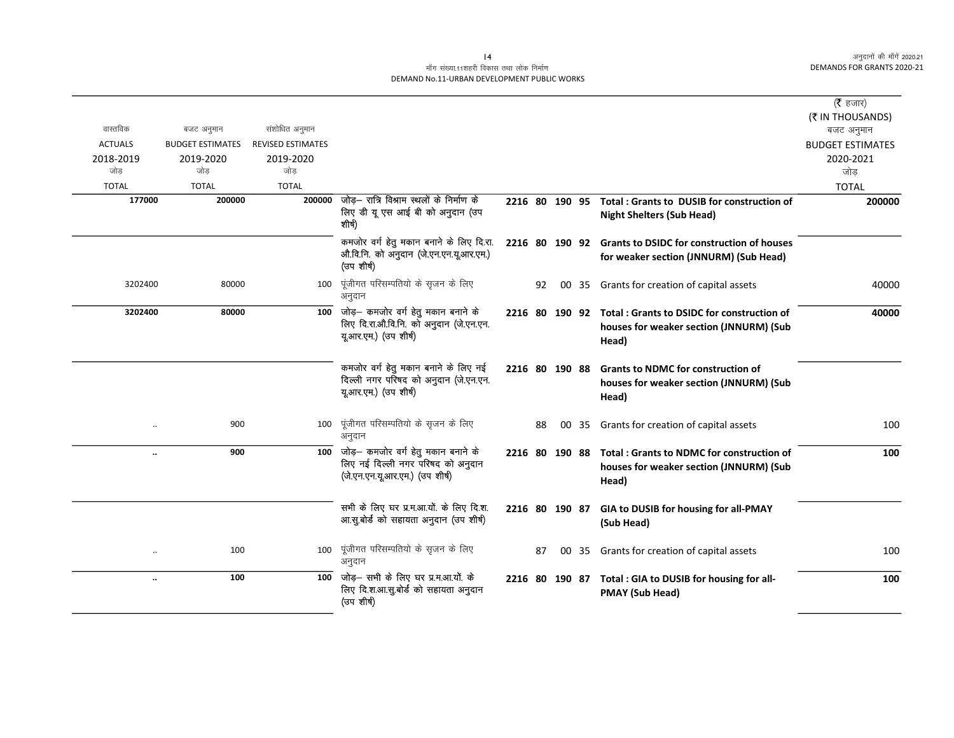| ( $\bar{\mathfrak{F}}$ हजार) |                                                                                                               |       |    |    |                |                                                                                                                              |                          |                         |                      |
|------------------------------|---------------------------------------------------------------------------------------------------------------|-------|----|----|----------------|------------------------------------------------------------------------------------------------------------------------------|--------------------------|-------------------------|----------------------|
| (₹ IN THOUSANDS)             |                                                                                                               |       |    |    |                |                                                                                                                              |                          |                         |                      |
| बजट अनुमान                   |                                                                                                               |       |    |    |                |                                                                                                                              | संशोधित अनुमान           | बजट अनुमान              | वास्तविक             |
| <b>BUDGET ESTIMATES</b>      |                                                                                                               |       |    |    |                |                                                                                                                              | <b>REVISED ESTIMATES</b> | <b>BUDGET ESTIMATES</b> | <b>ACTUALS</b>       |
| 2020-2021<br>जोड             |                                                                                                               |       |    |    |                |                                                                                                                              | 2019-2020<br>जोड         | 2019-2020<br>जोड        | 2018-2019<br>जोड     |
| <b>TOTAL</b>                 |                                                                                                               |       |    |    |                |                                                                                                                              | <b>TOTAL</b>             | <b>TOTAL</b>            | <b>TOTAL</b>         |
| 200000                       | Total: Grants to DUSIB for construction of                                                                    |       |    |    | 2216 80 190 95 | जोड़— रात्रि विश्राम स्थलों के निर्माण के                                                                                    | 200000                   | 200000                  | 177000               |
|                              | <b>Night Shelters (Sub Head)</b>                                                                              |       |    |    |                | लिए डी यू एस आई बी को अनुदान (उप<br>शीर्ष)                                                                                   |                          |                         |                      |
|                              | 2216 80 190 92 Grants to DSIDC for construction of houses                                                     |       |    |    |                | कमजोर वर्ग हेतु मकान बनाने के लिए दि.रा.                                                                                     |                          |                         |                      |
|                              | for weaker section (JNNURM) (Sub Head)                                                                        |       |    |    |                | औ.वि.नि. को अनुदान (जे.एन.एन.यू.आर.एम.)<br>(उप शीर्ष)                                                                        |                          |                         |                      |
| 40000                        | 00 35 Grants for creation of capital assets                                                                   |       |    | 92 |                | पूंजीगत परिसम्पतियो के सृजन के लिए<br>अनुदान                                                                                 | 100                      | 80000                   | 3202400              |
| 40000                        | 2216 80 190 92 Total: Grants to DSIDC for construction of<br>houses for weaker section (JNNURM) (Sub<br>Head) |       |    |    |                | जोड़— कमजोर वर्ग हेतु मकान बनाने के<br>लिए दि.रा.औ.वि.नि. को अनुदान (जे.एन.एन.<br>यू.आर.एम.) (उप शीर्ष)                      | 100                      | 80000                   | 3202400              |
|                              | <b>Grants to NDMC for construction of</b><br>houses for weaker section (JNNURM) (Sub<br>Head)                 |       |    |    | 2216 80 190 88 | कमजोर वर्ग हेतु मकान बनाने के लिए नई<br>दिल्ली नगर परिषद को अनुदान (जे.एन.एन.<br>यू.आर.एम.) (उप शीर्ष)                       |                          |                         |                      |
| 100                          | Grants for creation of capital assets                                                                         | 35    | 00 | 88 |                | पूंजीगत परिसम्पतियो के सृजन के लिए<br>अनुदान                                                                                 | 100                      | 900                     | $\ddot{\phantom{0}}$ |
| 100                          | Total: Grants to NDMC for construction of<br>houses for weaker section (JNNURM) (Sub<br>Head)                 |       |    |    | 2216 80 190 88 | $\overline{100}$ जोड़- कमजोर वर्ग हेतु मकान बनाने के<br>लिए नई दिल्ली नगर परिषद को अनुदान<br>(जे.एन.एन.यू.आर.एम.) (उप शीर्ष) |                          | 900                     | $\ddot{\phantom{a}}$ |
|                              | 2216 80 190 87 GIA to DUSIB for housing for all-PMAY<br>(Sub Head)                                            |       |    |    |                | सभी के लिए घर प्र.म.आ.यों. के लिए दि.श.<br>आ.सु.बोर्ड को सहायता अनुदान (उप शीर्ष)                                            |                          |                         |                      |
| 100                          | Grants for creation of capital assets                                                                         | 00 35 |    | 87 |                | पूंजीगत परिसम्पतियो के सृजन के लिए<br>अनुदान                                                                                 | 100                      | 100                     | $\ddotsc$            |
| 100                          | 2216 80 190 87 Total : GIA to DUSIB for housing for all-<br><b>PMAY (Sub Head)</b>                            |       |    |    |                | $\overline{100}$ जोड़- सभी के लिए घर प्र.म.आ.यों. के<br>लिए दि.श.आ.सु.बोर्ड को सहायता अनुदान<br>(उप शीर्ष)                   |                          | 100                     | $\ldots$             |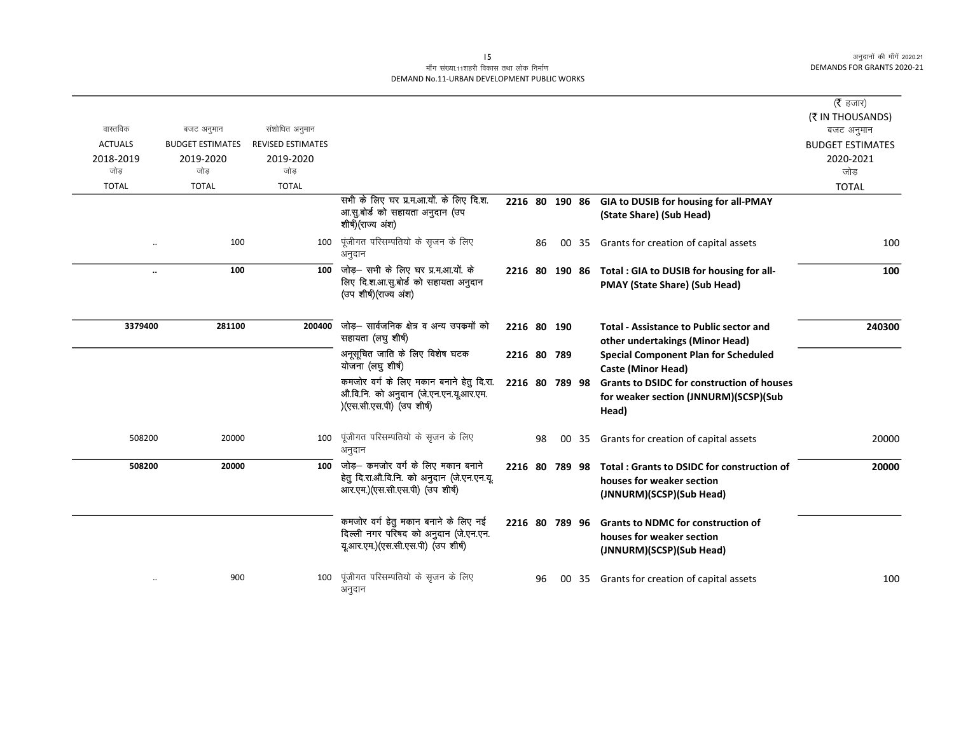| ( $\bar{\tau}$ हजार)    |                                                                                                     |       |    |                |                                                                                                                      |                          |                         |                |
|-------------------------|-----------------------------------------------------------------------------------------------------|-------|----|----------------|----------------------------------------------------------------------------------------------------------------------|--------------------------|-------------------------|----------------|
| (₹ IN THOUSANDS)        |                                                                                                     |       |    |                |                                                                                                                      |                          |                         |                |
| बजट अनुमान              |                                                                                                     |       |    |                |                                                                                                                      | संशोधित अनुमान           | बजट अनुमान              | वास्तविक       |
| <b>BUDGET ESTIMATES</b> |                                                                                                     |       |    |                |                                                                                                                      | <b>REVISED ESTIMATES</b> | <b>BUDGET ESTIMATES</b> | <b>ACTUALS</b> |
| 2020-2021               |                                                                                                     |       |    |                |                                                                                                                      | 2019-2020                | 2019-2020               | 2018-2019      |
| जोड                     |                                                                                                     |       |    |                |                                                                                                                      | जोड                      | जोड                     | जोड            |
| <b>TOTAL</b>            |                                                                                                     |       |    |                |                                                                                                                      | <b>TOTAL</b>             | <b>TOTAL</b>            | <b>TOTAL</b>   |
|                         | 2216 80 190 86 GIA to DUSIB for housing for all-PMAY                                                |       |    |                | सभी के लिए घर प्र.म.आ.यों. के लिए दि.श.                                                                              |                          |                         |                |
|                         | (State Share) (Sub Head)                                                                            |       |    |                | आ.सु.बोर्ड को सहायता अनुदान (उप<br>शीर्ष)(राज्य अंश)                                                                 |                          |                         |                |
| 100                     | Grants for creation of capital assets                                                               | 00 35 | 86 |                | पूंजीगत परिसम्पतियो के सृजन के लिए<br>अनुदान                                                                         | 100                      | 100                     |                |
| 100                     | Total : GIA to DUSIB for housing for all-                                                           |       |    | 2216 80 190 86 | जोड़– सभी के लिए घर प्र.म.आ.यों. के                                                                                  | 100                      | 100                     | $\ldots$       |
|                         | <b>PMAY (State Share) (Sub Head)</b>                                                                |       |    |                | लिए दि.श.आ.सु.बोर्ड को सहायता अनुदान<br>(उप शीर्ष)(राज्य अंश)                                                        |                          |                         |                |
| 240300                  | <b>Total - Assistance to Public sector and</b><br>other undertakings (Minor Head)                   |       |    | 2216 80 190    | जोड़- सार्वजनिक क्षेत्र व अन्य उपकर्मो को<br>सहायता (लघु शीर्ष)                                                      | 200400                   | 281100                  | 3379400        |
|                         | <b>Special Component Plan for Scheduled</b><br><b>Caste (Minor Head)</b>                            |       |    | 2216 80 789    | अनूसूचित जाति के लिए विशेष घटक<br>योजना (लघु शीर्ष)                                                                  |                          |                         |                |
|                         | <b>Grants to DSIDC for construction of houses</b>                                                   |       |    | 2216 80 789 98 | कमजोर वर्ग के लिए मकान बनाने हेतु दि.रा.                                                                             |                          |                         |                |
|                         | for weaker section (JNNURM)(SCSP)(Sub<br>Head)                                                      |       |    |                | औ.वि.नि. को अनुदान (जे.एन.एन.यू.आर.एम.<br>)(एस.सी.एस.पी) (उप शीर्ष)                                                  |                          |                         |                |
| 20000                   | Grants for creation of capital assets                                                               | 00 35 | 98 |                | पूंजीगत परिसम्पतियो के सृजन के लिए<br>अनुदान                                                                         | 100                      | 20000                   | 508200         |
| 20000                   | Total: Grants to DSIDC for construction of<br>houses for weaker section<br>(JNNURM)(SCSP)(Sub Head) |       |    | 2216 80 789 98 | जोड़— कमजोर वर्ग के लिए मकान बनाने<br>हेतू दि.रा.औ.वि.नि. को अनुदान (जे.एन.एन.यू.<br>आर.एम.)(एस.सी.एस.पी) (उप शीर्ष) | 100                      | 20000                   | 508200         |
|                         | <b>Grants to NDMC for construction of</b><br>houses for weaker section                              |       |    | 2216 80 789 96 | कमजोर वर्ग हेतु मकान बनाने के लिए नई<br>दिल्ली नगर परिषद को अनुदान (जे.एन.एन.<br>यूआर.एम.)(एस.सी.एस.पी) (उप शीर्ष)   |                          |                         |                |
| 100                     | (JNNURM)(SCSP)(Sub Head)<br>Grants for creation of capital assets                                   | 00 35 | 96 |                | पूंजीगत परिसम्पतियो के सृजन के लिए<br>अनुदान                                                                         | 100                      | 900                     | $\cdot\cdot$   |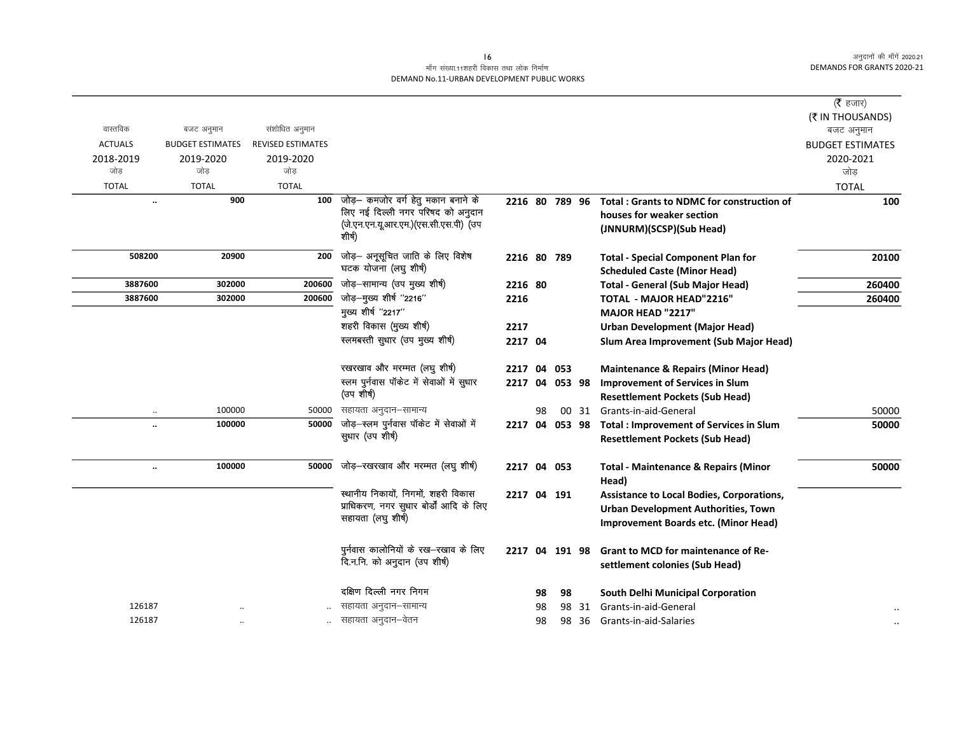## माँग संख्या.11शहरी विकास तथा लोक निर्माण DEMAND No.11-URBAN DEVELOPMENT PUBLIC WORKS

|                |                                |                          |                                                                          |                |    |           |       |                                                          | (रै हजार)<br>(₹ IN THOUSANDS) |
|----------------|--------------------------------|--------------------------|--------------------------------------------------------------------------|----------------|----|-----------|-------|----------------------------------------------------------|-------------------------------|
| वास्तविक       | बजट अनुमान                     | संशोधित अनुमान           |                                                                          |                |    |           |       |                                                          | बजट अनुमान                    |
| <b>ACTUALS</b> | <b>BUDGET ESTIMATES</b>        | <b>REVISED ESTIMATES</b> |                                                                          |                |    |           |       |                                                          | <b>BUDGET ESTIMATES</b>       |
| 2018-2019      | 2019-2020                      | 2019-2020                |                                                                          |                |    |           |       |                                                          | 2020-2021                     |
| जोड            | जोड                            | जोड                      |                                                                          |                |    |           |       |                                                          | जोड़                          |
| <b>TOTAL</b>   | <b>TOTAL</b>                   | <b>TOTAL</b>             |                                                                          |                |    |           |       |                                                          | <b>TOTAL</b>                  |
|                | 900<br>$\ddot{\phantom{0}}$    | 100                      | जोड़- कमजोर वर्ग हेतु मकान बनाने के<br>लिए नई दिल्ली नगर परिषद को अनुदान | 2216 80 789 96 |    |           |       | <b>Total: Grants to NDMC for construction of</b>         | 100                           |
|                |                                |                          | (जे.एन.एन.यू.आर.एम.)(एस.सी.एस.पी) (उप                                    |                |    |           |       | houses for weaker section                                |                               |
|                |                                |                          | शीर्ष)                                                                   |                |    |           |       | (JNNURM)(SCSP)(Sub Head)                                 |                               |
| 508200         | 20900                          | 200                      | जोड़- अनूसूचित जाति के लिए विशेष                                         | 2216 80 789    |    |           |       | <b>Total - Special Component Plan for</b>                | 20100                         |
|                |                                |                          | घटक योजना (लघु शीर्ष)                                                    |                |    |           |       | <b>Scheduled Caste (Minor Head)</b>                      |                               |
| 3887600        | 302000                         | 200600                   | जोड़–सामान्य (उप मुख्य शीर्ष)                                            | 2216 80        |    |           |       | <b>Total - General (Sub Major Head)</b>                  | 260400                        |
| 3887600        | 302000                         | 200600                   | जोड़-मुख्य शीर्ष "2216"                                                  | 2216           |    |           |       | <b>TOTAL - MAJOR HEAD"2216"</b>                          | 260400                        |
|                |                                |                          | मुख्य शीर्ष "2217"                                                       |                |    |           |       | <b>MAJOR HEAD "2217"</b>                                 |                               |
|                |                                |                          | शहरी विकास (मुख्य शीर्ष)                                                 | 2217           |    |           |       | <b>Urban Development (Major Head)</b>                    |                               |
|                |                                |                          | स्लमबस्ती सुधार (उप मुख्य शीर्ष)                                         | 2217 04        |    |           |       | Slum Area Improvement (Sub Major Head)                   |                               |
|                |                                |                          | रखरखाव और मरम्मत (लघु शीर्ष)                                             | 2217           | 04 | 053       |       | <b>Maintenance &amp; Repairs (Minor Head)</b>            |                               |
|                |                                |                          | स्लम पुर्नवास पॉकेट में सेवाओं में सुधार                                 | 2217           |    | 04 053 98 |       | <b>Improvement of Services in Slum</b>                   |                               |
|                |                                |                          | (उप शीर्ष)                                                               |                |    |           |       | <b>Resettlement Pockets (Sub Head)</b>                   |                               |
|                | 100000<br>$\ldots$             | 50000                    | सहायता अनुदान–सामान्य                                                    |                | 98 |           | 00 31 | Grants-in-aid-General                                    | 50000                         |
|                | 100000<br>                     | 50000                    | जोड़-स्लम पुर्नवास पॉकेट में सेवाओं में                                  | 2217 04 053 98 |    |           |       | <b>Total: Improvement of Services in Slum</b>            | 50000                         |
|                |                                |                          | सुधार (उप शीर्ष)                                                         |                |    |           |       | <b>Resettlement Pockets (Sub Head)</b>                   |                               |
|                |                                |                          |                                                                          |                |    |           |       |                                                          |                               |
|                | 100000<br>$\ddot{\phantom{0}}$ | 50000                    | जोड़-रखरखाव और मरम्मत (लघु शीर्ष)                                        | 2217 04 053    |    |           |       | <b>Total - Maintenance &amp; Repairs (Minor</b><br>Head) | 50000                         |
|                |                                |                          | स्थानीय निकायों, निगमों, शहरी विकास                                      | 2217           |    | 04 191    |       | Assistance to Local Bodies, Corporations,                |                               |
|                |                                |                          | प्राधिकरण, नगर सुधार बोर्डों आदि के लिए                                  |                |    |           |       | Urban Development Authorities, Town                      |                               |
|                |                                |                          | सहायता (लघु शीर्ष)                                                       |                |    |           |       | Improvement Boards etc. (Minor Head)                     |                               |
|                |                                |                          |                                                                          |                |    |           |       |                                                          |                               |
|                |                                |                          | पुर्नवास कालोनियों के रख-रखाव के लिए                                     | 2217 04 191 98 |    |           |       | <b>Grant to MCD for maintenance of Re-</b>               |                               |
|                |                                |                          | दि.न.नि. को अनुदान (उप शीर्ष)                                            |                |    |           |       | settlement colonies (Sub Head)                           |                               |
|                |                                |                          | दक्षिण दिल्ली नगर निगम                                                   |                | 98 | 98        |       | South Delhi Municipal Corporation                        |                               |
| 126187         |                                |                          | सहायता अनुदान–सामान्य                                                    |                | 98 | 98        | 31    | Grants-in-aid-General                                    |                               |
| 126187         |                                |                          | सहायता अनुदान–वेतन                                                       |                | 98 | 98        | -36   | Grants-in-aid-Salaries                                   | $\ldots$                      |
|                |                                |                          |                                                                          |                |    |           |       |                                                          |                               |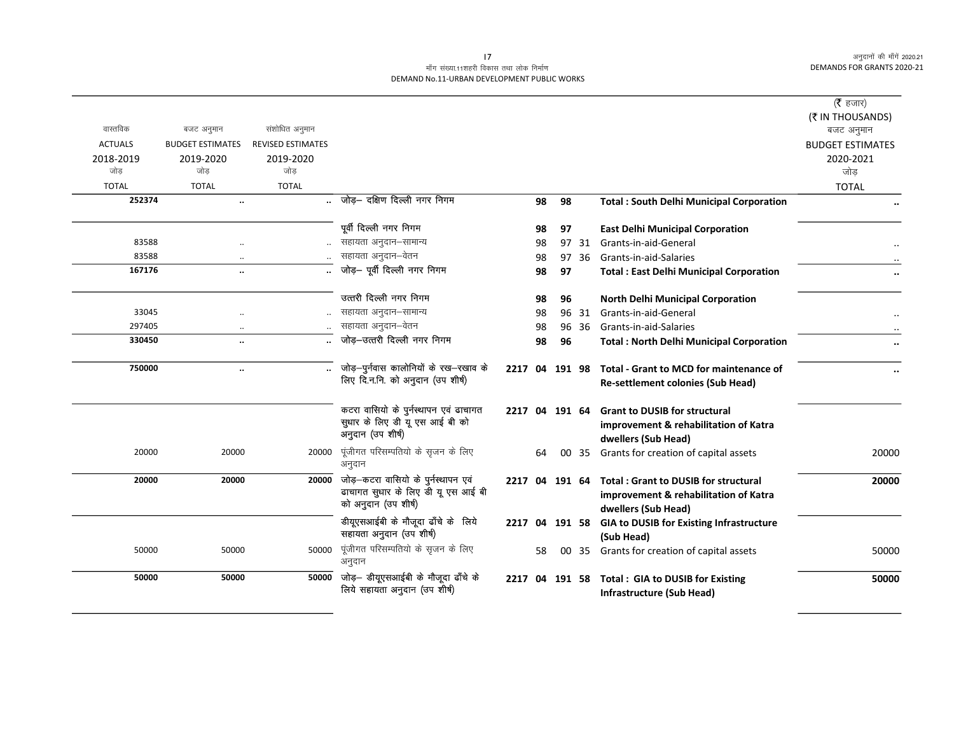## माँग संख्या.11शहरी विकास तथा लोक निर्माण DEMAND No.11-URBAN DEVELOPMENT PUBLIC WORKS

|                  |                                   |                          |                                                                                                         |         |          |          |       |                                                                                                                     | ( <b>रै</b> हजार)<br>(₹ IN THOUSANDS) |
|------------------|-----------------------------------|--------------------------|---------------------------------------------------------------------------------------------------------|---------|----------|----------|-------|---------------------------------------------------------------------------------------------------------------------|---------------------------------------|
| वास्तविक         | बजट अनुमान                        | संशोधित अनुमान           |                                                                                                         |         |          |          |       |                                                                                                                     | बजट अनुमान                            |
| <b>ACTUALS</b>   | <b>BUDGET ESTIMATES</b>           | <b>REVISED ESTIMATES</b> |                                                                                                         |         |          |          |       |                                                                                                                     | <b>BUDGET ESTIMATES</b>               |
| 2018-2019<br>जोड | 2019-2020<br>जोड                  | 2019-2020<br>जोड         |                                                                                                         |         |          |          |       |                                                                                                                     | 2020-2021<br>जोड़                     |
| <b>TOTAL</b>     | <b>TOTAL</b>                      | <b>TOTAL</b>             |                                                                                                         |         |          |          |       |                                                                                                                     | <b>TOTAL</b>                          |
| 252374           | $\ddot{\phantom{a}}$              |                          | जोड़- दक्षिण दिल्ली नगर निगम                                                                            |         | 98       | 98       |       | <b>Total: South Delhi Municipal Corporation</b>                                                                     |                                       |
|                  |                                   |                          | पूर्वी दिल्ली नगर निगम                                                                                  |         |          |          |       |                                                                                                                     |                                       |
| 83588            |                                   |                          | सहायता अनुदान–सामान्य                                                                                   |         | 98<br>98 | 97<br>97 | 31    | <b>East Delhi Municipal Corporation</b><br>Grants-in-aid-General                                                    |                                       |
| 83588            |                                   |                          | सहायता अनुदान–वेतन                                                                                      |         | 98       | 97       | 36    | Grants-in-aid-Salaries                                                                                              |                                       |
| 167176           | $\ddotsc$<br>$\ddot{\phantom{a}}$ |                          | जोड़- पूर्वी दिल्ली नगर निगम                                                                            |         | 98       | 97       |       | <b>Total: East Delhi Municipal Corporation</b>                                                                      |                                       |
|                  |                                   |                          |                                                                                                         |         |          |          |       |                                                                                                                     |                                       |
|                  |                                   |                          | उत्तरी दिल्ली नगर निगम                                                                                  |         | 98       | 96       |       | North Delhi Municipal Corporation                                                                                   |                                       |
| 33045            |                                   |                          | सहायता अनुदान–सामान्य                                                                                   |         | 98       |          | 96 31 | Grants-in-aid-General                                                                                               |                                       |
| 297405           |                                   |                          | सहायता अनुदान-वेतन                                                                                      |         | 98       |          | 96 36 | Grants-in-aid-Salaries                                                                                              |                                       |
| 330450           | $\ddotsc$                         |                          | जोड़-उत्तरी दिल्ली नगर निगम                                                                             |         | 98       | 96       |       | <b>Total: North Delhi Municipal Corporation</b>                                                                     |                                       |
| 750000           | $\ddotsc$                         |                          | जोड़-पुर्नवास कालोनियों के रख-रखाव के<br>लिए दि.न.नि. को अनुदान (उप शीर्ष)                              | 2217 04 |          | 191 98   |       | Total - Grant to MCD for maintenance of<br><b>Re-settlement colonies (Sub Head)</b>                                 |                                       |
|                  |                                   |                          | कटरा वासियो के पुर्नस्थापन एवं ढाचागत<br>सुधार के लिए डी यू एस आई बी को<br>अनुदान (उप शीर्ष)            |         |          |          |       | 2217 04 191 64 Grant to DUSIB for structural<br>improvement & rehabilitation of Katra<br>dwellers (Sub Head)        |                                       |
| 20000            | 20000                             | 20000                    | पूंजीगत परिसम्पतियो के सृजन के लिए<br>अनुदान                                                            |         | 64       |          | 00 35 | Grants for creation of capital assets                                                                               | 20000                                 |
| 20000            | 20000                             |                          | 20000 जोड़-कटरा वासियो के पुर्नस्थापन एवं<br>ढाचागत सुधार के लिए डी यू एस आई बी<br>को अनुदान (उप शीर्ष) |         |          |          |       | 2217 04 191 64 Total: Grant to DUSIB for structural<br>improvement & rehabilitation of Katra<br>dwellers (Sub Head) | 20000                                 |
|                  |                                   |                          | डीयूएसआईबी के मौजूदा ढाँचे के लिये<br>सहायता अनुदान (उप शीर्ष)                                          |         |          |          |       | 2217 04 191 58 GIA to DUSIB for Existing Infrastructure<br>(Sub Head)                                               |                                       |
| 50000            | 50000                             | 50000                    | पूंजीगत परिसम्पतियो के सृजन के लिए<br>अनुदान                                                            |         | 58       |          | 00 35 | Grants for creation of capital assets                                                                               | 50000                                 |
| 50000            | 50000                             | 50000                    | जोड़— डीयूएसआईबी के मौजूदा ढाँचे के<br>लिये सहायता अनुदान (उप शीर्ष)                                    | 2217 04 |          |          |       | 191 58 Total : GIA to DUSIB for Existing<br>Infrastructure (Sub Head)                                               | 50000                                 |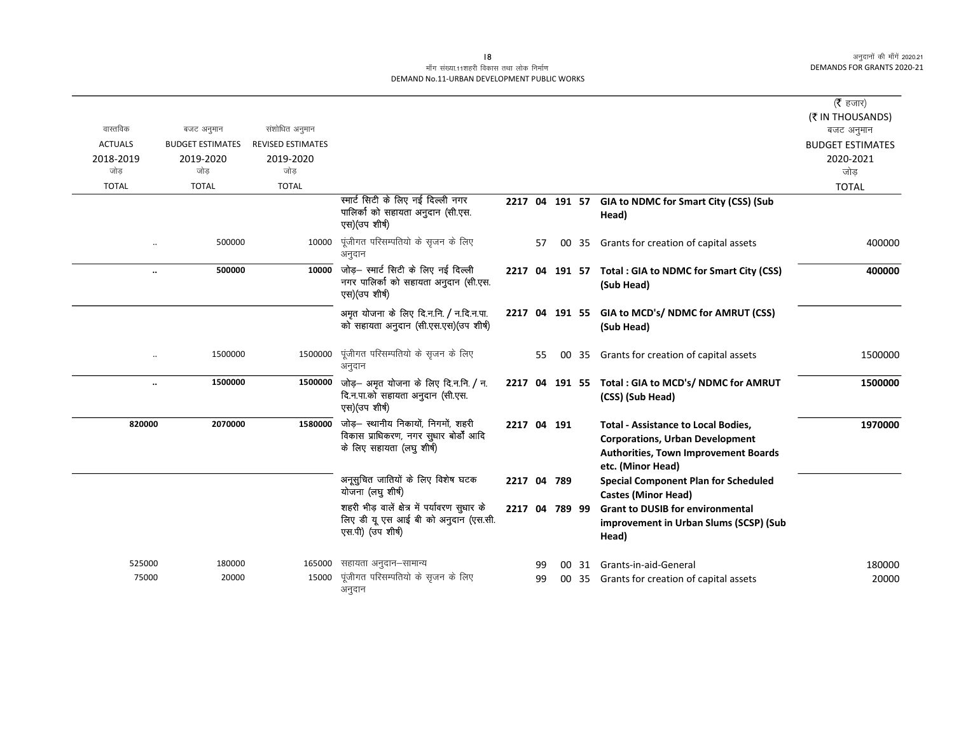## माँग संख्या.11शहरी विकास तथा लोक निर्माण DEMAND No.11-URBAN DEVELOPMENT PUBLIC WORKS

|                      |                         |                          |                                                                                                                    |                |    |    |    |                                                                                                                                                          | ( $\bar{\tau}$ हजार)<br>(₹ IN THOUSANDS) |
|----------------------|-------------------------|--------------------------|--------------------------------------------------------------------------------------------------------------------|----------------|----|----|----|----------------------------------------------------------------------------------------------------------------------------------------------------------|------------------------------------------|
| वास्तविक             | बजट अनुमान              | संशोधित अनुमान           |                                                                                                                    |                |    |    |    |                                                                                                                                                          | बजट अनुमान                               |
| <b>ACTUALS</b>       | <b>BUDGET ESTIMATES</b> | <b>REVISED ESTIMATES</b> |                                                                                                                    |                |    |    |    |                                                                                                                                                          | <b>BUDGET ESTIMATES</b>                  |
| 2018-2019            | 2019-2020               | 2019-2020                |                                                                                                                    |                |    |    |    |                                                                                                                                                          | 2020-2021                                |
| जोड                  | जोड                     | जोड                      |                                                                                                                    |                |    |    |    |                                                                                                                                                          | जोड                                      |
| <b>TOTAL</b>         | <b>TOTAL</b>            | <b>TOTAL</b>             |                                                                                                                    |                |    |    |    |                                                                                                                                                          | <b>TOTAL</b>                             |
|                      |                         |                          | स्मार्ट सिटी के लिए नई दिल्ली नगर<br>पालिको को सहायता अनुदान (सी.एस.<br>एस)(उप शीर्ष)                              |                |    |    |    | 2217 04 191 57 GIA to NDMC for Smart City (CSS) (Sub<br>Head)                                                                                            |                                          |
|                      | 500000                  | 10000                    | पूंजीगत परिसम्पतियो के सृजन के लिए<br>अनुदान                                                                       |                | 57 | 00 | 35 | Grants for creation of capital assets                                                                                                                    | 400000                                   |
| $\ldots$             | 500000                  |                          | $10000$ जोड़- स्मार्ट सिटी के लिए नई दिल्ली<br>नगर पालिर्का को सहायता अनुदान (सी.एस.<br>एस)(उप शीर्ष)              |                |    |    |    | 2217 04 191 57 Total : GIA to NDMC for Smart City (CSS)<br>(Sub Head)                                                                                    | 400000                                   |
|                      |                         |                          | अमृत योजना के लिए दि.न.नि. / न.दि.न.पा.<br>को सहायता अनुदान (सी.एस.एस)(उप शीर्ष)                                   |                |    |    |    | 2217 04 191 55 GIA to MCD's/ NDMC for AMRUT (CSS)<br>(Sub Head)                                                                                          |                                          |
| $\ddot{\phantom{a}}$ | 1500000                 | 1500000                  | पूंजीगत परिसम्पतियो के सृजन के लिए<br>अनुदान                                                                       |                | 55 | 00 | 35 | Grants for creation of capital assets                                                                                                                    | 1500000                                  |
| $\ddotsc$            | 1500000                 |                          | 1500000 जोड़- अमृत योजना के लिए दि.न.नि. / न.<br>दि.न.पा.को सहायता अनुदान (सी.एस.<br>एस)(उप शीर्ष)                 |                |    |    |    | 2217 04 191 55 Total: GIA to MCD's/ NDMC for AMRUT<br>(CSS) (Sub Head)                                                                                   | 1500000                                  |
| 820000               | 2070000                 |                          | 1580000 जोड़- स्थानीय निकायों, निगमों, शहरी<br>विकास प्राधिकरण, नगर सुधार बोर्डों आदि<br>के लिए सहायता (लघु शीर्ष) | 2217 04 191    |    |    |    | <b>Total - Assistance to Local Bodies,</b><br><b>Corporations, Urban Development</b><br><b>Authorities, Town Improvement Boards</b><br>etc. (Minor Head) | 1970000                                  |
|                      |                         |                          | अनूसुचित जातियों के लिए विशेष घटक<br>योजना (लघु शीर्ष)                                                             | 2217 04 789    |    |    |    | <b>Special Component Plan for Scheduled</b><br><b>Castes (Minor Head)</b>                                                                                |                                          |
|                      |                         |                          | शहरी भीड़ वालें क्षेत्र में पर्यावरण सुधार के<br>लिए डी यू एस आई बी को अनुदान (एस.सी.<br>एस.पी) (उप शीर्ष)         | 2217 04 789 99 |    |    |    | <b>Grant to DUSIB for environmental</b><br>improvement in Urban Slums (SCSP) (Sub<br>Head)                                                               |                                          |
| 525000               | 180000                  | 165000                   | सहायता अनुदान–सामान्य                                                                                              |                | 99 | 00 | 31 | Grants-in-aid-General                                                                                                                                    | 180000                                   |
| 75000                | 20000                   | 15000                    | पूंजीगत परिसम्पतियो के सृजन के लिए<br>अनुदान                                                                       |                | 99 |    |    | 00 35 Grants for creation of capital assets                                                                                                              | 20000                                    |

 $|8$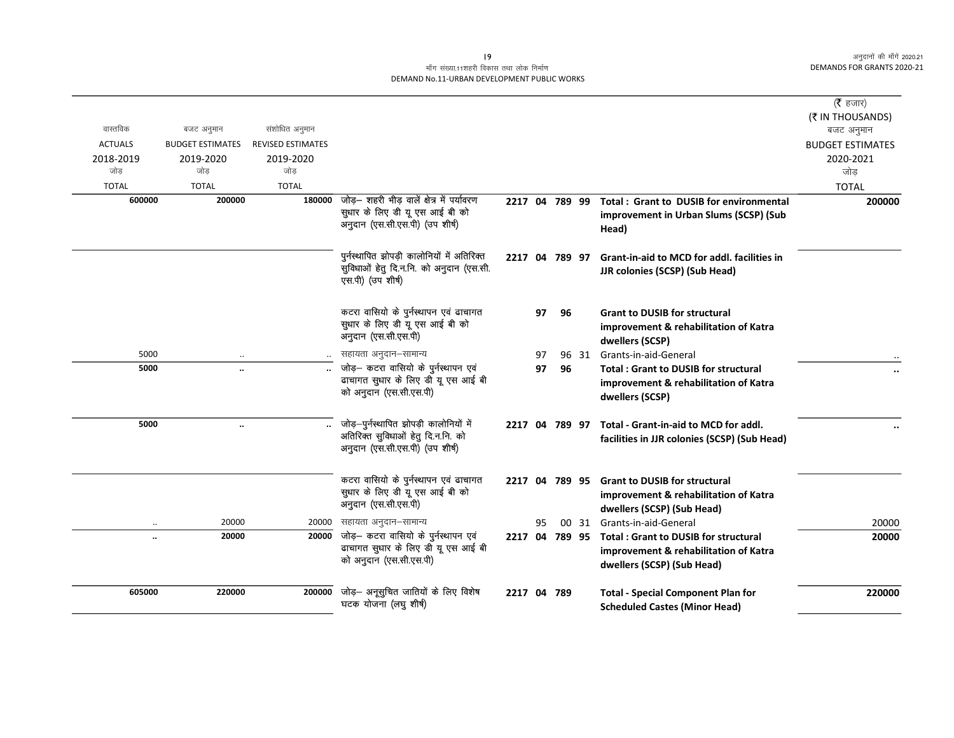# माँग संख्या.11शहरी विकास तथा लोक निर्माण DEMAND No.11-URBAN DEVELOPMENT PUBLIC WORKS

|                |                         |                          |                                                                              |                |    |                |       |                                                | ( $\bar{\tau}$ हजार)    |
|----------------|-------------------------|--------------------------|------------------------------------------------------------------------------|----------------|----|----------------|-------|------------------------------------------------|-------------------------|
|                |                         |                          |                                                                              |                |    |                |       |                                                | (₹ IN THOUSANDS)        |
| वास्तविक       | बजट अनुमान              | संशोधित अनुमान           |                                                                              |                |    |                |       |                                                | बजट अनुमान              |
| <b>ACTUALS</b> | <b>BUDGET ESTIMATES</b> | <b>REVISED ESTIMATES</b> |                                                                              |                |    |                |       |                                                | <b>BUDGET ESTIMATES</b> |
| 2018-2019      | 2019-2020               | 2019-2020                |                                                                              |                |    |                |       |                                                | 2020-2021               |
| जोड            | जोड                     | जोड                      |                                                                              |                |    |                |       |                                                | जोड                     |
| <b>TOTAL</b>   | <b>TOTAL</b>            | <b>TOTAL</b>             |                                                                              |                |    |                |       |                                                | <b>TOTAL</b>            |
| 600000         | 200000                  | 180000                   | जोड़- शहरी भीड़ वालें क्षेत्र में पर्यावरण<br>सुधार के लिए डी यू एस आई बी को | 2217 04 789 99 |    |                |       | <b>Total: Grant to DUSIB for environmental</b> | 200000                  |
|                |                         |                          | अनुदान (एस.सी.एस.पी) (उप शीर्ष)                                              |                |    |                |       | improvement in Urban Slums (SCSP) (Sub         |                         |
|                |                         |                          |                                                                              |                |    |                |       | Head)                                          |                         |
|                |                         |                          | पुर्नस्थापित झोपड़ी कालोनियों में अतिरिक्त                                   | 2217 04 789 97 |    |                |       | Grant-in-aid to MCD for addl, facilities in    |                         |
|                |                         |                          | सुविधाओं हेतु दि.न.नि. को अनुदान (एस.सी.                                     |                |    |                |       | <b>JJR colonies (SCSP) (Sub Head)</b>          |                         |
|                |                         |                          | एस.पी) (उप शीर्ष)                                                            |                |    |                |       |                                                |                         |
|                |                         |                          | कटरा वासियो के पुर्नस्थापन एवं ढाचागत                                        |                | 97 | 96             |       | <b>Grant to DUSIB for structural</b>           |                         |
|                |                         |                          | सुधार के लिए डी यू एस आई बी को<br>अनुदान (एस.सी.एस.पी)                       |                |    |                |       | improvement & rehabilitation of Katra          |                         |
|                |                         |                          |                                                                              |                |    |                |       | dwellers (SCSP)                                |                         |
| 5000           |                         |                          | सहायता अनुदान–सामान्य                                                        |                | 97 |                | 96 31 | Grants-in-aid-General                          |                         |
| 5000           | $\ddot{\phantom{1}}$    |                          | जोड़- कटरा वासियो के पुर्नस्थापन एवं<br>ढाचागत सुधार के लिए डी यू एस आई बी   |                | 97 | 96             |       | <b>Total: Grant to DUSIB for structural</b>    | $\ddot{\phantom{0}}$    |
|                |                         |                          | को अनुदान (एस.सी.एस.पी)                                                      |                |    |                |       | improvement & rehabilitation of Katra          |                         |
|                |                         |                          |                                                                              |                |    |                |       | dwellers (SCSP)                                |                         |
| 5000           | $\ddot{\phantom{1}}$    |                          | जोड़–पुर्नस्थापित झोपड़ी कालोनियों में                                       |                |    | 2217 04 789 97 |       | Total - Grant-in-aid to MCD for addl.          |                         |
|                |                         |                          | अतिरिक्त सुविधाओं हेतु दि.न.नि. को                                           |                |    |                |       | facilities in JJR colonies (SCSP) (Sub Head)   |                         |
|                |                         |                          | अनुदान (एस.सी.एस.पी) (उप शीर्ष)                                              |                |    |                |       |                                                |                         |
|                |                         |                          | कटरा वासियो के पुर्नस्थापन एवं ढाचागत                                        |                |    | 2217 04 789 95 |       | <b>Grant to DUSIB for structural</b>           |                         |
|                |                         |                          | सुधार के लिए डी यू एस आई बी को                                               |                |    |                |       | improvement & rehabilitation of Katra          |                         |
|                |                         |                          | अनुदान (एस.सी.एस.पी)                                                         |                |    |                |       | dwellers (SCSP) (Sub Head)                     |                         |
|                | 20000                   |                          | 20000 सहायता अनुदान–सामान्य                                                  |                | 95 |                |       | 00 31 Grants-in-aid-General                    | 20000                   |
| $\ddotsc$      | 20000                   | 20000                    | जोड़- कटरा वासियो के पुर्नस्थापन एवं                                         | 2217 04 789 95 |    |                |       | <b>Total: Grant to DUSIB for structural</b>    | 20000                   |
|                |                         |                          | ढाचागत सुधार के लिए डी यू एस आई बी                                           |                |    |                |       | improvement & rehabilitation of Katra          |                         |
|                |                         |                          | को अनुदान (एस.सी.एस.पी)                                                      |                |    |                |       | dwellers (SCSP) (Sub Head)                     |                         |
| 605000         | 220000                  | 200000                   | जोड़— अनूसुचित जातियों के लिए विशेष                                          | 2217 04 789    |    |                |       | <b>Total - Special Component Plan for</b>      | 220000                  |
|                |                         |                          | घटक योजना (लघु शीर्ष)                                                        |                |    |                |       | <b>Scheduled Castes (Minor Head)</b>           |                         |
|                |                         |                          |                                                                              |                |    |                |       |                                                |                         |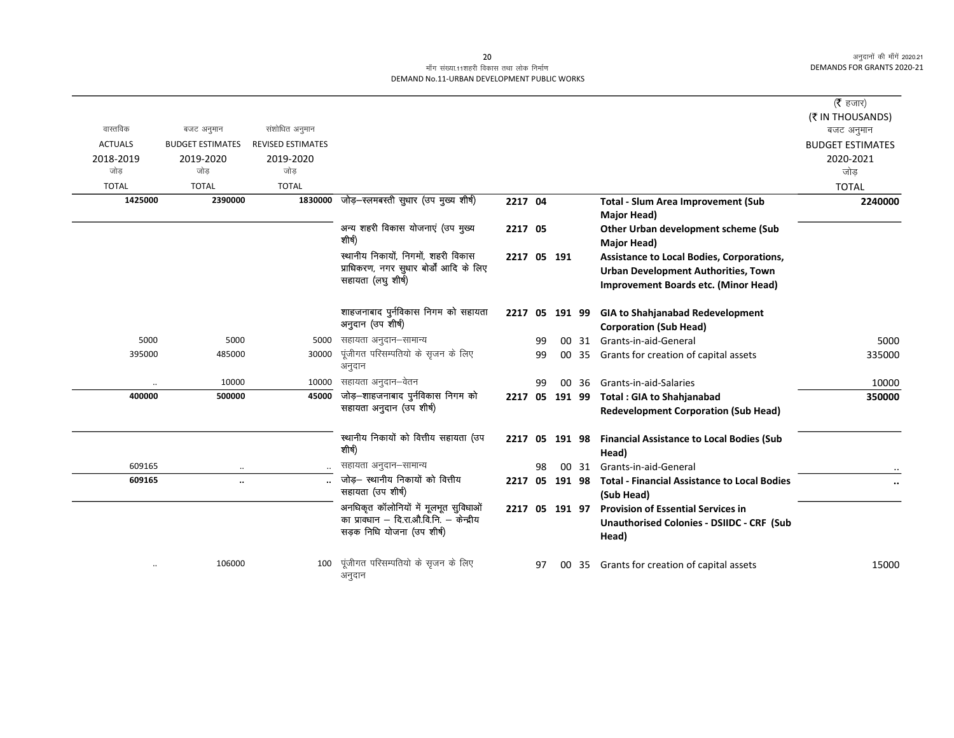|                |                         |                          |                                               |                |    |           |       |                                                          | (रै हजार)               |
|----------------|-------------------------|--------------------------|-----------------------------------------------|----------------|----|-----------|-------|----------------------------------------------------------|-------------------------|
|                |                         |                          |                                               |                |    |           |       |                                                          | (₹ IN THOUSANDS)        |
| वास्तविक       | बजट अनुमान              | संशोधित अनुमान           |                                               |                |    |           |       |                                                          | बजट अनुमान              |
| <b>ACTUALS</b> | <b>BUDGET ESTIMATES</b> | <b>REVISED ESTIMATES</b> |                                               |                |    |           |       |                                                          | <b>BUDGET ESTIMATES</b> |
| 2018-2019      | 2019-2020               | 2019-2020                |                                               |                |    |           |       |                                                          | 2020-2021               |
| जोड            | जोड                     | जोड                      |                                               |                |    |           |       |                                                          | जोड                     |
| <b>TOTAL</b>   | <b>TOTAL</b>            | <b>TOTAL</b>             |                                               |                |    |           |       |                                                          | <b>TOTAL</b>            |
| 1425000        | 2390000                 |                          | 1830000 जोड़-स्लमबस्ती सुधार (उप मुख्य शीर्ष) | 2217 04        |    |           |       | <b>Total - Slum Area Improvement (Sub</b><br>Major Head) | 2240000                 |
|                |                         |                          | अन्य शहरी विकास योजनाएं (उप मुख्य             | 2217 05        |    |           |       | Other Urban development scheme (Sub                      |                         |
|                |                         |                          | शीर्ष)                                        |                |    |           |       | Major Head)                                              |                         |
|                |                         |                          | स्थानीय निकायों, निगमों, शहरी विकास           | 2217 05 191    |    |           |       | <b>Assistance to Local Bodies, Corporations,</b>         |                         |
|                |                         |                          | प्राधिकरण, नगर सुधार बोर्डों आदि के लिए       |                |    |           |       | Urban Development Authorities, Town                      |                         |
|                |                         |                          | सहायता (लघु शीर्ष)                            |                |    |           |       | Improvement Boards etc. (Minor Head)                     |                         |
|                |                         |                          |                                               |                |    |           |       |                                                          |                         |
|                |                         |                          | शाहजनाबाद पुर्नविकास निगम को सहायता           | 2217 05 191 99 |    |           |       | <b>GIA to Shahjanabad Redevelopment</b>                  |                         |
|                |                         |                          | अनुदान (उप शीर्ष)                             |                |    |           |       | <b>Corporation (Sub Head)</b>                            |                         |
| 5000           | 5000                    | 5000                     | सहायता अनुदान–सामान्य                         |                | 99 |           | 00 31 | Grants-in-aid-General                                    | 5000                    |
| 395000         | 485000                  | 30000                    | पूंजीगत परिसम्पतियो के सृजन के लिए            |                | 99 |           | 00 35 | Grants for creation of capital assets                    | 335000                  |
|                |                         |                          | अनुदान                                        |                |    |           |       |                                                          |                         |
| $\ddotsc$      | 10000                   | 10000                    | सहायता अनुदान–वेतन                            |                | 99 |           | 00 36 | Grants-in-aid-Salaries                                   | 10000                   |
| 400000         | 500000                  | 45000                    | जोड़–शाहजनाबाद पुर्नविकास निगम को             | 2217 05 191 99 |    |           |       | <b>Total: GIA to Shahjanabad</b>                         | 350000                  |
|                |                         |                          | सहायता अनुदान (उप शीर्ष)                      |                |    |           |       | <b>Redevelopment Corporation (Sub Head)</b>              |                         |
|                |                         |                          |                                               |                |    |           |       |                                                          |                         |
|                |                         |                          | स्थानीय निकायों को वित्तीय सहायता (उप         | 2217 05 191 98 |    |           |       | <b>Financial Assistance to Local Bodies (Sub</b>         |                         |
|                |                         |                          | शीर्ष)                                        |                |    |           |       | Head)                                                    |                         |
| 609165         | $\cdot$ .               |                          | सहायता अनुदान-सामान्य                         |                | 98 |           | 00 31 | Grants-in-aid-General                                    |                         |
| 609165         | $\ldots$                |                          | जोड़– स्थानीय निकायों को वित्तीय              | 2217           |    | 05 191 98 |       | <b>Total - Financial Assistance to Local Bodies</b>      | $\cdots$                |
|                |                         |                          | सहायता (उप शीर्ष)                             |                |    |           |       | (Sub Head)                                               |                         |
|                |                         |                          | अनधिकृत कॉलोनियों में मूलभूत सुविधाओं         | 2217 05 191 97 |    |           |       | <b>Provision of Essential Services in</b>                |                         |
|                |                         |                          | का प्रावधान – दि.रा.औ.वि.नि. – केन्द्रीय      |                |    |           |       | <b>Unauthorised Colonies - DSIIDC - CRF (Sub</b>         |                         |
|                |                         |                          | सड़क निधि योजना (उप शीर्ष)                    |                |    |           |       | Head)                                                    |                         |
|                |                         |                          |                                               |                |    |           |       |                                                          |                         |
|                | 106000                  | 100                      | पूंजीगत परिसम्पतियो के सृजन के लिए<br>अनुदान  |                | 97 |           | 00 35 | Grants for creation of capital assets                    | 15000                   |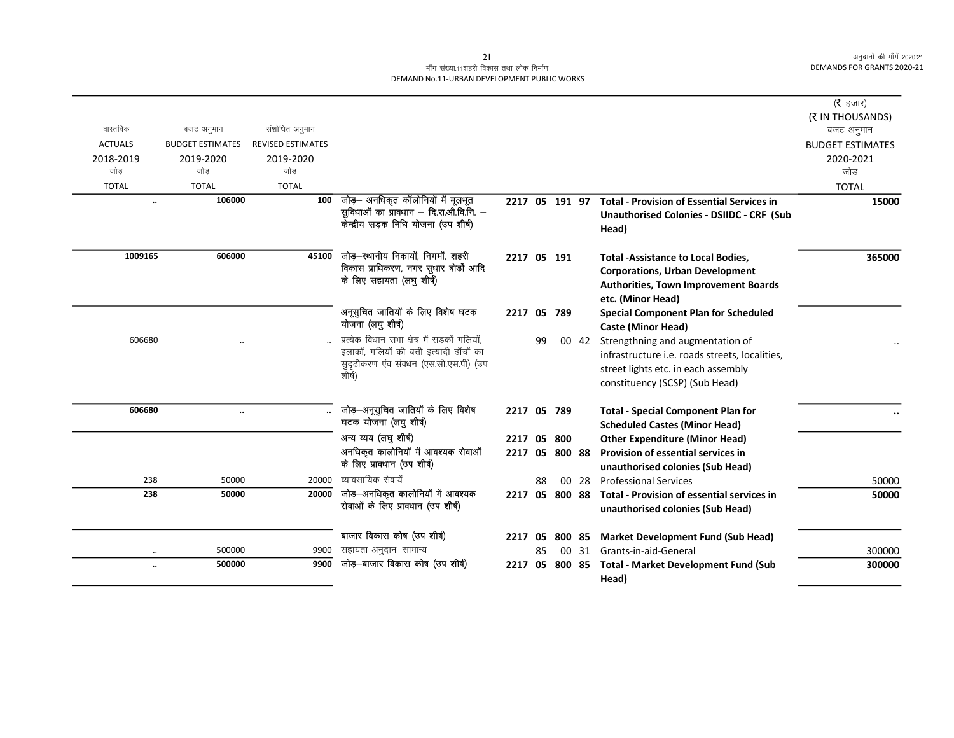|                      |                         |                          |                                                                                                                                                 |                |    |        |       |                                                                                                                                                             | ( $\bar{\tau}$ हजार)    |
|----------------------|-------------------------|--------------------------|-------------------------------------------------------------------------------------------------------------------------------------------------|----------------|----|--------|-------|-------------------------------------------------------------------------------------------------------------------------------------------------------------|-------------------------|
|                      |                         |                          |                                                                                                                                                 |                |    |        |       |                                                                                                                                                             | (₹ IN THOUSANDS)        |
| वास्तविक             | बजट अनुमान              | संशोधित अनुमान           |                                                                                                                                                 |                |    |        |       |                                                                                                                                                             | बजट अनुमान              |
| <b>ACTUALS</b>       | <b>BUDGET ESTIMATES</b> | <b>REVISED ESTIMATES</b> |                                                                                                                                                 |                |    |        |       |                                                                                                                                                             | <b>BUDGET ESTIMATES</b> |
| 2018-2019            | 2019-2020               | 2019-2020                |                                                                                                                                                 |                |    |        |       |                                                                                                                                                             | 2020-2021               |
| जोड                  | जोड                     | जोड                      |                                                                                                                                                 |                |    |        |       |                                                                                                                                                             | जोड                     |
| <b>TOTAL</b>         | <b>TOTAL</b>            | <b>TOTAL</b>             |                                                                                                                                                 |                |    |        |       |                                                                                                                                                             | <b>TOTAL</b>            |
| $\ldots$             | 106000                  | 100                      | जोड़— अनधिकृत कॉलोनियों में मूलभूत<br>सुविधाओं का प्रावधान – दि.रा.औ.वि.नि. –                                                                   | 2217 05 191 97 |    |        |       | <b>Total - Provision of Essential Services in</b>                                                                                                           | 15000                   |
|                      |                         |                          | र्केन्द्रीय सड़क निधि योजना (उप शीर्ष)                                                                                                          |                |    |        |       | <b>Unauthorised Colonies - DSIIDC - CRF (Sub</b><br>Head)                                                                                                   |                         |
| 1009165              | 606000                  | 45100                    | जोड़–स्थानीय निकायों, निगमों, शहरी<br>विकास प्राधिकरण, नगर सुधार बोर्डों आदि<br>के लिए सहायता (लघु शीर्ष)                                       | 2217 05 191    |    |        |       | <b>Total -Assistance to Local Bodies,</b><br><b>Corporations, Urban Development</b><br><b>Authorities, Town Improvement Boards</b><br>etc. (Minor Head)     | 365000                  |
|                      |                         |                          | अनूसुचित जातियों के लिए विशेष घटक<br>योजना (लघु शीर्ष)                                                                                          | 2217 05 789    |    |        |       | <b>Special Component Plan for Scheduled</b><br><b>Caste (Minor Head)</b>                                                                                    |                         |
| 606680               |                         |                          | प्रत्येक विधान सभा क्षेत्र में सड़कों गलियों,<br>इलाकों, गलियों की बत्ती इत्यादी ढाँचों का<br>सुदृढ़ीकरण एव संवर्धन (एस.सी.एस.पी) (उप<br>शीर्ष) |                | 99 |        | 00 42 | Strengthning and augmentation of<br>infrastructure i.e. roads streets, localities,<br>street lights etc. in each assembly<br>constituency (SCSP) (Sub Head) |                         |
| 606680               | $\ddotsc$               |                          | जोड़-अनूसुचित जातियों के लिए विशेष<br>घटक योजना (लघु शीर्ष)                                                                                     | 2217 05 789    |    |        |       | <b>Total - Special Component Plan for</b><br><b>Scheduled Castes (Minor Head)</b>                                                                           |                         |
|                      |                         |                          | अन्य व्यय (लघु शीर्ष)                                                                                                                           | 2217 05        |    | 800    |       | <b>Other Expenditure (Minor Head)</b>                                                                                                                       |                         |
|                      |                         |                          | अनधिकृत कालोनियों में आवश्यक सेवाओं                                                                                                             | 2217 05        |    | 800 88 |       | Provision of essential services in                                                                                                                          |                         |
|                      |                         |                          | के लिए प्रावधान (उप शीर्ष)                                                                                                                      |                |    |        |       | unauthorised colonies (Sub Head)                                                                                                                            |                         |
| 238                  | 50000                   | 20000                    | व्यावसायिक सेवायें                                                                                                                              |                | 88 |        | 00 28 | <b>Professional Services</b>                                                                                                                                | 50000                   |
| 238                  | 50000                   | 20000                    | जोड़—अनधिकृत कालोनियों में आवश्यक<br>सेवाओं के लिए प्रावधान (उप शीर्ष)                                                                          | 2217 05        |    | 800 88 |       | Total - Provision of essential services in<br>unauthorised colonies (Sub Head)                                                                              | 50000                   |
|                      |                         |                          | बाजार विकास कोष (उप शीर्ष)                                                                                                                      | 2217 05        |    | 800 85 |       | <b>Market Development Fund (Sub Head)</b>                                                                                                                   |                         |
| $\ddot{\phantom{0}}$ | 500000                  | 9900                     | सहायता अनुदान–सामान्य                                                                                                                           |                | 85 |        | 00 31 | Grants-in-aid-General                                                                                                                                       | 300000                  |
| $\ddotsc$            | 500000                  | 9900                     | जोड़-बाजार विकास कोष (उप शीर्ष)                                                                                                                 | 2217           | 05 | 800 85 |       | <b>Total - Market Development Fund (Sub</b>                                                                                                                 | 300000                  |
|                      |                         |                          |                                                                                                                                                 |                |    |        |       | Head)                                                                                                                                                       |                         |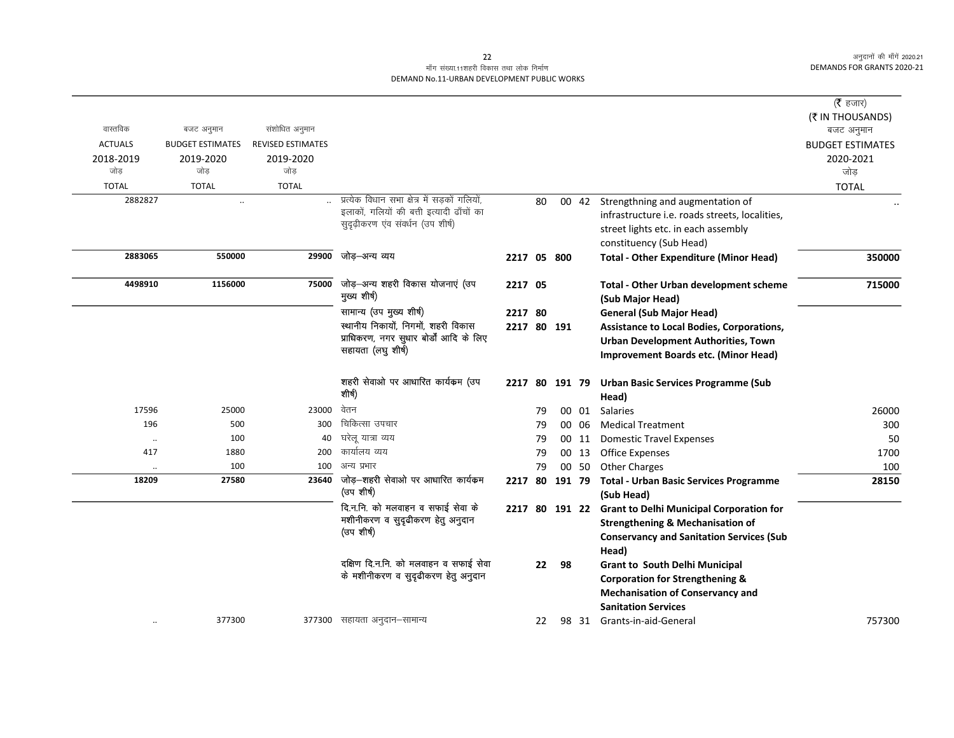# माँग संख्या.11शहरी विकास तथा लोक निर्माण DEMAND No.11-URBAN DEVELOPMENT PUBLIC WORKS

| वास्तविक<br><b>ACTUALS</b><br>2018-2019<br>जोड | बजट अनुमान<br><b>BUDGET ESTIMATES</b><br>2019-2020<br>जोड | संशोधित अनुमान<br><b>REVISED ESTIMATES</b><br>2019-2020<br>जोड |                                                                                                                                  |                        |    |        |       |                                                                                                                                                                           | ( $\bar{\tau}$ हजार)<br>(₹ IN THOUSANDS)<br>बजट अनुमान<br><b>BUDGET ESTIMATES</b><br>2020-2021<br>जोड |
|------------------------------------------------|-----------------------------------------------------------|----------------------------------------------------------------|----------------------------------------------------------------------------------------------------------------------------------|------------------------|----|--------|-------|---------------------------------------------------------------------------------------------------------------------------------------------------------------------------|-------------------------------------------------------------------------------------------------------|
| <b>TOTAL</b>                                   | <b>TOTAL</b>                                              | <b>TOTAL</b>                                                   |                                                                                                                                  |                        |    |        |       |                                                                                                                                                                           | <b>TOTAL</b>                                                                                          |
| 2882827                                        | $\ddotsc$                                                 |                                                                | प्रत्येक विधान सभा क्षेत्र में सड़कों गलियों,<br>इलाकों, गलियों की बत्ती इत्यादी ढाँचों का<br>सुदृढ़ीकरण एंव संवर्धन (उप शीर्ष)  |                        | 80 |        |       | 00 42 Strengthning and augmentation of<br>infrastructure i.e. roads streets, localities,<br>street lights etc. in each assembly<br>constituency (Sub Head)                |                                                                                                       |
| 2883065                                        | 550000                                                    | 29900                                                          | जोड़–अन्य व्यय                                                                                                                   | 2217 05 800            |    |        |       | <b>Total - Other Expenditure (Minor Head)</b>                                                                                                                             | 350000                                                                                                |
| 4498910                                        | 1156000                                                   | 75000                                                          | जोड़-अन्य शहरी विकास योजनाएं (उप<br>मुख्य शीर्ष)                                                                                 | 2217 05                |    |        |       | Total - Other Urban development scheme<br>(Sub Major Head)                                                                                                                | 715000                                                                                                |
|                                                |                                                           |                                                                | सामान्य (उप मुख्य शीर्ष)<br>स्थानीय निकायों, निगमों, शहरी विकास<br>प्राधिकरण, नगर सुधार बोर्डों आदि के लिए<br>सहायता (लघु शीर्ष) | 2217 80<br>2217 80 191 |    |        |       | <b>General (Sub Major Head)</b><br><b>Assistance to Local Bodies, Corporations,</b><br><b>Urban Development Authorities, Town</b><br>Improvement Boards etc. (Minor Head) |                                                                                                       |
|                                                |                                                           |                                                                | शहरी सेवाओ पर आधारित कार्यकम (उप<br>शीर्ष)                                                                                       | 2217 80 191 79         |    |        |       | <b>Urban Basic Services Programme (Sub</b><br>Head)                                                                                                                       |                                                                                                       |
| 17596                                          | 25000                                                     | 23000                                                          | वेतन                                                                                                                             |                        | 79 |        | 00 01 | Salaries                                                                                                                                                                  | 26000                                                                                                 |
| 196                                            | 500                                                       | 300                                                            | चिकित्सा उपचार                                                                                                                   |                        | 79 |        | 00 06 | <b>Medical Treatment</b>                                                                                                                                                  | 300                                                                                                   |
| $\ldots$                                       | 100                                                       | 40                                                             | घरेलू यात्रा व्यय                                                                                                                |                        | 79 |        | 00 11 | <b>Domestic Travel Expenses</b>                                                                                                                                           | 50                                                                                                    |
| 417                                            | 1880                                                      | 200                                                            | कार्यालय व्यय                                                                                                                    |                        | 79 |        | 00 13 | <b>Office Expenses</b>                                                                                                                                                    | 1700                                                                                                  |
| $\cdot\cdot$                                   | 100                                                       | 100                                                            | अन्य प्रभार                                                                                                                      |                        | 79 | 00 50  |       | <b>Other Charges</b>                                                                                                                                                      | 100                                                                                                   |
| 18209                                          | 27580                                                     | 23640                                                          | जोड़—शहरी सेवाओ पर आधारित कार्यकम<br>(उप शीर्ष)                                                                                  | 2217 80                |    | 191 79 |       | <b>Total - Urban Basic Services Programme</b><br>(Sub Head)                                                                                                               | 28150                                                                                                 |
|                                                |                                                           |                                                                | दि.न.नि. को मलवाहन व सफाई सेवा के<br>मशीनीकरण व सुदृढीकरण हेतु अनुदान<br>(उप शीर्ष)                                              |                        |    |        |       | 2217 80 191 22 Grant to Delhi Municipal Corporation for<br><b>Strengthening &amp; Mechanisation of</b><br><b>Conservancy and Sanitation Services (Sub</b><br>Head)        |                                                                                                       |
|                                                |                                                           |                                                                | दक्षिण दि.न.नि. को मलवाहन व सफाई सेवा<br>के मशीनीकरण व सुदृढीकरण हेतु अनुदान                                                     |                        | 22 | 98     |       | <b>Grant to South Delhi Municipal</b><br><b>Corporation for Strengthening &amp;</b><br><b>Mechanisation of Conservancy and</b><br><b>Sanitation Services</b>              |                                                                                                       |
|                                                | 377300                                                    |                                                                | 377300 सहायता अनुदान–सामान्य                                                                                                     |                        | 22 |        |       | 98 31 Grants-in-aid-General                                                                                                                                               | 757300                                                                                                |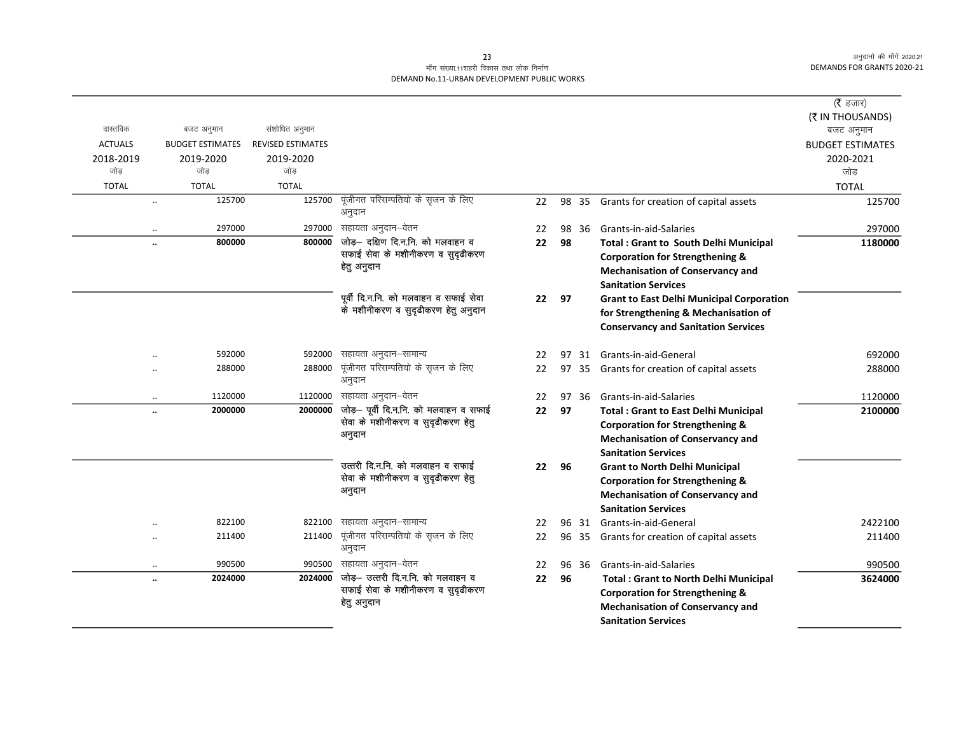# माँग संख्या.11शहरी विकास तथा लोक निर्माण DEMAND No.11-URBAN DEVELOPMENT PUBLIC WORKS

|                |                         |                          |                                        |    |    |       |                                                  | ( $\bar{\tau}$ हजार)           |
|----------------|-------------------------|--------------------------|----------------------------------------|----|----|-------|--------------------------------------------------|--------------------------------|
|                |                         |                          |                                        |    |    |       |                                                  |                                |
| वास्तविक       | बजट अनुमान              | संशोधित अनुमान           |                                        |    |    |       |                                                  | (₹ IN THOUSANDS)<br>बजट अनुमान |
| <b>ACTUALS</b> | <b>BUDGET ESTIMATES</b> | <b>REVISED ESTIMATES</b> |                                        |    |    |       |                                                  | <b>BUDGET ESTIMATES</b>        |
| 2018-2019      | 2019-2020               | 2019-2020                |                                        |    |    |       |                                                  | 2020-2021                      |
| जोड            | जोड                     | जोड                      |                                        |    |    |       |                                                  | जोड़                           |
| <b>TOTAL</b>   | <b>TOTAL</b>            | <b>TOTAL</b>             |                                        |    |    |       |                                                  | <b>TOTAL</b>                   |
|                | 125700                  | 125700                   | पूंजीगत परिसम्पतियो के सृजन के लिए     | 22 |    |       | 98 35 Grants for creation of capital assets      | 125700                         |
|                | $\ddotsc$               |                          | अनुदान                                 |    |    |       |                                                  |                                |
|                | 297000                  | 297000                   | सहायता अनुदान–वेतन                     | 22 |    | 98 36 | Grants-in-aid-Salaries                           | 297000                         |
|                | 800000<br>              | 800000                   | जोड़- दक्षिण दि.न.नि. को मलवाहन व      | 22 | 98 |       | <b>Total: Grant to South Delhi Municipal</b>     | 1180000                        |
|                |                         |                          | सफाई सेवा के मशीनीकरण व सुदृढीकरण      |    |    |       | <b>Corporation for Strengthening &amp;</b>       |                                |
|                |                         |                          | हेतु अनुदान                            |    |    |       | <b>Mechanisation of Conservancy and</b>          |                                |
|                |                         |                          |                                        |    |    |       | <b>Sanitation Services</b>                       |                                |
|                |                         |                          | पूर्वी दि.न.नि. को मलवाहन व सफाई सेवा  | 22 | 97 |       | <b>Grant to East Delhi Municipal Corporation</b> |                                |
|                |                         |                          | के मशीनीकरण व सुदृढीकरण हेतु अनुदान    |    |    |       | for Strengthening & Mechanisation of             |                                |
|                |                         |                          |                                        |    |    |       | <b>Conservancy and Sanitation Services</b>       |                                |
|                |                         |                          |                                        |    |    |       |                                                  |                                |
|                | 592000<br>$\ddotsc$     | 592000                   | सहायता अनुदान–सामान्य                  | 22 | 97 |       | 31 Grants-in-aid-General                         | 692000                         |
|                | 288000<br>$\ddotsc$     | 288000                   | पूंजीगत परिसम्पतियो के सृजन के लिए     | 22 | 97 |       | 35 Grants for creation of capital assets         | 288000                         |
|                |                         |                          | अनुदान                                 |    |    |       |                                                  |                                |
|                | 1120000<br>$\cdot\cdot$ | 1120000                  | सहायता अनुदान–वेतन                     | 22 |    | 97 36 | Grants-in-aid-Salaries                           | 1120000                        |
|                | 2000000<br>$\ddotsc$    | 2000000                  | जोड़- पूर्वी दि.न.नि. को मलवाहन व सफाई | 22 | 97 |       | <b>Total: Grant to East Delhi Municipal</b>      | 2100000                        |
|                |                         |                          | सेवा के मशीनीकरण व सुदृढीकरण हेतु      |    |    |       | <b>Corporation for Strengthening &amp;</b>       |                                |
|                |                         |                          | अनुदान                                 |    |    |       | <b>Mechanisation of Conservancy and</b>          |                                |
|                |                         |                          |                                        |    |    |       | <b>Sanitation Services</b>                       |                                |
|                |                         |                          | उत्तरी दि.न.नि. को मलवाहन व सफाई       | 22 | 96 |       | <b>Grant to North Delhi Municipal</b>            |                                |
|                |                         |                          | सेवा के मशीनीकरण व सुदृढीकरण हेतु      |    |    |       | <b>Corporation for Strengthening &amp;</b>       |                                |
|                |                         |                          | अनुदान                                 |    |    |       | <b>Mechanisation of Conservancy and</b>          |                                |
|                |                         |                          |                                        |    |    |       | <b>Sanitation Services</b>                       |                                |
|                | 822100                  | 822100                   | सहायता अनुदान-सामान्य                  | 22 |    | 96 31 | Grants-in-aid-General                            | 2422100                        |
|                | 211400                  | 211400                   | पूंजीगत परिसम्पतियो के सृजन के लिए     | 22 |    | 96 35 | Grants for creation of capital assets            | 211400                         |
|                |                         |                          | अनुदान                                 |    |    |       |                                                  |                                |
|                | 990500<br>$\ddotsc$     | 990500                   | सहायता अनुदान–वेतन                     | 22 |    | 96 36 | Grants-in-aid-Salaries                           | 990500                         |
|                | 2024000<br>$\ddotsc$    | 2024000                  | जोड़- उत्तरी दि.न.नि. को मलवाहन व      | 22 | 96 |       | <b>Total: Grant to North Delhi Municipal</b>     | 3624000                        |
|                |                         |                          | सफाई सेवा के मशीनीकरण व सुदृढीकरण      |    |    |       | <b>Corporation for Strengthening &amp;</b>       |                                |
|                |                         |                          | हेतु अनुदान                            |    |    |       | <b>Mechanisation of Conservancy and</b>          |                                |
|                |                         |                          |                                        |    |    |       | <b>Sanitation Services</b>                       |                                |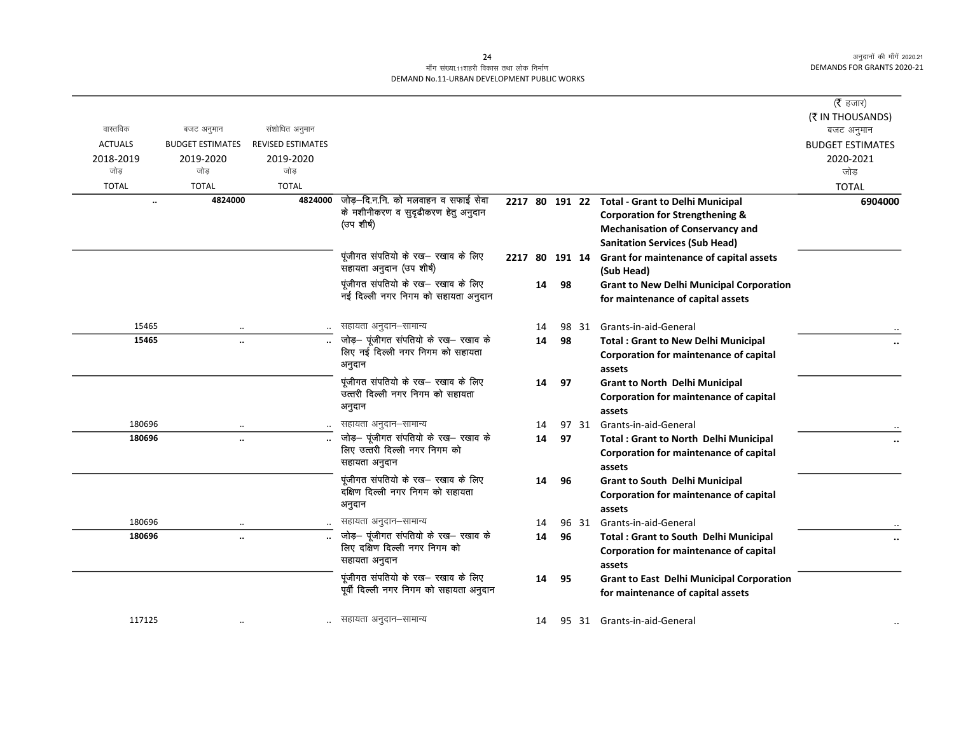# माँग संख्या.11शहरी विकास तथा लोक निर्माण DEMAND No.11-URBAN DEVELOPMENT PUBLIC WORKS

|                      |                         |                          |                                                                        |                |    |    |       |                                                                                        | ( $\bar{\tau}$ हजार)           |
|----------------------|-------------------------|--------------------------|------------------------------------------------------------------------|----------------|----|----|-------|----------------------------------------------------------------------------------------|--------------------------------|
| वास्तविक             | बजट अनुमान              | संशोधित अनुमान           |                                                                        |                |    |    |       |                                                                                        | (₹ IN THOUSANDS)<br>बजट अनुमान |
| <b>ACTUALS</b>       | <b>BUDGET ESTIMATES</b> | <b>REVISED ESTIMATES</b> |                                                                        |                |    |    |       |                                                                                        | <b>BUDGET ESTIMATES</b>        |
| 2018-2019            | 2019-2020               | 2019-2020                |                                                                        |                |    |    |       |                                                                                        | 2020-2021                      |
| जोड                  | जोड                     | जोड                      |                                                                        |                |    |    |       |                                                                                        | जोड                            |
| <b>TOTAL</b>         | <b>TOTAL</b>            | <b>TOTAL</b>             |                                                                        |                |    |    |       |                                                                                        | <b>TOTAL</b>                   |
| $\ddot{\phantom{a}}$ | 4824000                 | 4824000                  | जोड़-दि.न.नि. को मलवाहन व सफाई सेवा                                    |                |    |    |       | 2217 80 191 22 Total - Grant to Delhi Municipal                                        | 6904000                        |
|                      |                         |                          | के मशीनीकरण व सुदृढीकरण हेतु अनुदान                                    |                |    |    |       | <b>Corporation for Strengthening &amp;</b>                                             |                                |
|                      |                         |                          | (उप शीर्ष)                                                             |                |    |    |       | <b>Mechanisation of Conservancy and</b>                                                |                                |
|                      |                         |                          |                                                                        |                |    |    |       | <b>Sanitation Services (Sub Head)</b>                                                  |                                |
|                      |                         |                          | पूंजीगत संपतियो के रख— रखाव के लिए<br>सहायता अनुदान (उप शीर्ष)         | 2217 80 191 14 |    |    |       | Grant for maintenance of capital assets<br>(Sub Head)                                  |                                |
|                      |                         |                          | पूंजीगत संपतियो के रख- रखाव के लिए                                     |                | 14 | 98 |       | <b>Grant to New Delhi Municipal Corporation</b>                                        |                                |
|                      |                         |                          | नई दिल्ली नगर निगम को सहायता अनुदान                                    |                |    |    |       | for maintenance of capital assets                                                      |                                |
| 15465                |                         |                          | सहायता अनुदान–सामान्य                                                  |                | 14 |    | 98 31 | Grants-in-aid-General                                                                  |                                |
| 15465                | $\ddotsc$               |                          | जोड़- पूंजीगत संपतियो के रख- रखाव के                                   |                | 14 | 98 |       | <b>Total: Grant to New Delhi Municipal</b>                                             |                                |
|                      |                         |                          | लिए नई दिल्ली नगर निगम को सहायता                                       |                |    |    |       | Corporation for maintenance of capital                                                 |                                |
|                      |                         |                          | अनुदान                                                                 |                |    |    |       | assets                                                                                 |                                |
|                      |                         |                          | पूंजीगत संपतियो के रख- रखाव के लिए                                     |                | 14 | 97 |       | <b>Grant to North Delhi Municipal</b>                                                  |                                |
|                      |                         |                          | उत्तरी दिल्ली नगर निगम को सहायता                                       |                |    |    |       | Corporation for maintenance of capital                                                 |                                |
|                      |                         |                          | अनुदान                                                                 |                |    |    |       | assets                                                                                 |                                |
| 180696               |                         |                          | सहायता अनुदान–सामान्य                                                  |                | 14 |    |       | 97 31 Grants-in-aid-General                                                            |                                |
| 180696               | $\ddot{\phantom{a}}$    |                          | जोड़- पूंजीगत संपतियो के रख- रखाव के                                   |                | 14 | 97 |       | <b>Total: Grant to North Delhi Municipal</b>                                           |                                |
|                      |                         |                          | लिए उत्तरी दिल्ली नगर निगम को<br>सहायता अनुदान                         |                |    |    |       | Corporation for maintenance of capital                                                 |                                |
|                      |                         |                          |                                                                        |                |    |    |       | assets                                                                                 |                                |
|                      |                         |                          | पूंजीगत संपतियो के रख- रखाव के लिए<br>दक्षिण दिल्ली नगर निगम को सहायता |                | 14 | 96 |       | <b>Grant to South Delhi Municipal</b>                                                  |                                |
|                      |                         |                          | अनुदान                                                                 |                |    |    |       | Corporation for maintenance of capital                                                 |                                |
| 180696               |                         |                          | सहायता अनुदान-सामान्य                                                  |                |    |    |       | assets                                                                                 |                                |
| 180696               |                         |                          | जोड़- पूंजीगत संपतियो के रख- रखाव के                                   |                | 14 | 96 | 96 31 | Grants-in-aid-General                                                                  |                                |
|                      | $\ddot{\phantom{a}}$    |                          | लिए दक्षिण दिल्ली नगर निगम को                                          |                | 14 |    |       | <b>Total: Grant to South Delhi Municipal</b><br>Corporation for maintenance of capital |                                |
|                      |                         |                          | सहायता अनुदान                                                          |                |    |    |       | assets                                                                                 |                                |
|                      |                         |                          | पूंजीगत संपतियो के रख- रखाव के लिए                                     |                | 14 | 95 |       | <b>Grant to East Delhi Municipal Corporation</b>                                       |                                |
|                      |                         |                          | पूर्वी दिल्ली नगर निगम को सहायता अनुदान                                |                |    |    |       | for maintenance of capital assets                                                      |                                |
| 117125               |                         |                          | सहायता अनुदान–सामान्य                                                  |                | 14 |    |       | 95 31 Grants-in-aid-General                                                            |                                |
|                      |                         |                          |                                                                        |                |    |    |       |                                                                                        |                                |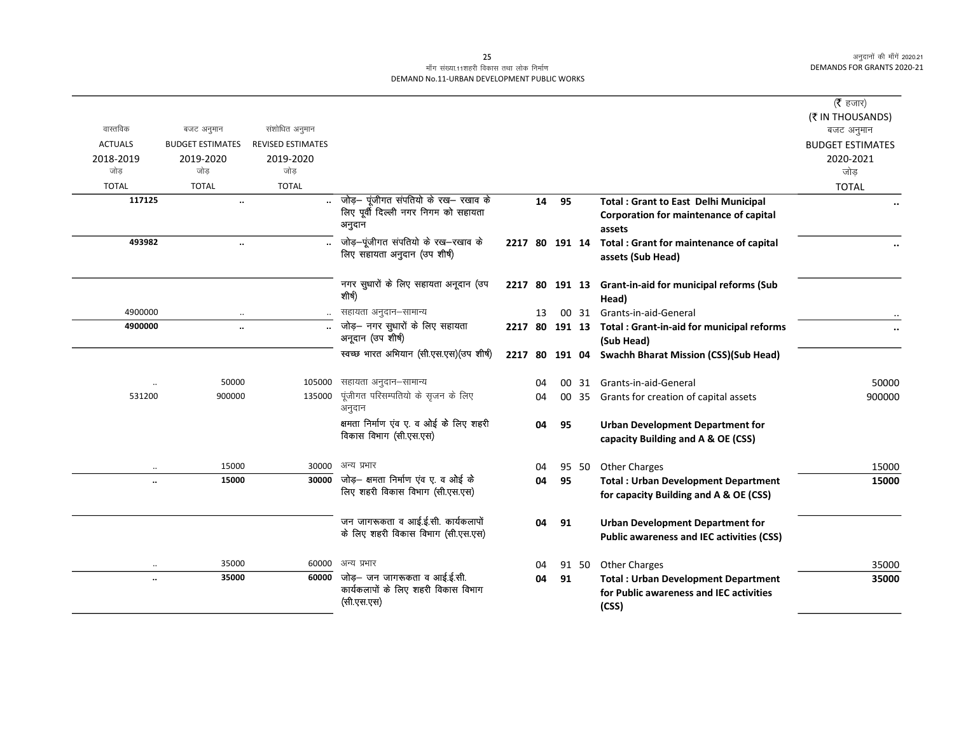# माँग संख्या.11शहरी विकास तथा लोक निर्माण DEMAND No.11-URBAN DEVELOPMENT PUBLIC WORKS

|                |                         |                          |                                                                                         |                |    |    |       |                                                                                                | ( <b>रै</b> हजार)<br>(₹ IN THOUSANDS) |
|----------------|-------------------------|--------------------------|-----------------------------------------------------------------------------------------|----------------|----|----|-------|------------------------------------------------------------------------------------------------|---------------------------------------|
| वास्तविक       | बजट अनुमान              | संशोधित अनुमान           |                                                                                         |                |    |    |       |                                                                                                | बजट अनुमान                            |
| <b>ACTUALS</b> | <b>BUDGET ESTIMATES</b> | <b>REVISED ESTIMATES</b> |                                                                                         |                |    |    |       |                                                                                                | <b>BUDGET ESTIMATES</b>               |
| 2018-2019      | 2019-2020               | 2019-2020                |                                                                                         |                |    |    |       |                                                                                                | 2020-2021                             |
| जोड            | जोड                     | जोड                      |                                                                                         |                |    |    |       |                                                                                                | जोड                                   |
| <b>TOTAL</b>   | <b>TOTAL</b>            | <b>TOTAL</b>             |                                                                                         |                |    |    |       |                                                                                                | <b>TOTAL</b>                          |
| 117125         | $\ddot{\phantom{a}}$    |                          | जोड़— पूंजीगत संपतियो के रख— रखाव के<br>लिए पूर्वी दिल्ली नगर निगम को सहायता            |                | 14 | 95 |       | <b>Total: Grant to East Delhi Municipal</b>                                                    |                                       |
|                |                         |                          | अनुदान                                                                                  |                |    |    |       | Corporation for maintenance of capital<br>assets                                               |                                       |
| 493982         | $\ddot{\phantom{a}}$    |                          | जोड़-पूंजीगत संपतियो के रख-रखाव के                                                      | 2217 80 191 14 |    |    |       | Total: Grant for maintenance of capital                                                        |                                       |
|                |                         |                          | लिए सहायता अनुदान (उप शीर्ष)                                                            |                |    |    |       | assets (Sub Head)                                                                              |                                       |
|                |                         |                          | नगर सुधारों के लिए सहायता अनूदान (उप<br>शीर्ष)                                          |                |    |    |       | 2217 80 191 13 Grant-in-aid for municipal reforms (Sub<br>Head)                                |                                       |
| 4900000        |                         |                          | सहायता अनुदान–सामान्य                                                                   |                | 13 |    |       | 00 31 Grants-in-aid-General                                                                    |                                       |
| 4900000        | $\ddot{\phantom{a}}$    |                          | जोड़- नगर सुधारों के लिए सहायता<br>अनूदान (उप शीर्ष)                                    |                |    |    |       | 2217 80 191 13 Total: Grant-in-aid for municipal reforms<br>(Sub Head)                         | $\ddot{\phantom{0}}$                  |
|                |                         |                          | स्वच्छ भारत अभियान (सी.एस.एस) (उप शीर्ष)                                                | 2217           |    |    |       | 80 191 04 Swachh Bharat Mission (CSS)(Sub Head)                                                |                                       |
|                | 50000                   | 105000                   | सहायता अनुदान–सामान्य                                                                   |                | 04 |    |       | 00 31 Grants-in-aid-General                                                                    | 50000                                 |
| 531200         | 900000                  | 135000                   | पूंजीगत परिसम्पतियो के सृजन के लिए<br>अनुदान                                            |                | 04 |    |       | 00 35 Grants for creation of capital assets                                                    | 900000                                |
|                |                         |                          | क्षमता निर्माण एंव ए. व ओई के लिए शहरी<br>विकास विभाग (सी.एस.एस)                        |                | 04 | 95 |       | <b>Urban Development Department for</b><br>capacity Building and A & OE (CSS)                  |                                       |
|                | 15000                   | 30000                    | अन्य प्रभार                                                                             |                | 04 |    | 95 50 | <b>Other Charges</b>                                                                           | 15000                                 |
|                | 15000                   | 30000                    | जोड़— क्षमता निर्माण एंव ए. व ओई के                                                     |                | 04 | 95 |       | <b>Total: Urban Development Department</b>                                                     | 15000                                 |
|                |                         |                          | लिए शहरी विकास विभाग (सी.एस.एस)                                                         |                |    |    |       | for capacity Building and A & OE (CSS)                                                         |                                       |
|                |                         |                          | जन जागरूकता व आई.ई.सी. कार्यकलापों                                                      |                | 04 | 91 |       | <b>Urban Development Department for</b>                                                        |                                       |
|                |                         |                          | के लिए शहरी विकास विभाग (सी.एस.एस)                                                      |                |    |    |       | <b>Public awareness and IEC activities (CSS)</b>                                               |                                       |
|                | 35000                   | 60000                    | अन्य प्रभार                                                                             |                | 04 |    | 91 50 | <b>Other Charges</b>                                                                           | 35000                                 |
|                | 35000                   |                          | 60000 जोड़- जन जागरूकता व आई.ई.सी.<br>कार्यकलापों के लिए शहरी विकास विभाग<br>(सी.एस.एस) |                | 04 | 91 |       | <b>Total: Urban Development Department</b><br>for Public awareness and IEC activities<br>(CSS) | 35000                                 |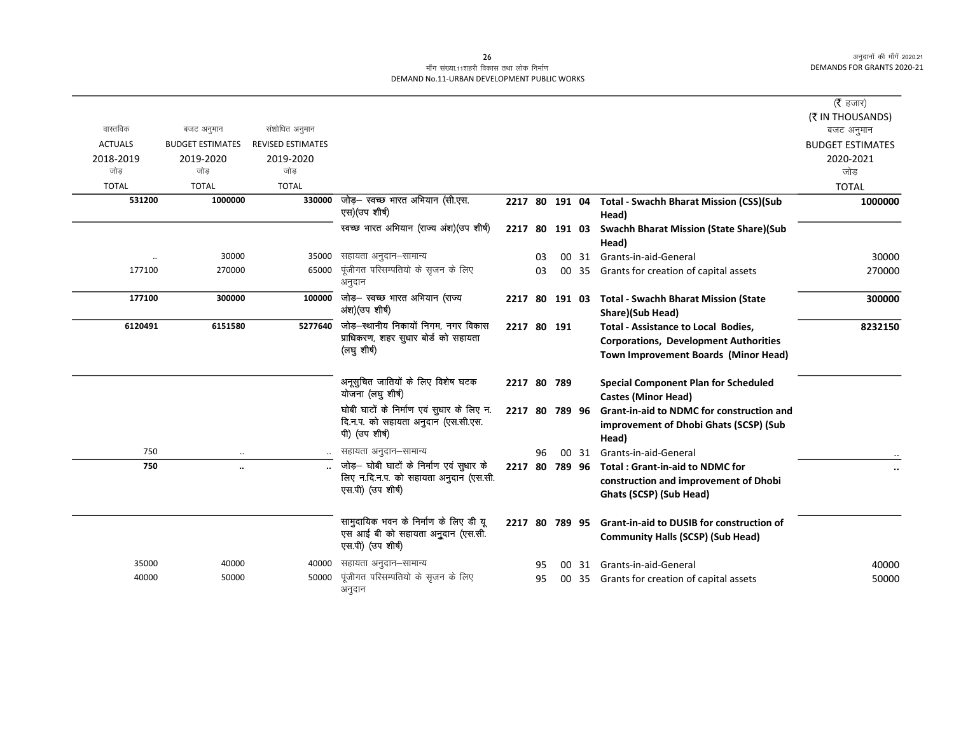|                  |                         |                          |                                                                                                         |                |    |                |       |                                                                                                                                    | ( $\bar{\tau}$ हजार)           |
|------------------|-------------------------|--------------------------|---------------------------------------------------------------------------------------------------------|----------------|----|----------------|-------|------------------------------------------------------------------------------------------------------------------------------------|--------------------------------|
| वास्तविक         | बजट अनुमान              | संशोधित अनुमान           |                                                                                                         |                |    |                |       |                                                                                                                                    | (₹ IN THOUSANDS)<br>बजट अनुमान |
| <b>ACTUALS</b>   | <b>BUDGET ESTIMATES</b> | <b>REVISED ESTIMATES</b> |                                                                                                         |                |    |                |       |                                                                                                                                    | <b>BUDGET ESTIMATES</b>        |
| 2018-2019<br>जोड | 2019-2020<br>जोड        | 2019-2020<br>जोड         |                                                                                                         |                |    |                |       |                                                                                                                                    | 2020-2021<br>जोड               |
| <b>TOTAL</b>     | <b>TOTAL</b>            | <b>TOTAL</b>             |                                                                                                         |                |    |                |       |                                                                                                                                    | <b>TOTAL</b>                   |
| 531200           | 1000000                 | 330000                   | जोड़- स्वच्छ भारत अभियान (सी.एस.<br>एस)(उप शीर्ष)                                                       | 2217 80 191 04 |    |                |       | <b>Total - Swachh Bharat Mission (CSS)(Sub</b><br>Head)                                                                            | 1000000                        |
|                  |                         |                          | स्वच्छ भारत अभियान (राज्य अंश) (उप शीर्ष)                                                               | 2217 80        |    | 191 03         |       | <b>Swachh Bharat Mission (State Share)(Sub</b><br>Head)                                                                            |                                |
| $\ddotsc$        | 30000                   | 35000                    | सहायता अनुदान–सामान्य                                                                                   |                | 03 |                | 00 31 | Grants-in-aid-General                                                                                                              | 30000                          |
| 177100           | 270000                  | 65000                    | पूंजीगत परिसम्पतियो के सृजन के लिए<br>अनुदान                                                            |                | 03 |                | 00 35 | Grants for creation of capital assets                                                                                              | 270000                         |
| 177100           | 300000                  | 100000                   | जोड़- स्वच्छ भारत अभियान (राज्य<br>अंश)(उप शीर्ष)                                                       | 2217 80 191 03 |    |                |       | <b>Total - Swachh Bharat Mission (State</b><br>Share)(Sub Head)                                                                    | 300000                         |
| 6120491          | 6151580                 | 5277640                  | जोड़–स्थानीय निकायों निगम, नगर विकास<br>प्राधिकरण, शहर सुधार बोर्ड को सहायता<br>(लघु शीर्ष)             | 2217 80 191    |    |                |       | <b>Total - Assistance to Local Bodies,</b><br><b>Corporations, Development Authorities</b><br>Town Improvement Boards (Minor Head) | 8232150                        |
|                  |                         |                          | अनूसूचित जातियों के लिए विशेष घटक<br>योजना (लघु शीर्ष)                                                  | 2217 80 789    |    |                |       | <b>Special Component Plan for Scheduled</b><br><b>Castes (Minor Head)</b>                                                          |                                |
|                  |                         |                          | घोबी घाटों के निर्माण एवं सुधार के लिए न.<br>दि.न.प. को सहायता अनुदान (एस.सी.एस.<br>पी) (उप शीर्ष)      | 2217 80 789 96 |    |                |       | <b>Grant-in-aid to NDMC for construction and</b><br>improvement of Dhobi Ghats (SCSP) (Sub<br>Head)                                |                                |
| 750              | $\ddotsc$               |                          | सहायता अनुदान–सामान्य                                                                                   |                | 96 |                | 00 31 | Grants-in-aid-General                                                                                                              |                                |
| 750              | $\ddotsc$               |                          | जोड़- घोबी घाटों के निर्माण एवं सुधार के<br>लिए न.दि.न.प. को सहायता अनुदान (एस.सी.<br>एस.पी) (उप शीर्ष) | 2217 80 789 96 |    |                |       | <b>Total: Grant-in-aid to NDMC for</b><br>construction and improvement of Dhobi<br>Ghats (SCSP) (Sub Head)                         |                                |
|                  |                         |                          | सामुदायिक भवन के निर्माण के लिए डी यू<br>एस आई बी को सहायता अनुदान (एस.सी.<br>एस.पी) (उप शीर्ष)         |                |    | 2217 80 789 95 |       | <b>Grant-in-aid to DUSIB for construction of</b><br><b>Community Halls (SCSP) (Sub Head)</b>                                       |                                |
| 35000            | 40000                   | 40000                    | सहायता अनुदान–सामान्य                                                                                   |                | 95 |                | 00 31 | Grants-in-aid-General                                                                                                              | 40000                          |
| 40000            | 50000                   | 50000                    | पूंजीगत परिसम्पतियो के सृजन के लिए<br>अनुदान                                                            |                | 95 |                |       | 00 35 Grants for creation of capital assets                                                                                        | 50000                          |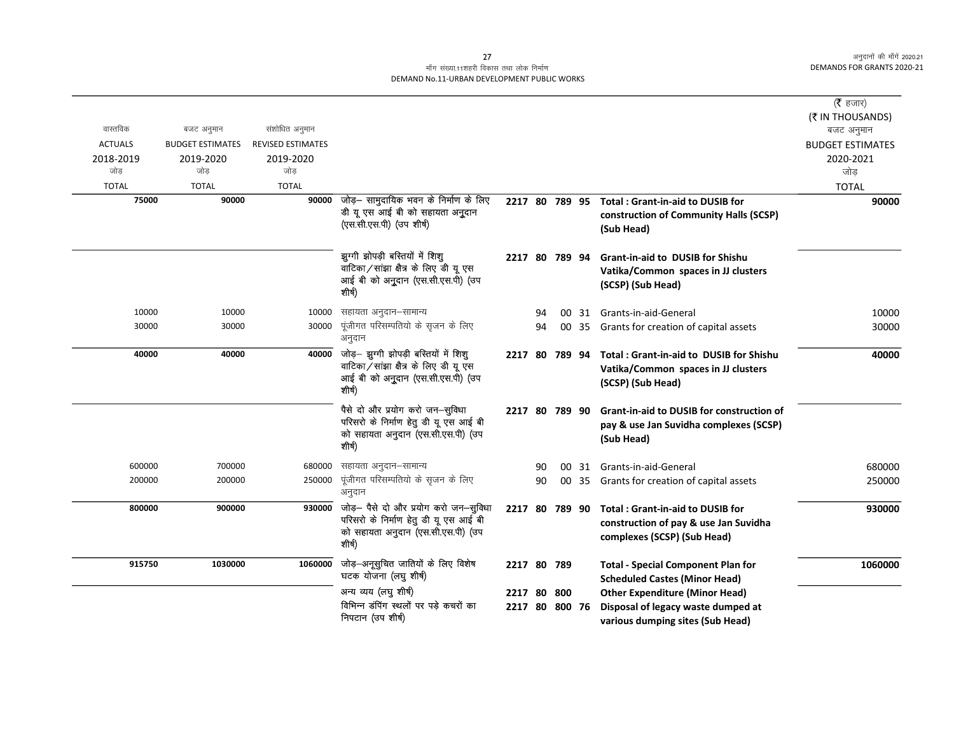# माँग संख्या.11शहरी विकास तथा लोक निर्माण DEMAND No.11-URBAN DEVELOPMENT PUBLIC WORKS

|                |                         |                          |                                                                                                                                       |                |    |  |                                                                                                                 | ( $\bar{\tau}$ हजार)<br>(₹ IN THOUSANDS) |
|----------------|-------------------------|--------------------------|---------------------------------------------------------------------------------------------------------------------------------------|----------------|----|--|-----------------------------------------------------------------------------------------------------------------|------------------------------------------|
| वास्तविक       | बजट अनुमान              | संशोधित अनुमान           |                                                                                                                                       |                |    |  |                                                                                                                 | बजट अनुमान                               |
| <b>ACTUALS</b> | <b>BUDGET ESTIMATES</b> | <b>REVISED ESTIMATES</b> |                                                                                                                                       |                |    |  |                                                                                                                 | <b>BUDGET ESTIMATES</b>                  |
| 2018-2019      | 2019-2020               | 2019-2020                |                                                                                                                                       |                |    |  |                                                                                                                 | 2020-2021                                |
| जोड            | जोड                     | जोड                      |                                                                                                                                       |                |    |  |                                                                                                                 | जोड़                                     |
| <b>TOTAL</b>   | <b>TOTAL</b>            | <b>TOTAL</b>             |                                                                                                                                       |                |    |  |                                                                                                                 | <b>TOTAL</b>                             |
| 75000          | 90000                   | 90000                    | जोड़— सामुदायिक भवन के निर्माण के लिए                                                                                                 | 2217 80 789 95 |    |  | Total: Grant-in-aid to DUSIB for                                                                                | 90000                                    |
|                |                         |                          | डी यू एस आई बी को सहायता अनुदान<br>(एस.सी.एस.पी) (उप शीर्ष)                                                                           |                |    |  | construction of Community Halls (SCSP)<br>(Sub Head)                                                            |                                          |
|                |                         |                          | झूग्गी झोपड़ी बस्तियों में शिशू                                                                                                       | 2217 80 789 94 |    |  | <b>Grant-in-aid to DUSIB for Shishu</b>                                                                         |                                          |
|                |                         |                          | वाटिका / सांझा क्षैत्र के लिए डी यू एस                                                                                                |                |    |  | Vatika/Common spaces in JJ clusters                                                                             |                                          |
|                |                         |                          | आई बी को अनुदान (एस.सी.एस.पी) (उप<br>शीर्ष)                                                                                           |                |    |  | (SCSP) (Sub Head)                                                                                               |                                          |
| 10000          | 10000                   | 10000                    | सहायता अनुदान–सामान्य                                                                                                                 |                | 94 |  | 00 31 Grants-in-aid-General                                                                                     | 10000                                    |
| 30000          | 30000                   | 30000                    | पूंजीगत परिसम्पतियो के सृजन के लिए                                                                                                    |                | 94 |  | 00 35 Grants for creation of capital assets                                                                     | 30000                                    |
|                |                         |                          | अनुदान                                                                                                                                |                |    |  |                                                                                                                 |                                          |
| 40000          | 40000                   | 40000                    | जोड़- झुग्गी झोपड़ी बस्तियों में शिशु<br>वाटिका / सांझा क्षैत्र के लिए डी यू एस<br>आई बी को अनुदान (एस.सी.एस.पी) (उप<br>शीर्ष)        | 2217 80 789 94 |    |  | Total: Grant-in-aid to DUSIB for Shishu<br>Vatika/Common spaces in JJ clusters<br>(SCSP) (Sub Head)             | 40000                                    |
|                |                         |                          | पैसे दो और प्रयोग करो जन-सुविधा<br>परिसरो के निर्माण हेतु डी यू एस आई बी<br>को सहायता अनुदान (एस.सी.एस.पी) (उप                        | 2217 80 789 90 |    |  | <b>Grant-in-aid to DUSIB for construction of</b><br>pay & use Jan Suvidha complexes (SCSP)                      |                                          |
|                |                         |                          | शीर्ष)                                                                                                                                |                |    |  | (Sub Head)                                                                                                      |                                          |
| 600000         | 700000                  | 680000                   | सहायता अनुदान–सामान्य                                                                                                                 |                | 90 |  | 00 31 Grants-in-aid-General                                                                                     | 680000                                   |
| 200000         | 200000                  | 250000                   | पूंजीगत परिसम्पतियो के सृजन के लिए<br>अनुदान                                                                                          |                | 90 |  | 00 35 Grants for creation of capital assets                                                                     | 250000                                   |
| 800000         | 900000                  |                          | 930000 जोड़- पैसे दो और प्रयोग करो जन-सुविधा<br>परिसरो के निर्माण हेतु डी यू एस आई बी<br>को सहायता अनुदान (एस.सी.एस.पी) (उप<br>शीर्ष) | 2217 80 789 90 |    |  | <b>Total: Grant-in-aid to DUSIB for</b><br>construction of pay & use Jan Suvidha<br>complexes (SCSP) (Sub Head) | 930000                                   |
| 915750         | 1030000                 | 1060000                  | जोड़-अनूसुचित जातियों के लिए विशेष<br>घटक योजना (लघु शीर्ष)                                                                           | 2217 80 789    |    |  | <b>Total - Special Component Plan for</b><br><b>Scheduled Castes (Minor Head)</b>                               | 1060000                                  |
|                |                         |                          | अन्य व्यय (लघु शीर्ष)                                                                                                                 | 2217 80 800    |    |  | <b>Other Expenditure (Minor Head)</b>                                                                           |                                          |
|                |                         |                          | विभिन्न डंपिंग स्थलों पर पड़े कचरों का                                                                                                | 2217 80 800 76 |    |  | Disposal of legacy waste dumped at                                                                              |                                          |
|                |                         |                          | निपटान (उप शीर्ष)                                                                                                                     |                |    |  | various dumping sites (Sub Head)                                                                                |                                          |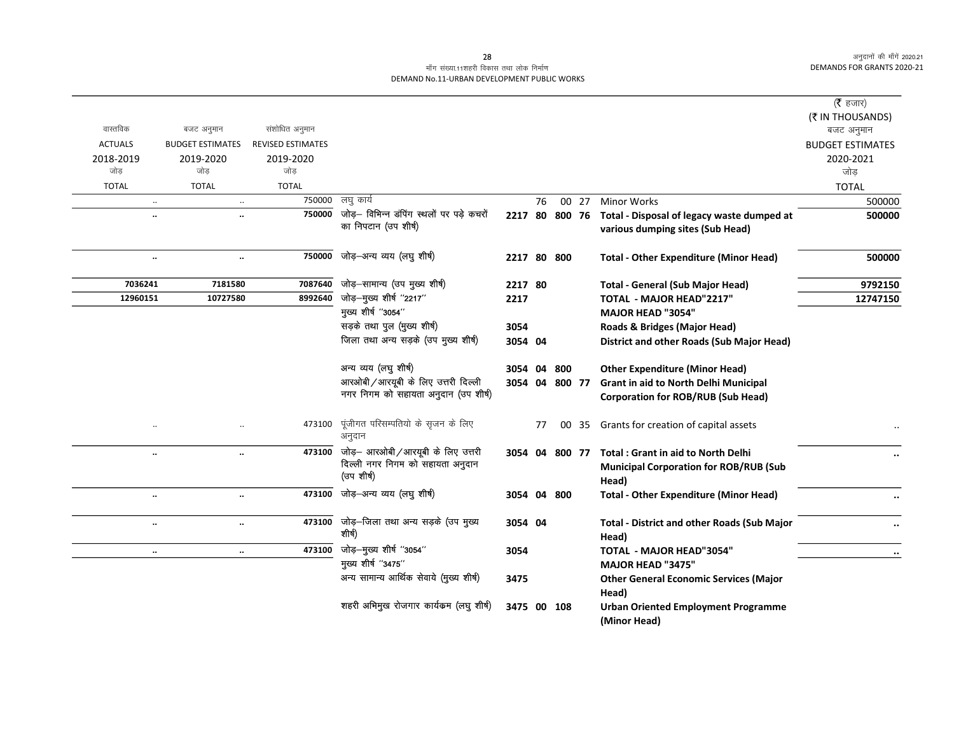# माँग संख्या.11शहरी विकास तथा लोक निर्माण DEMAND No.11-URBAN DEVELOPMENT PUBLIC WORKS

|                      |                         |                          |                                               |             |    |                |       |                                                            | ( $\bar{\tau}$ हजार)    |
|----------------------|-------------------------|--------------------------|-----------------------------------------------|-------------|----|----------------|-------|------------------------------------------------------------|-------------------------|
|                      |                         |                          |                                               |             |    |                |       |                                                            | (₹ IN THOUSANDS)        |
| वास्तविक             | बजट अनुमान              | संशोधित अनुमान           |                                               |             |    |                |       |                                                            | बजट अनुमान              |
| <b>ACTUALS</b>       | <b>BUDGET ESTIMATES</b> | <b>REVISED ESTIMATES</b> |                                               |             |    |                |       |                                                            | <b>BUDGET ESTIMATES</b> |
| 2018-2019            | 2019-2020               | 2019-2020                |                                               |             |    |                |       |                                                            | 2020-2021               |
| जोड                  | जोड                     | जोड़                     |                                               |             |    |                |       |                                                            | जोड़                    |
| <b>TOTAL</b>         | <b>TOTAL</b>            | <b>TOTAL</b>             |                                               |             |    |                |       |                                                            | <b>TOTAL</b>            |
| $\ldots$             | $\cdot\cdot$            | 750000                   | लघु कार्य                                     |             | 76 |                | 00 27 | <b>Minor Works</b>                                         | 500000                  |
| $\ddot{\phantom{0}}$ | $\ddot{\phantom{a}}$    | 750000                   | जोड़- विभिन्न डंपिंग स्थलों पर पड़े कचरों     |             |    | 2217 80 800 76 |       | Total - Disposal of legacy waste dumped at                 | 500000                  |
|                      |                         |                          | का निपटान (उप शीर्ष)                          |             |    |                |       | various dumping sites (Sub Head)                           |                         |
|                      | $\ddotsc$               | 750000                   | जोड़-अन्य व्यय (लघु शीर्ष)                    | 2217 80 800 |    |                |       | <b>Total - Other Expenditure (Minor Head)</b>              | 500000                  |
| 7036241              | 7181580                 | 7087640                  | जोड़-सामान्य (उप मुख्य शीर्ष)                 | 2217 80     |    |                |       | <b>Total - General (Sub Major Head)</b>                    | 9792150                 |
| 12960151             | 10727580                | 8992640                  | जोड़-मुख्य शीर्ष "2217"                       | 2217        |    |                |       | TOTAL - MAJOR HEAD"2217"                                   | 12747150                |
|                      |                         |                          | मुख्य शीर्ष "3054"                            |             |    |                |       | <b>MAJOR HEAD "3054"</b>                                   |                         |
|                      |                         |                          | सड़के तथा पुल (मुख्य शीर्ष)                   | 3054        |    |                |       | Roads & Bridges (Major Head)                               |                         |
|                      |                         |                          | जिला तथा अन्य सड़के (उप मुख्य शीर्ष)          | 3054 04     |    |                |       | District and other Roads (Sub Major Head)                  |                         |
|                      |                         |                          | अन्य व्यय (लघु शीर्ष)                         | 3054 04     |    | 800            |       | <b>Other Expenditure (Minor Head)</b>                      |                         |
|                      |                         |                          | आरओबी / आरयूबी के लिए उत्तरी दिल्ली           |             |    | 3054 04 800 77 |       | Grant in aid to North Delhi Municipal                      |                         |
|                      |                         |                          | नगर निगम को सहायता अनुदान (उप शीर्ष)          |             |    |                |       | <b>Corporation for ROB/RUB (Sub Head)</b>                  |                         |
| $\cdot\cdot$         |                         | 473100                   | पूंजीगत परिसम्पतियो के सृजन के लिए<br>अनुदान  |             | 77 |                | 00 35 | Grants for creation of capital assets                      |                         |
| $\ldots$             | $\ddotsc$               | 473100                   | जोड़— आरओबी /आरयूबी के लिए उत्तरी             |             |    | 3054 04 800 77 |       | <b>Total: Grant in aid to North Delhi</b>                  | $\cdot \cdot$           |
|                      |                         |                          | दिल्ली नगर निगम को सहायता अनुदान              |             |    |                |       | <b>Municipal Corporation for ROB/RUB (Sub</b>              |                         |
|                      |                         |                          | (उप शीर्ष)                                    |             |    |                |       | Head)                                                      |                         |
| $\ldots$             | $\ddotsc$               | 473100                   | जोड़-अन्य व्यय (लघु शीर्ष)                    | 3054 04 800 |    |                |       | <b>Total - Other Expenditure (Minor Head)</b>              | $\cdot\cdot$            |
| $\ldots$             | $\ddotsc$               | 473100                   | जोड़–जिला तथा अन्य सड़के (उप मुख्य<br>शीर्ष)  | 3054 04     |    |                |       | <b>Total - District and other Roads (Sub Major</b>         | $\cdot\cdot$            |
|                      |                         |                          |                                               |             |    |                |       | Head)                                                      |                         |
| $\ddotsc$            | $\ddotsc$               | 473100                   | जोड़-मुख्य शीर्ष "3054"<br>मुख्य शीर्ष "3475" | 3054        |    |                |       | <b>TOTAL - MAJOR HEAD"3054"</b>                            | $\ddotsc$               |
|                      |                         |                          | अन्य सामान्य आर्थिक सेवाये (मुख्य शीर्ष)      |             |    |                |       | MAJOR HEAD "3475"                                          |                         |
|                      |                         |                          |                                               | 3475        |    |                |       | <b>Other General Economic Services (Major</b>              |                         |
|                      |                         |                          | शहरी अभिमुख रोजगार कार्यकम (लघु शीर्ष)        |             |    |                |       | Head)                                                      |                         |
|                      |                         |                          |                                               | 3475 00 108 |    |                |       | <b>Urban Oriented Employment Programme</b><br>(Minor Head) |                         |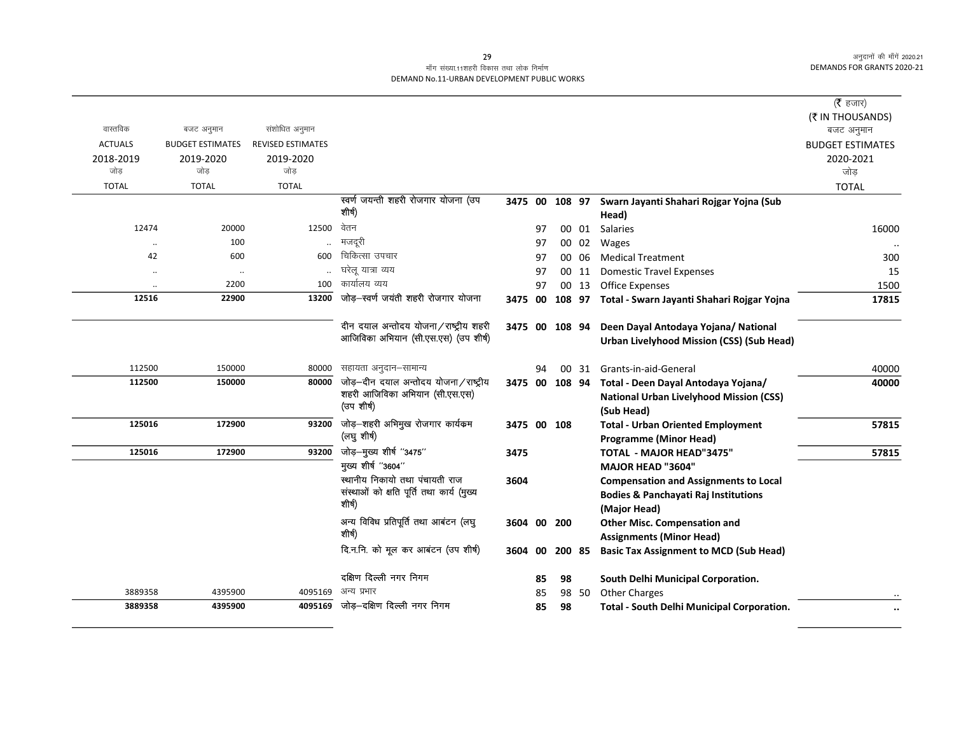|                |           |                         |                          |                                                                               |                |    |                 |       |                                                           | ( $\bar{\tau}$ हजार)    |
|----------------|-----------|-------------------------|--------------------------|-------------------------------------------------------------------------------|----------------|----|-----------------|-------|-----------------------------------------------------------|-------------------------|
|                |           |                         |                          |                                                                               |                |    |                 |       |                                                           | (₹ IN THOUSANDS)        |
| वास्तविक       |           | बजट अनुमान              | संशोधित अनुमान           |                                                                               |                |    |                 |       |                                                           | बजट अनुमान              |
| <b>ACTUALS</b> |           | <b>BUDGET ESTIMATES</b> | <b>REVISED ESTIMATES</b> |                                                                               |                |    |                 |       |                                                           | <b>BUDGET ESTIMATES</b> |
| 2018-2019      |           | 2019-2020               | 2019-2020                |                                                                               |                |    |                 |       |                                                           | 2020-2021               |
| जोड            |           | जोड                     | जोड                      |                                                                               |                |    |                 |       |                                                           | जोड़                    |
| <b>TOTAL</b>   |           | <b>TOTAL</b>            | <b>TOTAL</b>             |                                                                               |                |    |                 |       |                                                           | <b>TOTAL</b>            |
|                |           |                         |                          | स्वर्ण जयन्ती शहरी रोजगार योजना (उप                                           |                |    |                 |       | 3475 00 108 97 Swarn Jayanti Shahari Rojgar Yojna (Sub    |                         |
|                |           |                         |                          | शीर्ष)                                                                        |                |    |                 |       | Head)                                                     |                         |
|                | 12474     | 20000                   | 12500                    | वेतन                                                                          |                | 97 |                 | 00 01 | <b>Salaries</b>                                           | 16000                   |
|                |           | 100                     |                          | मजदूरी                                                                        |                | 97 | 00              | 02    | Wages                                                     |                         |
|                | 42        | 600                     | 600                      | चिकित्सा उपचार                                                                |                | 97 | 00 <sup>1</sup> | -06   | <b>Medical Treatment</b>                                  | 300                     |
|                | $\cdot$   | $\ldots$                |                          | घरेलू यात्रा व्यय                                                             |                | 97 |                 | 00 11 | <b>Domestic Travel Expenses</b>                           | 15                      |
|                | $\ddotsc$ | 2200                    | 100                      | कार्यालय व्यय                                                                 |                | 97 |                 | 00 13 | Office Expenses                                           | 1500                    |
|                | 12516     | 22900                   | 13200                    | जोड़-स्वर्ण जयंती शहरी रोजगार योजना                                           |                |    |                 |       | 3475 00 108 97 Total - Swarn Jayanti Shahari Rojgar Yojna | 17815                   |
|                |           |                         |                          |                                                                               |                |    |                 |       |                                                           |                         |
|                |           |                         |                          | दीन दयाल अन्तोदय योजना/राष्ट्रीय शहरी<br>आजिविका अभियान (सी.एस.एस) (उप शीर्ष) | 3475 00 108 94 |    |                 |       | Deen Dayal Antodaya Yojana/ National                      |                         |
|                |           |                         |                          |                                                                               |                |    |                 |       | <b>Urban Livelyhood Mission (CSS) (Sub Head)</b>          |                         |
|                | 112500    | 150000                  | 80000                    | सहायता अनुदान-सामान्य                                                         |                | 94 |                 | 00 31 | Grants-in-aid-General                                     | 40000                   |
|                | 112500    | 150000                  | 80000                    | जोड़-दीन दयाल अन्तोदय योजना/राष्ट्रीय                                         | 3475 00 108 94 |    |                 |       | Total - Deen Dayal Antodaya Yojana/                       | 40000                   |
|                |           |                         |                          | शहरी आजिविका अभियान (सी.एस.एस)                                                |                |    |                 |       | <b>National Urban Livelyhood Mission (CSS)</b>            |                         |
|                |           |                         |                          | (उप शीर्ष)                                                                    |                |    |                 |       | (Sub Head)                                                |                         |
|                | 125016    | 172900                  | 93200                    | जोड़-शहरी अभिमुख रोजगार कार्यकम                                               | 3475 00 108    |    |                 |       | <b>Total - Urban Oriented Employment</b>                  | 57815                   |
|                |           |                         |                          | (लघु शीर्ष)                                                                   |                |    |                 |       | <b>Programme (Minor Head)</b>                             |                         |
|                | 125016    | 172900                  | 93200                    | जोड़-मुख्य शीर्ष "3475"                                                       | 3475           |    |                 |       | <b>TOTAL - MAJOR HEAD"3475"</b>                           | 57815                   |
|                |           |                         |                          | मुख्य शीर्ष "3604"                                                            |                |    |                 |       | <b>MAJOR HEAD "3604"</b>                                  |                         |
|                |           |                         |                          | स्थानीय निकायो तथा पंचायती राज                                                | 3604           |    |                 |       | <b>Compensation and Assignments to Local</b>              |                         |
|                |           |                         |                          | संस्थाओं को क्षति पूर्ति तथा कार्य (मुख्य                                     |                |    |                 |       | <b>Bodies &amp; Panchayati Raj Institutions</b>           |                         |
|                |           |                         |                          | शीर्ष)                                                                        |                |    |                 |       | (Major Head)                                              |                         |
|                |           |                         |                          | अन्य विविध प्रतिपूर्ति तथा आबंटन (लघु                                         | 3604 00 200    |    |                 |       | <b>Other Misc. Compensation and</b>                       |                         |
|                |           |                         |                          | शीर्ष)                                                                        |                |    |                 |       | <b>Assignments (Minor Head)</b>                           |                         |
|                |           |                         |                          | दि.न.नि. को मूल कर आबंटन (उप शीर्ष)                                           | 3604 00 200 85 |    |                 |       | <b>Basic Tax Assignment to MCD (Sub Head)</b>             |                         |
|                |           |                         |                          | दक्षिण दिल्ली नगर निगम                                                        |                | 85 | 98              |       | South Delhi Municipal Corporation.                        |                         |
|                | 3889358   | 4395900                 | 4095169                  | अन्य प्रभार                                                                   |                | 85 |                 | 98 50 | <b>Other Charges</b>                                      |                         |
|                | 3889358   | 4395900                 | 4095169                  | जोड़-दक्षिण दिल्ली नगर निगम                                                   |                | 85 | 98              |       | <b>Total - South Delhi Municipal Corporation.</b>         |                         |
|                |           |                         |                          |                                                                               |                |    |                 |       |                                                           | $\cdot\cdot$            |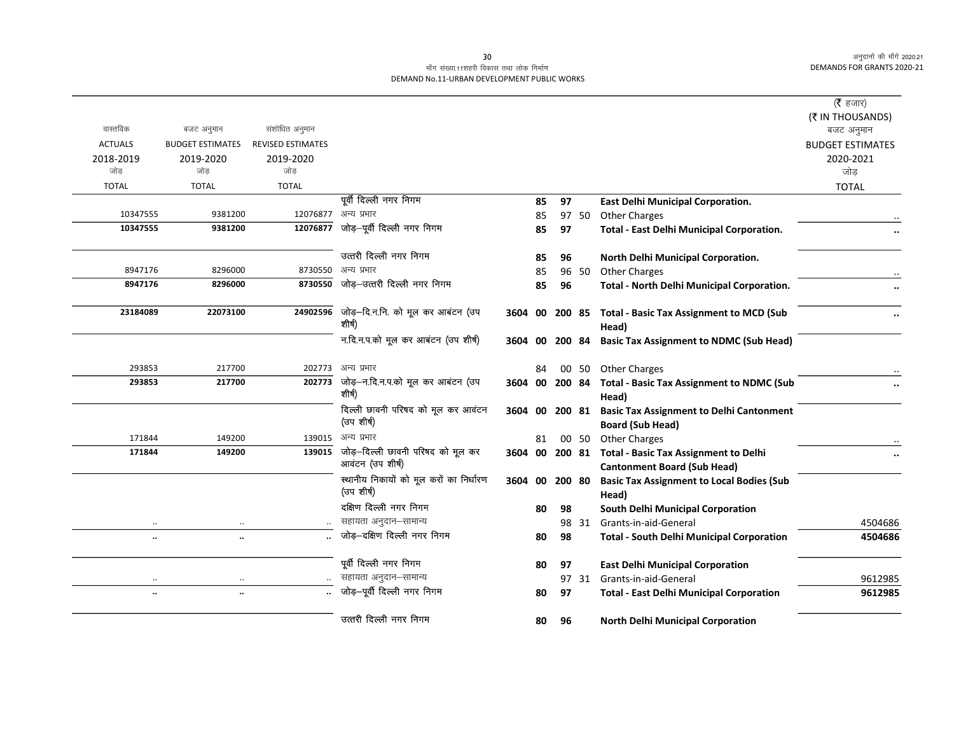## माँग संख्या.11शहरी विकास तथा लोक निर्माण DEMAND No.11-URBAN DEVELOPMENT PUBLIC WORKS

|                |                         |                          |                                                       |      |    |        |       |                                                                                            | ( $\bar{\tau}$ हजार)<br>(₹ IN THOUSANDS) |
|----------------|-------------------------|--------------------------|-------------------------------------------------------|------|----|--------|-------|--------------------------------------------------------------------------------------------|------------------------------------------|
| वास्तविक       | बजट अनुमान              | संशोधित अनुमान           |                                                       |      |    |        |       |                                                                                            | बजट अनुमान                               |
| <b>ACTUALS</b> | <b>BUDGET ESTIMATES</b> | <b>REVISED ESTIMATES</b> |                                                       |      |    |        |       |                                                                                            | <b>BUDGET ESTIMATES</b>                  |
| 2018-2019      | 2019-2020               | 2019-2020                |                                                       |      |    |        |       |                                                                                            | 2020-2021                                |
| जोड            | जोड                     | जोड                      |                                                       |      |    |        |       |                                                                                            | जोड़                                     |
| <b>TOTAL</b>   | <b>TOTAL</b>            | <b>TOTAL</b>             |                                                       |      |    |        |       |                                                                                            | <b>TOTAL</b>                             |
|                |                         |                          | पूर्वी दिल्ली नगर निगम                                |      | 85 | 97     |       | <b>East Delhi Municipal Corporation.</b>                                                   |                                          |
| 10347555       | 9381200                 | 12076877 अन्य प्रभार     |                                                       |      | 85 |        | 97 50 | <b>Other Charges</b>                                                                       |                                          |
| 10347555       | 9381200                 | 12076877                 | जोड़–पूर्वी दिल्ली नगर निगम                           |      | 85 | 97     |       | <b>Total - East Delhi Municipal Corporation.</b>                                           |                                          |
|                |                         |                          | उत्तरी दिल्ली नगर निगम                                |      | 85 | 96     |       | North Delhi Municipal Corporation.                                                         |                                          |
| 8947176        | 8296000                 |                          | 8730550 अन्य प्रभार                                   |      | 85 |        |       | 96 50 Other Charges                                                                        |                                          |
| 8947176        | 8296000                 | 8730550                  | जोड़–उत्तरी दिल्ली नगर निगम                           |      | 85 | 96     |       | Total - North Delhi Municipal Corporation.                                                 |                                          |
| 23184089       | 22073100                | 24902596                 | जोड़—दि.न.नि. को मूल कर आबंटन (उप<br>शीर्ष)           | 3604 | 00 |        |       | 200 85 Total - Basic Tax Assignment to MCD (Sub<br>Head)                                   |                                          |
|                |                         |                          | न.दि.न.प.को मूल कर आबंटन (उप शीर्ष)                   |      |    |        |       | 3604 00 200 84 Basic Tax Assignment to NDMC (Sub Head)                                     |                                          |
| 293853         | 217700                  |                          | 202773 अन्य प्रभार                                    |      | 84 |        |       | 00 50 Other Charges                                                                        |                                          |
| 293853         | 217700                  | 202773                   | जोड़—न.दि.न.प.को मूल कर आबटन (उप<br>शीर्ष)            |      |    |        |       | 3604 00 200 84 Total - Basic Tax Assignment to NDMC (Sub<br>Head)                          |                                          |
|                |                         |                          | दिल्ली छावनी परिषद को मूल कर आवंटन<br>(उप शीर्ष)      |      |    |        |       | 3604 00 200 81 Basic Tax Assignment to Delhi Cantonment<br><b>Board (Sub Head)</b>         |                                          |
| 171844         | 149200                  | 139015                   | अन्य प्रभार                                           |      | 81 |        |       | 00 50 Other Charges                                                                        |                                          |
| 171844         | 149200                  | 139015                   | जोड़-दिल्ली छावनी परिषद को मूल कर<br>आवटन (उप शीर्ष)  |      |    |        |       | 3604 00 200 81 Total - Basic Tax Assignment to Delhi<br><b>Cantonment Board (Sub Head)</b> |                                          |
|                |                         |                          | स्थानीय निकायों को मूल करों का निर्धारण<br>(उप शीर्ष) | 3604 | 00 | 200 80 |       | <b>Basic Tax Assignment to Local Bodies (Sub</b><br>Head)                                  |                                          |
|                |                         |                          | दक्षिण दिल्ली नगर निगम                                |      | 80 | 98     |       | <b>South Delhi Municipal Corporation</b>                                                   |                                          |
| $\cdot\cdot$   | $\cdot$ .               |                          | सहायता अनुदान–सामान्य                                 |      |    |        |       | 98 31 Grants-in-aid-General                                                                | 4504686                                  |
| $\ddotsc$      | $\ddotsc$               |                          | जोड़-दक्षिण दिल्ली नगर निगम                           |      | 80 | 98     |       | <b>Total - South Delhi Municipal Corporation</b>                                           | 4504686                                  |
|                |                         |                          | पूर्वी दिल्ली नगर निगम                                |      | 80 | 97     |       | <b>East Delhi Municipal Corporation</b>                                                    |                                          |
| $\cdot\cdot$   | $\ddotsc$               |                          | सहायता अनुदान-सामान्य                                 |      |    |        |       | 97 31 Grants-in-aid-General                                                                | 9612985                                  |
| $\ddotsc$      | $\ddotsc$               |                          | जोड़-पूर्वी दिल्ली नगर निगम                           |      | 80 | 97     |       | <b>Total - East Delhi Municipal Corporation</b>                                            | 9612985                                  |
|                |                         |                          | उत्तरी दिल्ली नगर निगम                                |      | 80 | 96     |       | <b>North Delhi Municipal Corporation</b>                                                   |                                          |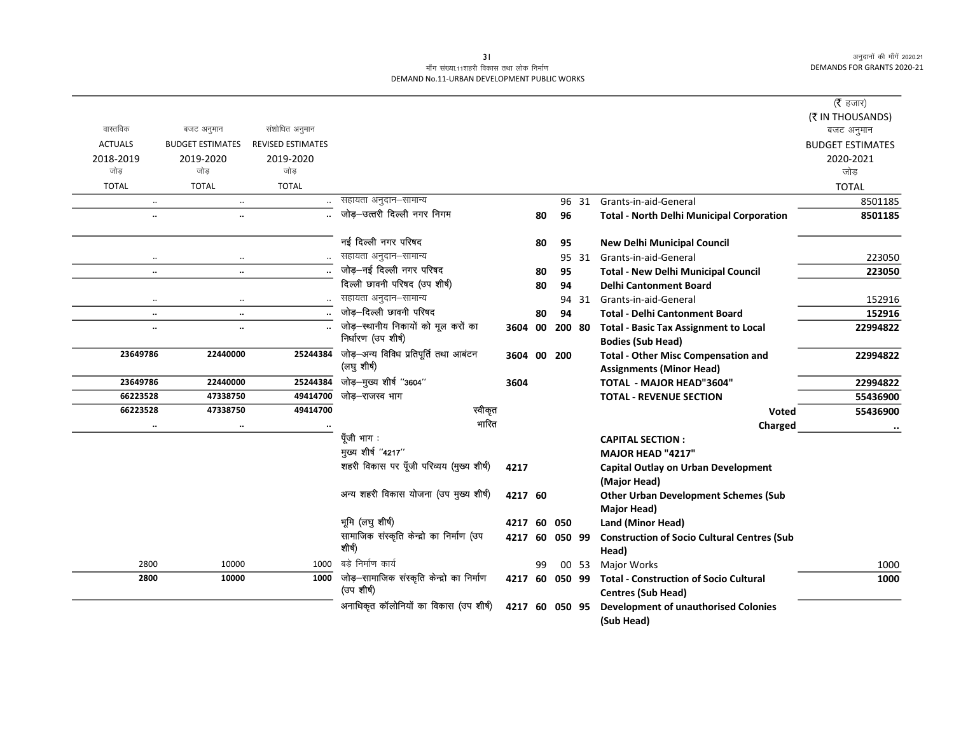# माँग संख्या.11शहरी विकास तथा लोक निर्माण DEMAND No.11-URBAN DEVELOPMENT PUBLIC WORKS

|                      |                         |                          |                                                         |                |    |        |       |                                                                            | ( $\bar{\tau}$ हजार)    |
|----------------------|-------------------------|--------------------------|---------------------------------------------------------|----------------|----|--------|-------|----------------------------------------------------------------------------|-------------------------|
| वास्तविक             |                         |                          |                                                         |                |    |        |       |                                                                            | (₹ IN THOUSANDS)        |
|                      | बजट अनुमान              | संशोधित अनुमान           |                                                         |                |    |        |       |                                                                            | बजट अनुमान              |
| <b>ACTUALS</b>       | <b>BUDGET ESTIMATES</b> | <b>REVISED ESTIMATES</b> |                                                         |                |    |        |       |                                                                            | <b>BUDGET ESTIMATES</b> |
| 2018-2019<br>जोड     | 2019-2020<br>जोड        | 2019-2020<br>जोड         |                                                         |                |    |        |       |                                                                            | 2020-2021               |
|                      |                         |                          |                                                         |                |    |        |       |                                                                            | जोड                     |
| <b>TOTAL</b>         | <b>TOTAL</b>            | <b>TOTAL</b>             |                                                         |                |    |        |       |                                                                            | <b>TOTAL</b>            |
| $\ddotsc$            | $\ddotsc$               |                          | सहायता अनुदान–सामान्य                                   |                |    | 96     | 31    | Grants-in-aid-General                                                      | 8501185                 |
| $\ddot{\phantom{a}}$ | $\ddot{\phantom{a}}$    |                          | जोड़-उत्तरी दिल्ली नगर निगम                             |                | 80 | 96     |       | <b>Total - North Delhi Municipal Corporation</b>                           | 8501185                 |
|                      |                         |                          | नई दिल्ली नगर परिषद                                     |                | 80 | 95     |       | <b>New Delhi Municipal Council</b>                                         |                         |
|                      |                         |                          | सहायता अनुदान-सामान्य                                   |                |    |        |       | 95 31 Grants-in-aid-General                                                | 223050                  |
| $\ddot{\phantom{0}}$ | $\ddotsc$               |                          | जोड़-नई दिल्ली नगर परिषद                                |                | 80 | 95     |       | <b>Total - New Delhi Municipal Council</b>                                 | 223050                  |
|                      |                         |                          | दिल्ली छावनी परिषद (उप शीर्ष)                           |                | 80 | 94     |       | <b>Delhi Cantonment Board</b>                                              |                         |
| $\ddotsc$            | $\cdot\cdot$            |                          | सहायता अनुदान–सामान्य                                   |                |    |        |       | 94 31 Grants-in-aid-General                                                | 152916                  |
| $\ldots$             | $\ddotsc$               |                          | जोड़–दिल्ली छावनी परिषद                                 |                | 80 | 94     |       | <b>Total - Delhi Cantonment Board</b>                                      | 152916                  |
|                      | $\ldots$                |                          | जोड़-स्थानीय निकायों को मूल करों का                     | 3604           | 00 | 200 80 |       | <b>Total - Basic Tax Assignment to Local</b>                               | 22994822                |
|                      |                         |                          | निर्धारण (उप शीर्ष)                                     |                |    |        |       | <b>Bodies (Sub Head)</b>                                                   |                         |
| 23649786             | 22440000                | 25244384                 | जोड़-अन्य विविध प्रतिपूर्ति तथा आबंटन                   | 3604           | 00 | 200    |       | <b>Total - Other Misc Compensation and</b>                                 | 22994822                |
|                      |                         |                          | (लघु शीर्ष)                                             |                |    |        |       | <b>Assignments (Minor Head)</b>                                            |                         |
| 23649786             | 22440000                | 25244384                 | जोड़-मुख्य शीर्ष "3604"                                 | 3604           |    |        |       | <b>TOTAL - MAJOR HEAD"3604"</b>                                            | 22994822                |
| 66223528             | 47338750                | 49414700                 | जोड़-राजस्व भाग                                         |                |    |        |       | <b>TOTAL - REVENUE SECTION</b>                                             | 55436900                |
| 66223528             | 47338750                | 49414700                 | स्वीकृत                                                 |                |    |        |       | Voted                                                                      | 55436900                |
|                      | $\ddot{\phantom{a}}$    |                          | भारित                                                   |                |    |        |       | Charged                                                                    |                         |
|                      |                         |                          | पूँजी भाग :                                             |                |    |        |       | <b>CAPITAL SECTION:</b>                                                    |                         |
|                      |                         |                          | मुख्य शीर्ष "4217"                                      |                |    |        |       | MAJOR HEAD "4217"                                                          |                         |
|                      |                         |                          | शहरी विकास पर पूँजी परिव्यय (मुख्य शीर्ष)               | 4217           |    |        |       | <b>Capital Outlay on Urban Development</b>                                 |                         |
|                      |                         |                          |                                                         |                |    |        |       | (Major Head)                                                               |                         |
|                      |                         |                          | अन्य शहरी विकास योजना (उप मुख्य शीर्ष)                  | 4217 60        |    |        |       | <b>Other Urban Development Schemes (Sub</b>                                |                         |
|                      |                         |                          |                                                         |                |    |        |       | Major Head)                                                                |                         |
|                      |                         |                          | भूमि (लघु शीर्ष)                                        | 4217 60        |    | 050    |       | Land (Minor Head)                                                          |                         |
|                      |                         |                          | सामाजिक संस्कृति केन्द्रो का निर्माण (उप                | 4217 60 050 99 |    |        |       | <b>Construction of Socio Cultural Centres (Sub</b>                         |                         |
|                      |                         |                          | शीर्ष)                                                  |                |    |        |       | Head)                                                                      |                         |
| 2800                 | 10000                   | 1000                     | बडे निर्माण कार्य                                       |                | 99 |        | 00 53 | Major Works                                                                | 1000                    |
| 2800                 | 10000                   | 1000                     | जोड़–सामाजिक संस्कृति केन्द्रो का निर्माण<br>(उप शीर्ष) | 4217 60 050 99 |    |        |       | <b>Total - Construction of Socio Cultural</b><br><b>Centres (Sub Head)</b> | 1000                    |
|                      |                         |                          | अनाधिकृत कॉलोनियों का विकास (उप शीर्ष)                  | 4217 60 050 95 |    |        |       | <b>Development of unauthorised Colonies</b><br>(Sub Head)                  |                         |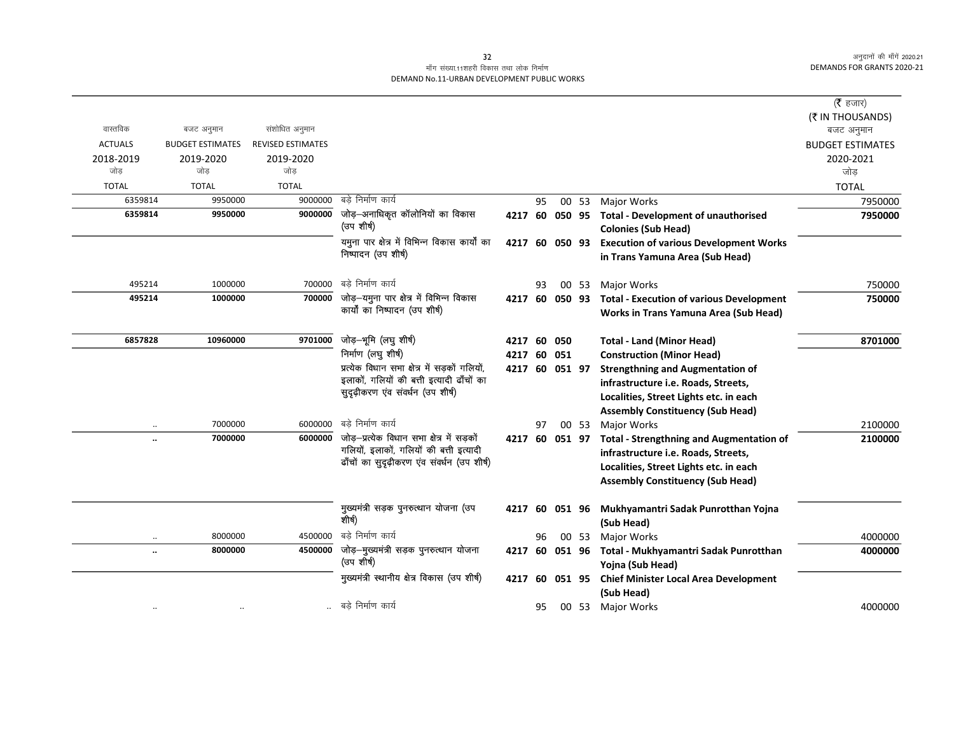# माँग संख्या.11शहरी विकास तथा लोक निर्माण DEMAND No.11-URBAN DEVELOPMENT PUBLIC WORKS

|                      |                         |                          |                                                                 |                |    |                |       |                                                 | ( $\bar{\tau}$ हजार)    |
|----------------------|-------------------------|--------------------------|-----------------------------------------------------------------|----------------|----|----------------|-------|-------------------------------------------------|-------------------------|
|                      |                         |                          |                                                                 |                |    |                |       |                                                 | (₹ IN THOUSANDS)        |
| वास्तविक             | बजट अनुमान              | संशोधित अनुमान           |                                                                 |                |    |                |       |                                                 | बजट अनुमान              |
| <b>ACTUALS</b>       | <b>BUDGET ESTIMATES</b> | <b>REVISED ESTIMATES</b> |                                                                 |                |    |                |       |                                                 | <b>BUDGET ESTIMATES</b> |
| 2018-2019            | 2019-2020               | 2019-2020                |                                                                 |                |    |                |       |                                                 | 2020-2021               |
| जोड                  | जोड                     | जोड                      |                                                                 |                |    |                |       |                                                 | जोड़                    |
| <b>TOTAL</b>         | <b>TOTAL</b>            | <b>TOTAL</b>             | बड़े निर्माण कार्य                                              |                |    |                |       |                                                 | <b>TOTAL</b>            |
| 6359814              | 9950000                 | 9000000<br>9000000       | जोड़-अनाधिकृत कॉलोनियों का विकास                                |                | 95 |                | 00 53 | Major Works                                     | 7950000                 |
| 6359814              | 9950000                 |                          | (उप शीर्ष)                                                      | 4217 60        |    | 050 95         |       | <b>Total - Development of unauthorised</b>      | 7950000                 |
|                      |                         |                          | यमुना पार क्षेत्र में विभिन्न विकास कार्यों का                  |                |    |                |       | <b>Colonies (Sub Head)</b>                      |                         |
|                      |                         |                          | निष्पादन (उप शीर्ष)                                             | 4217 60 050 93 |    |                |       | <b>Execution of various Development Works</b>   |                         |
|                      |                         |                          |                                                                 |                |    |                |       | in Trans Yamuna Area (Sub Head)                 |                         |
| 495214               | 1000000                 | 700000                   | बड़े निर्माण कार्य                                              |                | 93 |                | 00 53 | <b>Major Works</b>                              | 750000                  |
| 495214               | 1000000                 | 700000                   | जोड़—यमुना पार क्षेत्र में विभिन्न विकास                        | 4217 60        |    | 050 93         |       | <b>Total - Execution of various Development</b> | 750000                  |
|                      |                         |                          | कार्यों का निष्पादन (उप शीर्ष)                                  |                |    |                |       | Works in Trans Yamuna Area (Sub Head)           |                         |
|                      |                         |                          |                                                                 |                |    |                |       |                                                 |                         |
| 6857828              | 10960000                | 9701000                  | जोड़-भूमि (लघु शीर्ष)                                           | 4217 60        |    | 050            |       | <b>Total - Land (Minor Head)</b>                | 8701000                 |
|                      |                         |                          | निर्माण (लघु शीर्ष)                                             | 4217 60 051    |    |                |       | <b>Construction (Minor Head)</b>                |                         |
|                      |                         |                          | प्रत्येक विधान सभा क्षेत्र में सड़कों गलियों,                   |                |    | 4217 60 051 97 |       | <b>Strengthning and Augmentation of</b>         |                         |
|                      |                         |                          | इलाकों, गलियों की बत्ती इत्यादी ढाँचों का                       |                |    |                |       | infrastructure i.e. Roads, Streets,             |                         |
|                      |                         |                          | सुदृढ़ीकरण एव संवर्धन (उप शीर्ष)                                |                |    |                |       | Localities, Street Lights etc. in each          |                         |
|                      |                         |                          |                                                                 |                |    |                |       | <b>Assembly Constituency (Sub Head)</b>         |                         |
| $\ddotsc$            | 7000000                 | 6000000                  | बडे निर्माण कार्य                                               |                | 97 |                | 00 53 | Major Works                                     | 2100000                 |
| $\ddotsc$            | 7000000                 |                          | $\overline{6000000}$ जोड़-प्रत्येक विधान सभा क्षेत्र में सड़कों | 4217 60 051 97 |    |                |       | <b>Total - Strengthning and Augmentation of</b> | 2100000                 |
|                      |                         |                          | गलियों, इलाकों, गलियों की बत्ती इत्यादी                         |                |    |                |       | infrastructure i.e. Roads, Streets,             |                         |
|                      |                         |                          | ढाँचों का सुदृढ़ीकरण एंव संवर्धन (उप शीर्ष)                     |                |    |                |       | Localities, Street Lights etc. in each          |                         |
|                      |                         |                          |                                                                 |                |    |                |       | <b>Assembly Constituency (Sub Head)</b>         |                         |
|                      |                         |                          |                                                                 |                |    |                |       |                                                 |                         |
|                      |                         |                          | मुख्यमंत्री सड़क पुनरुत्थान योजना (उप                           | 4217 60        |    | 051 96         |       | Mukhyamantri Sadak Punrotthan Yojna             |                         |
|                      |                         |                          | शीर्ष)                                                          |                |    |                |       | (Sub Head)                                      |                         |
| $\ddot{\phantom{0}}$ | 8000000                 | 4500000                  | बडे निर्माण कार्य                                               |                | 96 |                | 00 53 | Major Works                                     | 4000000                 |
| $\ddotsc$            | 8000000                 |                          | 4500000 जोड़-मुख्यमंत्री सड़क पुनरुत्थान योजना                  | 4217           | 60 | 051 96         |       | Total - Mukhyamantri Sadak Punrotthan           | 4000000                 |
|                      |                         |                          | (उप शीर्ष)                                                      |                |    |                |       | Yojna (Sub Head)                                |                         |
|                      |                         |                          | मुख्यमंत्री स्थानीय क्षेत्र विकास (उप शीर्ष)                    | 4217 60        |    | 051 95         |       | <b>Chief Minister Local Area Development</b>    |                         |
|                      |                         |                          |                                                                 |                |    |                |       | (Sub Head)                                      |                         |
|                      |                         |                          | बडे निर्माण कार्य                                               |                | 95 |                |       | 00 53 Major Works                               | 4000000                 |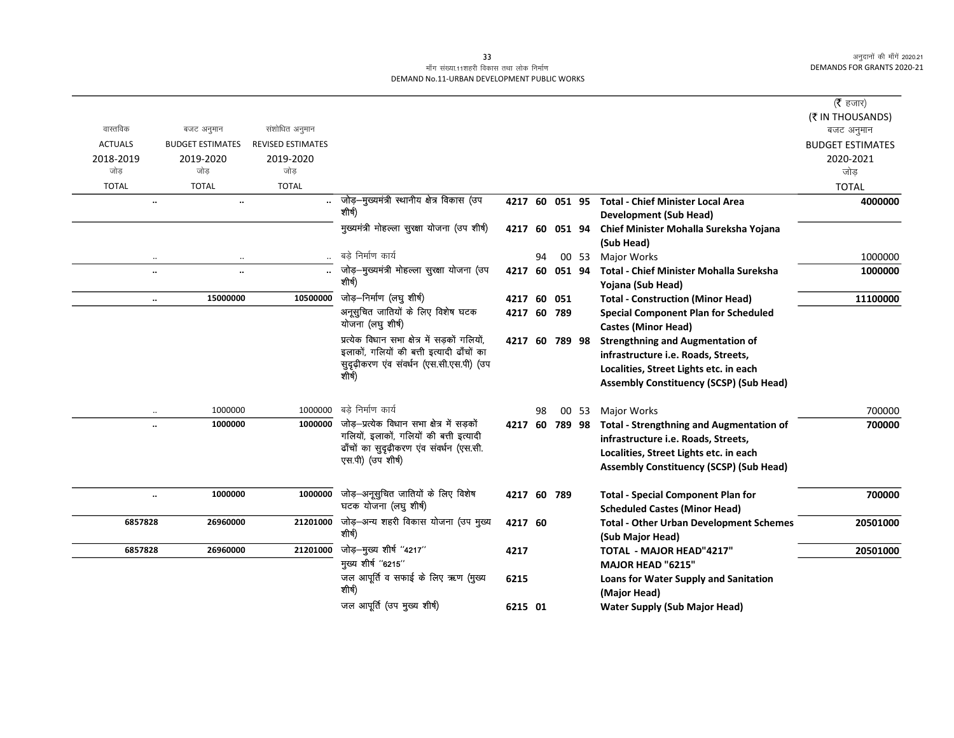|                |                                   |                          |                                                      |                |     |                |       |                                                                           | ( $\bar{\tau}$ हजार)    |
|----------------|-----------------------------------|--------------------------|------------------------------------------------------|----------------|-----|----------------|-------|---------------------------------------------------------------------------|-------------------------|
|                |                                   |                          |                                                      |                |     |                |       |                                                                           | (₹ IN THOUSANDS)        |
| वास्तविक       | बजट अनुमान                        | संशोधित अनुमान           |                                                      |                |     |                |       |                                                                           | बजट अनुमान              |
| <b>ACTUALS</b> | <b>BUDGET ESTIMATES</b>           | <b>REVISED ESTIMATES</b> |                                                      |                |     |                |       |                                                                           | <b>BUDGET ESTIMATES</b> |
| 2018-2019      | 2019-2020                         | 2019-2020                |                                                      |                |     |                |       |                                                                           | 2020-2021               |
| जोड            | जोड                               | जोड                      |                                                      |                |     |                |       |                                                                           | जोड़                    |
| <b>TOTAL</b>   | <b>TOTAL</b>                      | <b>TOTAL</b>             |                                                      |                |     |                |       |                                                                           | <b>TOTAL</b>            |
|                | $\ddot{\phantom{a}}$<br>$\ddotsc$ | $\ddotsc$                | जोड़–मुख्यमंत्री स्थानीय क्षेत्र विकास (उप<br>शीर्ष) | 4217 60 051 95 |     |                |       | <b>Total - Chief Minister Local Area</b><br><b>Development (Sub Head)</b> | 4000000                 |
|                |                                   |                          | मुख्यमंत्री मोहल्ला सुरक्षा योजना (उप शीर्ष)         | 4217           | 60  | 051 94         |       | Chief Minister Mohalla Sureksha Yojana                                    |                         |
|                |                                   |                          |                                                      |                |     |                |       | (Sub Head)                                                                |                         |
|                |                                   |                          | बडे निर्माण कार्य                                    |                | 94  |                | 00 53 | <b>Major Works</b>                                                        | 1000000                 |
|                | $\ddotsc$<br>$\ddotsc$            | $\ddot{\phantom{a}}$     | जोड़-मुख्यमंत्री मोहल्ला सुरक्षा योजना (उप<br>शीर्ष) | 4217           | -60 | 051 94         |       | <b>Total - Chief Minister Mohalla Sureksha</b><br>Yojana (Sub Head)       | 1000000                 |
|                | 15000000<br>$\ddotsc$             | 10500000                 | जोड़-निर्माण (लघु शीर्ष)                             | 4217 60        |     | 051            |       | <b>Total - Construction (Minor Head)</b>                                  | 11100000                |
|                |                                   |                          | अनूसूचित जातियों के लिए विशेष घटक                    | 4217 60 789    |     |                |       | <b>Special Component Plan for Scheduled</b>                               |                         |
|                |                                   |                          | योजना (लघु शीर्ष)                                    |                |     |                |       | <b>Castes (Minor Head)</b>                                                |                         |
|                |                                   |                          | प्रत्येक विधान सभा क्षेत्र में सड़कों गलियों,        |                |     | 4217 60 789 98 |       | <b>Strengthning and Augmentation of</b>                                   |                         |
|                |                                   |                          | इलाकों, गलियों की बत्ती इत्यादी ढाँचों का            |                |     |                |       | infrastructure i.e. Roads, Streets,                                       |                         |
|                |                                   |                          | सुदृढ़ीकरण एंव संवर्धन (एस.सी.एस.पी) (उप<br>शीर्ष)   |                |     |                |       | Localities, Street Lights etc. in each                                    |                         |
|                |                                   |                          |                                                      |                |     |                |       | <b>Assembly Constituency (SCSP) (Sub Head)</b>                            |                         |
|                | 1000000<br>٠.                     | 1000000                  | बडे निर्माण कार्य                                    |                | 98  |                | 00 53 | Major Works                                                               | 700000                  |
|                | 1000000<br>                       | 1000000                  | जोड़–प्रत्येक विधान सभा क्षेत्र में सड़कों           |                |     | 4217 60 789 98 |       | <b>Total - Strengthning and Augmentation of</b>                           | 700000                  |
|                |                                   |                          | गलियों, इलाकों, गलियों की बत्ती इत्यादी              |                |     |                |       | infrastructure i.e. Roads, Streets,                                       |                         |
|                |                                   |                          | ढाँचों का सुदृढ़ीकरण एंव संवर्धन (एस.सी.             |                |     |                |       | Localities, Street Lights etc. in each                                    |                         |
|                |                                   |                          | एस.पी) (उप शीर्ष)                                    |                |     |                |       | <b>Assembly Constituency (SCSP) (Sub Head)</b>                            |                         |
|                |                                   |                          |                                                      |                |     |                |       |                                                                           |                         |
|                | 1000000<br>                       | 1000000                  | जोड़—अनूसुचित जातियों के लिए विशेष                   |                |     | 4217 60 789    |       | <b>Total - Special Component Plan for</b>                                 | 700000                  |
|                |                                   |                          | घटक योजना (लघु शीर्ष)                                |                |     |                |       | <b>Scheduled Castes (Minor Head)</b>                                      |                         |
| 6857828        | 26960000                          | 21201000                 | जोड़—अन्य शहरी विकास योजना (उप मुख्य                 | 4217 60        |     |                |       | <b>Total - Other Urban Development Schemes</b>                            | 20501000                |
|                |                                   |                          | शीर्ष)                                               |                |     |                |       | (Sub Major Head)                                                          |                         |
| 6857828        | 26960000                          | 21201000                 | जोड़-मुख्य शीर्ष "4217"                              | 4217           |     |                |       | <b>TOTAL - MAJOR HEAD"4217"</b>                                           | 20501000                |
|                |                                   |                          | मुख्य शीर्ष "6215"                                   |                |     |                |       | <b>MAJOR HEAD "6215"</b>                                                  |                         |
|                |                                   |                          | जल आपूर्ति व सफाई के लिए ऋण (मुख्य                   | 6215           |     |                |       | <b>Loans for Water Supply and Sanitation</b>                              |                         |
|                |                                   |                          | शीर्ष)                                               |                |     |                |       | (Major Head)                                                              |                         |
|                |                                   |                          | जल आपूर्ति (उप मुख्य शीर्ष)                          | 6215 01        |     |                |       | <b>Water Supply (Sub Major Head)</b>                                      |                         |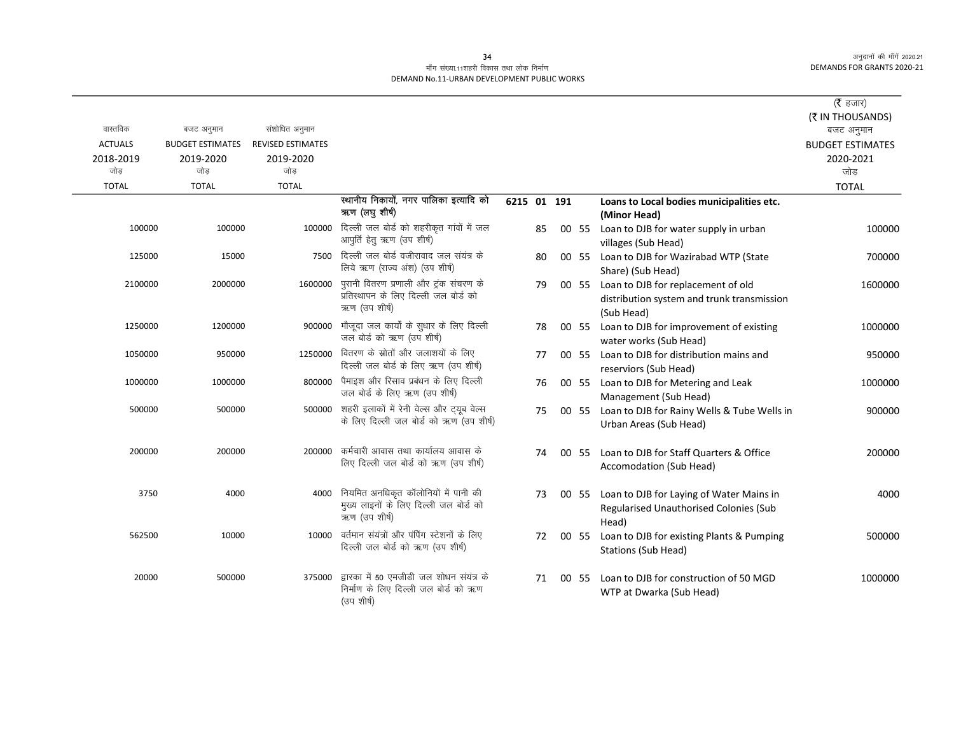|                |                         |                          |                                                                                                  |             |    |       |                                                                                                | ( $\bar{\tau}$ हजार)    |
|----------------|-------------------------|--------------------------|--------------------------------------------------------------------------------------------------|-------------|----|-------|------------------------------------------------------------------------------------------------|-------------------------|
|                |                         |                          |                                                                                                  |             |    |       |                                                                                                | (₹ IN THOUSANDS)        |
| वास्तविक       | बजट अनुमान              | संशोधित अनुमान           |                                                                                                  |             |    |       |                                                                                                | बजट अनुमान              |
| <b>ACTUALS</b> | <b>BUDGET ESTIMATES</b> | <b>REVISED ESTIMATES</b> |                                                                                                  |             |    |       |                                                                                                | <b>BUDGET ESTIMATES</b> |
| 2018-2019      | 2019-2020               | 2019-2020                |                                                                                                  |             |    |       |                                                                                                | 2020-2021               |
| जोड            | जोड                     | जोड                      |                                                                                                  |             |    |       |                                                                                                | जोड                     |
| <b>TOTAL</b>   | <b>TOTAL</b>            | <b>TOTAL</b>             |                                                                                                  |             |    |       |                                                                                                | <b>TOTAL</b>            |
|                |                         |                          | स्थानीय निकायों, नगर पालिका इत्यादि को<br>ऋण (लघुशीर्ष)                                          | 6215 01 191 |    |       | Loans to Local bodies municipalities etc.<br>(Minor Head)                                      |                         |
| 100000         | 100000                  | 100000                   | दिल्ली जल बोर्ड को शहरीकृत गांवों में जल<br>आपूर्ति हेतू ऋण (उप शीर्ष)                           |             | 85 | 00 55 | Loan to DJB for water supply in urban<br>villages (Sub Head)                                   | 100000                  |
| 125000         | 15000                   | 7500                     | दिल्ली जल बोर्ड वजीरावाद जल संयंत्र के<br>लिये ऋण (राज्य अंश) (उप शीर्ष)                         |             | 80 | 00 55 | Loan to DJB for Wazirabad WTP (State<br>Share) (Sub Head)                                      | 700000                  |
| 2100000        | 2000000                 | 1600000                  | पुरानी वितरण प्रणाली और ट्रंक संचरण के<br>प्रतिस्थापन के लिए दिल्ली जल बोर्ड को<br>ऋण (उप शीर्ष) |             | 79 | 00 55 | Loan to DJB for replacement of old<br>distribution system and trunk transmission<br>(Sub Head) | 1600000                 |
| 1250000        | 1200000                 | 900000                   | मौजूदा जल कार्यों के सुधार के लिए दिल्ली<br>जल बोर्ड को ऋण (उप शीर्ष)                            |             | 78 |       | 00 55 Loan to DJB for improvement of existing<br>water works (Sub Head)                        | 1000000                 |
| 1050000        | 950000                  | 1250000                  | वितरण के स्रोतों और जलाशयों के लिए<br>दिल्ली जल बोर्ड के लिए ऋण (उप शीर्ष)                       |             | 77 | 00 55 | Loan to DJB for distribution mains and<br>reserviors (Sub Head)                                | 950000                  |
| 1000000        | 1000000                 | 800000                   | पैमाइश और रिसाव प्रबंधन के लिए दिल्ली<br>जल बोर्ड के लिए ऋण (उप शीर्ष)                           |             | 76 | 00 55 | Loan to DJB for Metering and Leak<br>Management (Sub Head)                                     | 1000000                 |
| 500000         | 500000                  |                          | 500000 शहरी इलाकों में रेनी वेल्स और ट्यूब वेल्स<br>के लिए दिल्ली जल बोर्ड को ऋण (उप शीर्ष)      |             | 75 | 00 55 | Loan to DJB for Rainy Wells & Tube Wells in<br>Urban Areas (Sub Head)                          | 900000                  |
| 200000         | 200000                  | 200000                   | कर्मचारी आवास तथा कार्यालय आवास के<br>लिए दिल्ली जल बोर्ड को ऋण (उप शीर्ष)                       |             | 74 | 00 55 | Loan to DJB for Staff Quarters & Office<br>Accomodation (Sub Head)                             | 200000                  |
| 3750           | 4000                    | 4000                     | नियमित अनधिकृत कॉलोनियों में पानी की<br>मुख्य लाइनों के लिए दिल्ली जल बोर्ड को<br>ऋण (उप शीर्ष)  |             | 73 | 00 55 | Loan to DJB for Laying of Water Mains in<br>Regularised Unauthorised Colonies (Sub<br>Head)    | 4000                    |
| 562500         | 10000                   | 10000                    | वर्तमान संयंत्रों और पंपिंग स्टेशनों के लिए<br>दिल्ली जल बोर्ड को ऋण (उप शीर्ष)                  |             | 72 | 00 55 | Loan to DJB for existing Plants & Pumping<br><b>Stations (Sub Head)</b>                        | 500000                  |
| 20000          | 500000                  | 375000                   | द्वारका में 50 एमजीडी जल शोधन संयंत्र के<br>निर्माण के लिए दिल्ली जल बोर्ड को ऋण<br>(उप शीर्ष)   |             | 71 | 00 55 | Loan to DJB for construction of 50 MGD<br>WTP at Dwarka (Sub Head)                             | 1000000                 |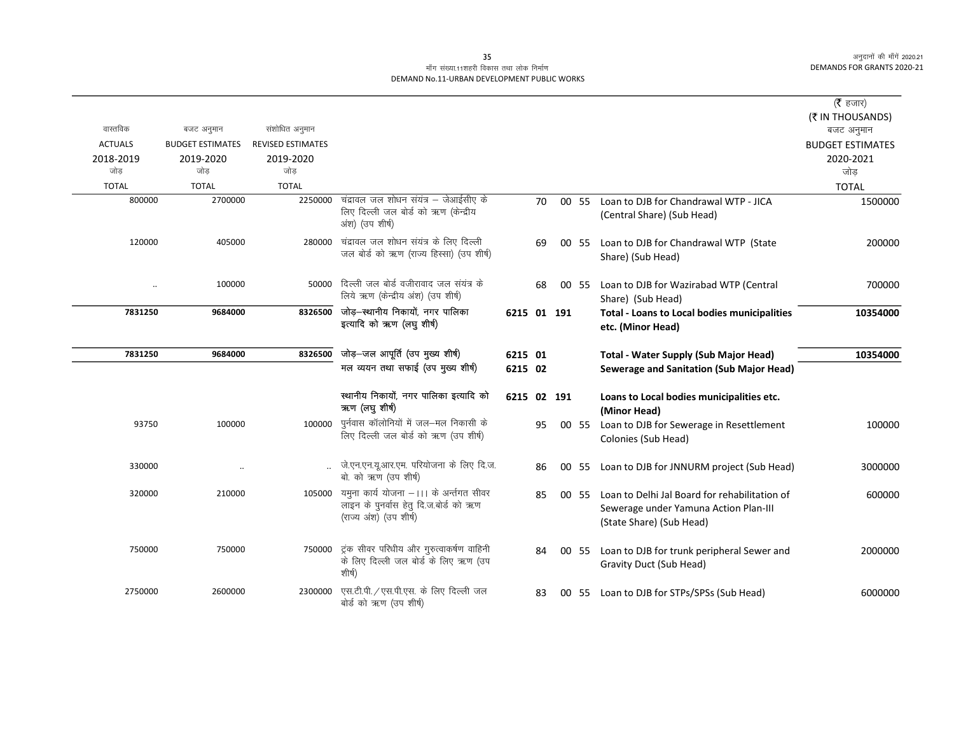|                      |                         |                          |                                                                                                             |             |    |       |                                                                                                                    | (रै हजार)                             |
|----------------------|-------------------------|--------------------------|-------------------------------------------------------------------------------------------------------------|-------------|----|-------|--------------------------------------------------------------------------------------------------------------------|---------------------------------------|
| वास्तविक             | बजट अनुमान              | संशोधित अनुमान           |                                                                                                             |             |    |       |                                                                                                                    | (₹ IN THOUSANDS)                      |
| <b>ACTUALS</b>       | <b>BUDGET ESTIMATES</b> | <b>REVISED ESTIMATES</b> |                                                                                                             |             |    |       |                                                                                                                    | बजट अनुमान<br><b>BUDGET ESTIMATES</b> |
| 2018-2019            | 2019-2020               | 2019-2020                |                                                                                                             |             |    |       |                                                                                                                    | 2020-2021                             |
| जोड                  | जोड                     | जोड                      |                                                                                                             |             |    |       |                                                                                                                    | जोड                                   |
| <b>TOTAL</b>         | <b>TOTAL</b>            | <b>TOTAL</b>             |                                                                                                             |             |    |       |                                                                                                                    | <b>TOTAL</b>                          |
| 800000               | 2700000                 | 2250000                  | चंद्रावल जल शोधन संयंत्र – जेआईसीए के<br>लिए दिल्ली जल बोर्ड को ऋण (केन्द्रीय<br>अंश) (उप शीर्ष)            |             | 70 | 00 55 | Loan to DJB for Chandrawal WTP - JICA<br>(Central Share) (Sub Head)                                                | 1500000                               |
| 120000               | 405000                  |                          | 280000 चंद्रावल जल शोधन संयंत्र के लिए दिल्ली<br>जल बोर्ड को ऋण (राज्य हिस्सा) (उप शीर्ष)                   |             | 69 | 00 55 | Loan to DJB for Chandrawal WTP (State<br>Share) (Sub Head)                                                         | 200000                                |
| $\ddot{\phantom{a}}$ | 100000                  |                          | 50000 दिल्ली जल बोर्ड वजीरावाद जल संयंत्र के<br>लिये ऋण (केन्द्रीय अंश) (उप शीर्ष)                          |             | 68 | 00 55 | Loan to DJB for Wazirabad WTP (Central<br>Share) (Sub Head)                                                        | 700000                                |
| 7831250              | 9684000                 | 8326500                  | जोड़-स्थानीय निकायों, नगर पालिका<br>इत्यादि को ऋण (लघु शीर्ष)                                               | 6215 01 191 |    |       | <b>Total - Loans to Local bodies municipalities</b><br>etc. (Minor Head)                                           | 10354000                              |
| 7831250              | 9684000                 | 8326500                  | जोड़-जल आपूर्ति (उप मुख्य शीर्ष)                                                                            | 6215 01     |    |       | <b>Total - Water Supply (Sub Major Head)</b>                                                                       | 10354000                              |
|                      |                         |                          | मल व्ययन तथा सफाई (उप मुख्य शीर्ष)                                                                          | 6215 02     |    |       | Sewerage and Sanitation (Sub Major Head)                                                                           |                                       |
|                      |                         |                          | स्थानीय निकायों, नगर पालिका इत्यादि को<br>ऋण (लघुशीर्ष)                                                     | 6215 02 191 |    |       | Loans to Local bodies municipalities etc.<br>(Minor Head)                                                          |                                       |
| 93750                | 100000                  | 100000                   | पुर्नवास कॉलोनियों में जल—मल निकासी के<br>लिए दिल्ली जल बोर्ड को ऋण (उप शीर्ष)                              |             | 95 | 00 55 | Loan to DJB for Sewerage in Resettlement<br>Colonies (Sub Head)                                                    | 100000                                |
| 330000               |                         |                          | जे.एन.एन.यू.आर.एम. परियोजना के लिए दि.ज.<br>बो. को ऋण (उप शीर्ष)                                            |             | 86 | 00 55 | Loan to DJB for JNNURM project (Sub Head)                                                                          | 3000000                               |
| 320000               | 210000                  | 105000                   | यमुना कार्य योजना –।।। के अर्न्तगत सीवर<br>लाइन के पुनर्वास हेतु दि.ज.बोर्ड को ऋण<br>(राज्य अंश) (उप शीर्ष) |             | 85 | 00 55 | Loan to Delhi Jal Board for rehabilitation of<br>Sewerage under Yamuna Action Plan-III<br>(State Share) (Sub Head) | 600000                                |
| 750000               | 750000                  | 750000                   | ट्रंक सीवर परिधीय और गुरुत्वाकर्षण वाहिनी<br>के लिए दिल्ली जल बोर्ड के लिए ऋण (उप<br>शीर्ष)                 |             | 84 | 00 55 | Loan to DJB for trunk peripheral Sewer and<br>Gravity Duct (Sub Head)                                              | 2000000                               |
| 2750000              | 2600000                 | 2300000                  | एस.टी.पी. / एस.पी.एस. के लिए दिल्ली जल<br>बोर्ड को ऋण (उप शीर्ष)                                            |             | 83 | 00 55 | Loan to DJB for STPs/SPSs (Sub Head)                                                                               | 6000000                               |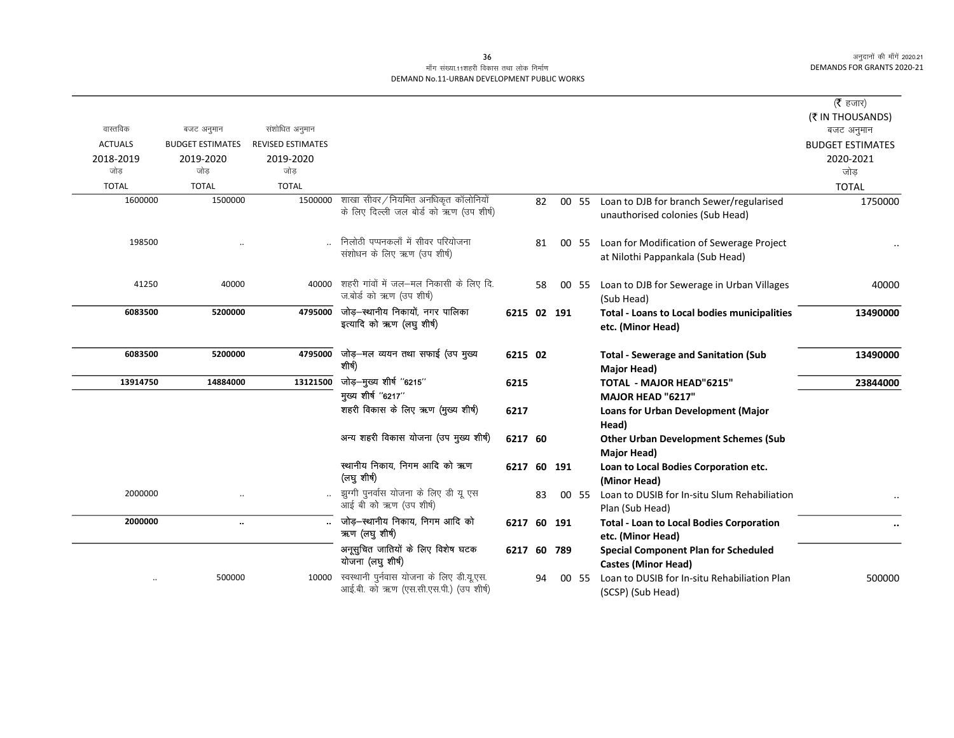# माँग संख्या.11शहरी विकास तथा लोक निर्माण DEMAND No.11-URBAN DEVELOPMENT PUBLIC WORKS

|                |                         |                          |                                                                                     |             |    |        |       |                                                                                    | ( $\bar{\tau}$ हजार)    |
|----------------|-------------------------|--------------------------|-------------------------------------------------------------------------------------|-------------|----|--------|-------|------------------------------------------------------------------------------------|-------------------------|
|                |                         |                          |                                                                                     |             |    |        |       |                                                                                    | (₹ IN THOUSANDS)        |
| वास्तविक       | बजट अनुमान              | संशोधित अनुमान           |                                                                                     |             |    |        |       |                                                                                    | बजट अनुमान              |
| <b>ACTUALS</b> | <b>BUDGET ESTIMATES</b> | <b>REVISED ESTIMATES</b> |                                                                                     |             |    |        |       |                                                                                    | <b>BUDGET ESTIMATES</b> |
| 2018-2019      | 2019-2020               | 2019-2020                |                                                                                     |             |    |        |       |                                                                                    | 2020-2021               |
| जोड            | जोड                     | जोड                      |                                                                                     |             |    |        |       |                                                                                    | जोड                     |
| <b>TOTAL</b>   | <b>TOTAL</b>            | <b>TOTAL</b>             |                                                                                     |             |    |        |       |                                                                                    | <b>TOTAL</b>            |
| 1600000        | 1500000                 | 1500000                  | शाखा सीवर / नियमित अनधिकृत कॉलोनियों<br>के लिए दिल्ली जल बोर्ड को ऋण (उप शीर्ष)     |             | 82 |        |       | 00 55 Loan to DJB for branch Sewer/regularised<br>unauthorised colonies (Sub Head) | 1750000                 |
| 198500         |                         |                          | निलोठी पप्पनकलाँ में सीवर परियोजना<br>संशोधन के लिए ऋण (उप शीर्ष)                   |             | 81 |        | 00 55 | Loan for Modification of Sewerage Project<br>at Nilothi Pappankala (Sub Head)      |                         |
| 41250          | 40000                   |                          | 40000 शहरी गांवों में जल-मल निकासी के लिए दि.<br>ज.बोर्ड को ऋण (उप शीर्ष)           |             | 58 |        | 00 55 | Loan to DJB for Sewerage in Urban Villages<br>(Sub Head)                           | 40000                   |
| 6083500        | 5200000                 | 4795000                  | जोड़–स्थानीय निकायों, नगर पालिका<br>इत्यादि को ऋण (लघु शीर्ष)                       | 6215 02 191 |    |        |       | <b>Total - Loans to Local bodies municipalities</b><br>etc. (Minor Head)           | 13490000                |
| 6083500        | 5200000                 | 4795000                  | जोड़—मल व्ययन तथा सफाई (उप मुख्य<br>शीर्ष)                                          | 6215 02     |    |        |       | <b>Total - Sewerage and Sanitation (Sub</b><br>Major Head)                         | 13490000                |
| 13914750       | 14884000                | 13121500                 | जोड़-मुख्य शीर्ष "6215"                                                             | 6215        |    |        |       | TOTAL - MAJOR HEAD"6215"                                                           | 23844000                |
|                |                         |                          | मुख्य शीर्ष "6217"                                                                  |             |    |        |       | MAJOR HEAD "6217"                                                                  |                         |
|                |                         |                          | शहरी विकास के लिए ऋण (मुख्य शीर्ष)                                                  | 6217        |    |        |       | <b>Loans for Urban Development (Major</b><br>Head)                                 |                         |
|                |                         |                          | अन्य शहरी विकास योजना (उप मुख्य शीर्ष)                                              | 6217 60     |    |        |       | <b>Other Urban Development Schemes (Sub</b><br><b>Major Head)</b>                  |                         |
|                |                         |                          | स्थानीय निकाय, निगम आदि को ऋण<br>(लघु शीर्ष)                                        | 6217 60 191 |    |        |       | Loan to Local Bodies Corporation etc.<br>(Minor Head)                              |                         |
| 2000000        |                         |                          | झुग्गी पुनर्वास योजना के लिए डी यू एस<br>आई बी को ऋण (उप शीर्ष)                     |             | 83 |        | 00 55 | Loan to DUSIB for In-situ Slum Rehabiliation<br>Plan (Sub Head)                    |                         |
| 2000000        | $\ddotsc$               |                          | जोड़-स्थानीय निकाय, निगम आदि को<br>ऋण (लघु शीर्ष)                                   | 6217 60 191 |    |        |       | <b>Total - Loan to Local Bodies Corporation</b><br>etc. (Minor Head)               | $\ddot{\phantom{a}}$    |
|                |                         |                          | अनूसुचित जातियों के लिए विशेष घटक<br>योजना (लघु शीर्ष)                              | 6217        |    | 60 789 |       | <b>Special Component Plan for Scheduled</b><br><b>Castes (Minor Head)</b>          |                         |
|                | 500000                  | 10000                    | स्वस्थानी पुर्नवास योजना के लिए डी.यू.एस.<br>आई.बी. को ऋण (एस.सी.एस.पी.) (उप शीर्ष) |             | 94 |        | 00 55 | Loan to DUSIB for In-situ Rehabiliation Plan<br>(SCSP) (Sub Head)                  | 500000                  |